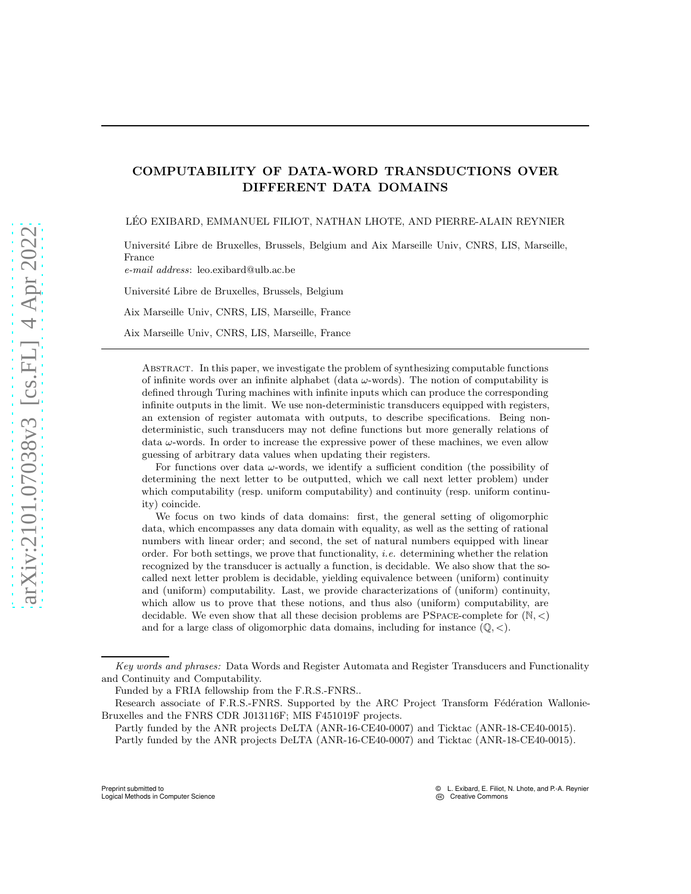## COMPUTABILITY OF DATA-WORD TRANSDUCTIONS OVER DIFFERENT DATA DOMAINS

LÉO EXIBARD, EMMANUEL FILIOT, NATHAN LHOTE, AND PIERRE-ALAIN REYNIER

Universit´e Libre de Bruxelles, Brussels, Belgium and Aix Marseille Univ, CNRS, LIS, Marseille, France

*e-mail address*: leo.exibard@ulb.ac.be

Université Libre de Bruxelles, Brussels, Belgium

Aix Marseille Univ, CNRS, LIS, Marseille, France

Aix Marseille Univ, CNRS, LIS, Marseille, France

Abstract. In this paper, we investigate the problem of synthesizing computable functions of infinite words over an infinite alphabet (data  $\omega$ -words). The notion of computability is defined through Turing machines with infinite inputs which can produce the corresponding infinite outputs in the limit. We use non-deterministic transducers equipped with registers, an extension of register automata with outputs, to describe specifications. Being nondeterministic, such transducers may not define functions but more generally relations of data  $\omega$ -words. In order to increase the expressive power of these machines, we even allow guessing of arbitrary data values when updating their registers.

For functions over data  $\omega$ -words, we identify a sufficient condition (the possibility of determining the next letter to be outputted, which we call next letter problem) under which computability (resp. uniform computability) and continuity (resp. uniform continuity) coincide.

We focus on two kinds of data domains: first, the general setting of oligomorphic data, which encompasses any data domain with equality, as well as the setting of rational numbers with linear order; and second, the set of natural numbers equipped with linear order. For both settings, we prove that functionality, *i.e.* determining whether the relation recognized by the transducer is actually a function, is decidable. We also show that the socalled next letter problem is decidable, yielding equivalence between (uniform) continuity and (uniform) computability. Last, we provide characterizations of (uniform) continuity, which allow us to prove that these notions, and thus also (uniform) computability, are decidable. We even show that all these decision problems are PSPACE-complete for  $(N, <)$ and for a large class of oligomorphic data domains, including for instance  $(\mathbb{Q}, \leq)$ .

*Key words and phrases:* Data Words and Register Automata and Register Transducers and Functionality and Continuity and Computability.

Funded by a FRIA fellowship from the F.R.S.-FNRS..

Research associate of F.R.S.-FNRS. Supported by the ARC Project Transform Fédération Wallonie-Bruxelles and the FNRS CDR J013116F; MIS F451019F projects.

Partly funded by the ANR projects DeLTA (ANR-16-CE40-0007) and Ticktac (ANR-18-CE40-0015). Partly funded by the ANR projects DeLTA (ANR-16-CE40-0007) and Ticktac (ANR-18-CE40-0015).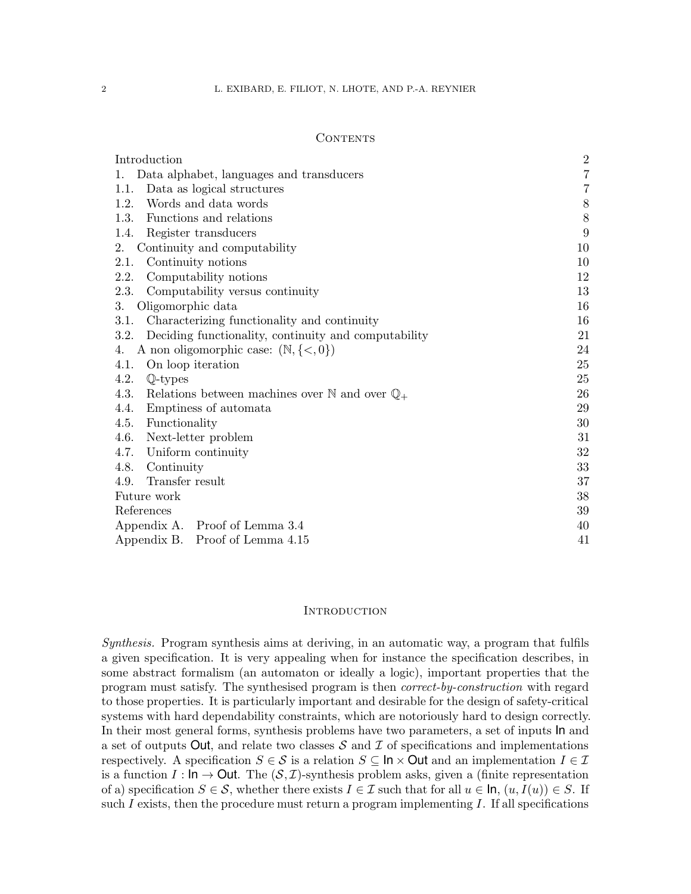## **CONTENTS**

| Introduction                                                               | $\sqrt{2}$       |  |
|----------------------------------------------------------------------------|------------------|--|
| Data alphabet, languages and transducers<br>1.                             | $\overline{7}$   |  |
| Data as logical structures<br>1.1.                                         | $\overline{7}$   |  |
| Words and data words<br>1.2.                                               | $8\,$            |  |
| Functions and relations<br>1.3.                                            | $8\,$            |  |
| 1.4.<br>Register transducers                                               | $\boldsymbol{9}$ |  |
| 2.<br>Continuity and computability                                         | 10               |  |
| Continuity notions<br>2.1.                                                 | 10               |  |
| 2.2.<br>Computability notions                                              | 12               |  |
| 2.3.<br>Computability versus continuity                                    | 13               |  |
| 3.<br>Oligomorphic data                                                    | 16               |  |
| Characterizing functionality and continuity<br>3.1.                        | 16               |  |
| Deciding functionality, continuity and computability<br>3.2.               | 21               |  |
| A non oligomorphic case: $(N, \{<, 0\})$<br>4.                             | 24               |  |
| 4.1.<br>On loop iteration                                                  | 25               |  |
| 4.2.<br>$\mathbb{Q}$ -types                                                | 25               |  |
| 4.3.<br>Relations between machines over $\mathbb N$ and over $\mathbb Q_+$ | 26               |  |
| Emptiness of automata<br>4.4.                                              | 29               |  |
| 4.5.<br>Functionality                                                      | 30               |  |
| 4.6.<br>Next-letter problem                                                | 31               |  |
| Uniform continuity<br>4.7.                                                 | 32               |  |
| 4.8.<br>Continuity                                                         | 33               |  |
| Transfer result<br>4.9.                                                    | 37<br>38         |  |
| Future work                                                                |                  |  |
| References                                                                 |                  |  |
| Appendix A. Proof of Lemma 3.4                                             |                  |  |
| Appendix B. Proof of Lemma 4.15                                            |                  |  |

### <span id="page-1-0"></span>**INTRODUCTION**

Synthesis. Program synthesis aims at deriving, in an automatic way, a program that fulfils a given specification. It is very appealing when for instance the specification describes, in some abstract formalism (an automaton or ideally a logic), important properties that the program must satisfy. The synthesised program is then correct-by-construction with regard to those properties. It is particularly important and desirable for the design of safety-critical systems with hard dependability constraints, which are notoriously hard to design correctly. In their most general forms, synthesis problems have two parameters, a set of inputs In and a set of outputs Out, and relate two classes  $S$  and  $\mathcal I$  of specifications and implementations respectively. A specification  $S \in \mathcal{S}$  is a relation  $S \subseteq \ln \times$  Out and an implementation  $I \in \mathcal{I}$ is a function  $I: \mathsf{In} \to \mathsf{Out}$ . The  $(\mathcal{S}, \mathcal{I})$ -synthesis problem asks, given a (finite representation of a) specification  $S \in \mathcal{S}$ , whether there exists  $I \in \mathcal{I}$  such that for all  $u \in \mathsf{In}$ ,  $(u, I(u)) \in S$ . If such I exists, then the procedure must return a program implementing I. If all specifications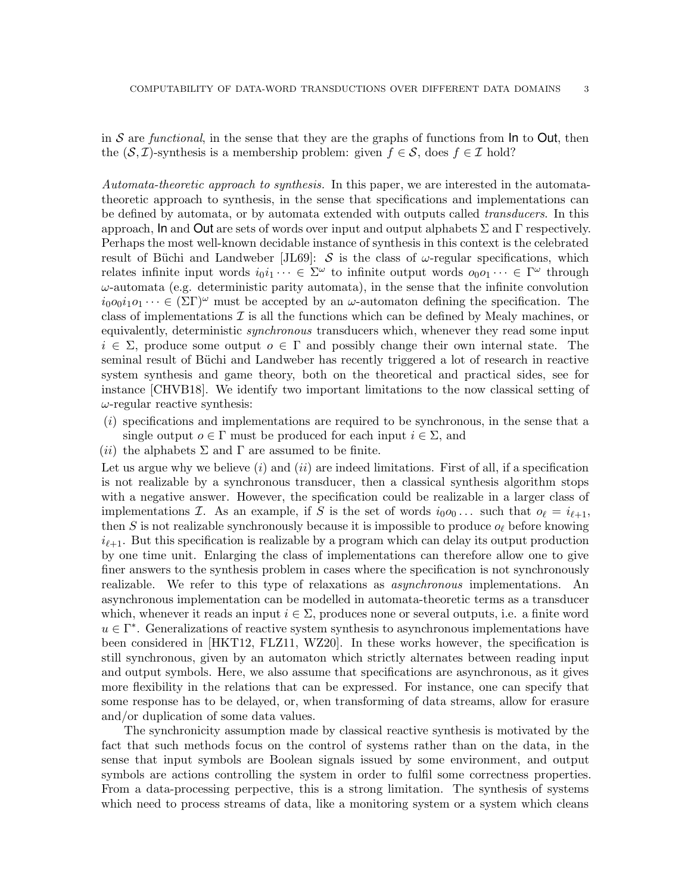in S are functional, in the sense that they are the graphs of functions from  $\ln$  to Out, then the  $(S, \mathcal{I})$ -synthesis is a membership problem: given  $f \in \mathcal{S}$ , does  $f \in \mathcal{I}$  hold?

Automata-theoretic approach to synthesis. In this paper, we are interested in the automatatheoretic approach to synthesis, in the sense that specifications and implementations can be defined by automata, or by automata extended with outputs called transducers. In this approach, In and Out are sets of words over input and output alphabets  $\Sigma$  and  $\Gamma$  respectively. Perhaps the most well-known decidable instance of synthesis in this context is the celebrated result of Büchi and Landweber [\[JL69\]](#page-39-1): S is the class of  $\omega$ -regular specifications, which relates infinite input words  $i_0i_1 \cdots \in \Sigma^\omega$  to infinite output words  $o_0o_1 \cdots \in \Gamma^\omega$  through  $\omega$ -automata (e.g. deterministic parity automata), in the sense that the infinite convolution  $i_0o_0i_1o_1 \cdots \in (\Sigma \Gamma)^\omega$  must be accepted by an  $\omega$ -automaton defining the specification. The class of implementations  $\mathcal I$  is all the functions which can be defined by Mealy machines, or equivalently, deterministic *synchronous* transducers which, whenever they read some input  $i \in \Sigma$ , produce some output  $o \in \Gamma$  and possibly change their own internal state. The seminal result of Büchi and Landweber has recently triggered a lot of research in reactive system synthesis and game theory, both on the theoretical and practical sides, see for instance [CHVB18]. We identify two important limitations to the now classical setting of  $\omega$ -regular reactive synthesis:

- (i) specifications and implementations are required to be synchronous, in the sense that a single output  $o \in \Gamma$  must be produced for each input  $i \in \Sigma$ , and
- (*ii*) the alphabets  $\Sigma$  and  $\Gamma$  are assumed to be finite.

Let us argue why we believe  $(i)$  and  $(ii)$  are indeed limitations. First of all, if a specification is not realizable by a synchronous transducer, then a classical synthesis algorithm stops with a negative answer. However, the specification could be realizable in a larger class of implementations I. As an example, if S is the set of words  $i_0o_0...$  such that  $o_\ell = i_{\ell+1}$ , then S is not realizable synchronously because it is impossible to produce  $o_\ell$  before knowing  $i_{\ell+1}$ . But this specification is realizable by a program which can delay its output production by one time unit. Enlarging the class of implementations can therefore allow one to give finer answers to the synthesis problem in cases where the specification is not synchronously realizable. We refer to this type of relaxations as asynchronous implementations. An asynchronous implementation can be modelled in automata-theoretic terms as a transducer which, whenever it reads an input  $i \in \Sigma$ , produces none or several outputs, i.e. a finite word  $u \in \Gamma^*$ . Generalizations of reactive system synthesis to asynchronous implementations have been considered in [HKT12, FLZ11, WZ20]. In these works however, the specification is still synchronous, given by an automaton which strictly alternates between reading input and output symbols. Here, we also assume that specifications are asynchronous, as it gives more flexibility in the relations that can be expressed. For instance, one can specify that some response has to be delayed, or, when transforming of data streams, allow for erasure and/or duplication of some data values.

The synchronicity assumption made by classical reactive synthesis is motivated by the fact that such methods focus on the control of systems rather than on the data, in the sense that input symbols are Boolean signals issued by some environment, and output symbols are actions controlling the system in order to fulfil some correctness properties. From a data-processing perpective, this is a strong limitation. The synthesis of systems which need to process streams of data, like a monitoring system or a system which cleans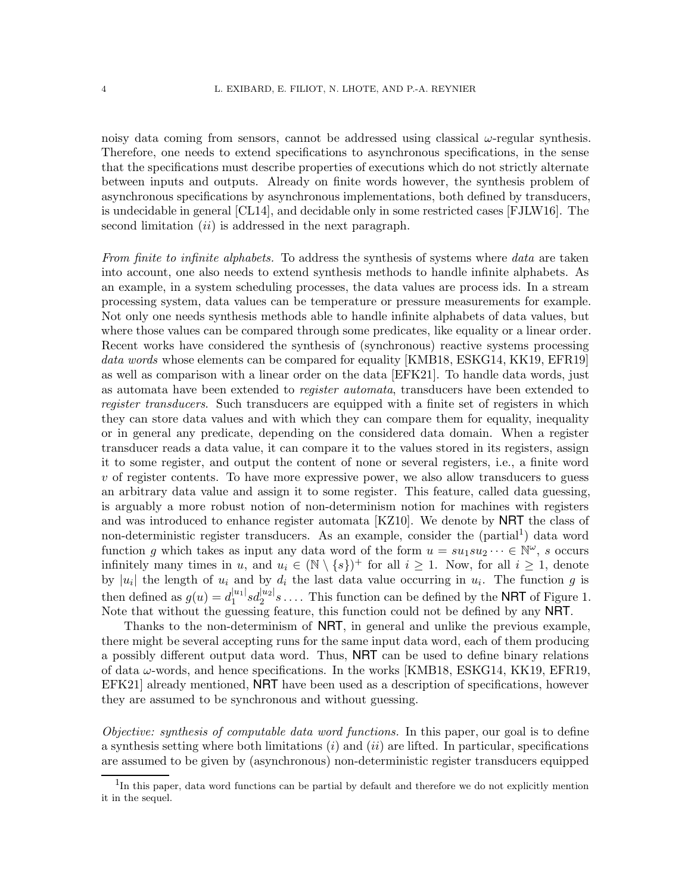noisy data coming from sensors, cannot be addressed using classical  $\omega$ -regular synthesis. Therefore, one needs to extend specifications to asynchronous specifications, in the sense that the specifications must describe properties of executions which do not strictly alternate between inputs and outputs. Already on finite words however, the synthesis problem of asynchronous specifications by asynchronous implementations, both defined by transducers, is undecidable in general [\[CL14\]](#page-38-1), and decidable only in some restricted cases [FJLW16]. The second limitation  $(ii)$  is addressed in the next paragraph.

<span id="page-3-1"></span>From finite to infinite alphabets. To address the synthesis of systems where data are taken into account, one also needs to extend synthesis methods to handle infinite alphabets. As an example, in a system scheduling processes, the data values are process ids. In a stream processing system, data values can be temperature or pressure measurements for example. Not only one needs synthesis methods able to handle infinite alphabets of data values, but where those values can be compared through some predicates, like equality or a linear order. Recent works have considered the synthesis of (synchronous) reactive systems processing data words whose elements can be compared for equality [KMB18, [ESKG14,](#page-38-2) KK19, EFR19] as well as comparison with a linear order on the data [\[EFK21\]](#page-38-3). To handle data words, just as automata have been extended to *register automata*, transducers have been extended to register transducers. Such transducers are equipped with a finite set of registers in which they can store data values and with which they can compare them for equality, inequality or in general any predicate, depending on the considered data domain. When a register transducer reads a data value, it can compare it to the values stored in its registers, assign it to some register, and output the content of none or several registers, i.e., a finite word  $v$  of register contents. To have more expressive power, we also allow transducers to guess an arbitrary data value and assign it to some register. This feature, called data guessing, is arguably a more robust notion of non-determinism notion for machines with registers and was introduced to enhance register automata [KZ10]. We denote by NRT the class of non-deterministic register transducers. As an example, consider the (partial<sup>[1](#page-3-0)</sup>) data word function g which takes as input any data word of the form  $u = su_1su_2 \dots \in \mathbb{N}^{\omega}$ , s occurs infinitely many times in u, and  $u_i \in (\mathbb{N} \setminus \{s\})^+$  for all  $i \geq 1$ . Now, for all  $i \geq 1$ , denote by |u<sub>i</sub>| the length of  $u_i$  and by  $d_i$  the last data value occurring in  $u_i$ . The function g is then defined as  $g(u) = d_1^{|u_1|}$  $\frac{|u_1|}{1} s d_2^{|u_2|} s \ldots$ . This function can be defined by the **NRT** of Figure [1.](#page-4-0) Note that without the guessing feature, this function could not be defined by any NRT.

Thanks to the non-determinism of NRT, in general and unlike the previous example, there might be several accepting runs for the same input data word, each of them producing a possibly different output data word. Thus, NRT can be used to define binary relations of data ω-words, and hence specifications. In the works [KMB18, [ESKG14,](#page-38-2) KK19, EFR19, [EFK21\]](#page-38-3) already mentioned, NRT have been used as a description of specifications, however they are assumed to be synchronous and without guessing.

Objective: synthesis of computable data word functions. In this paper, our goal is to define a synthesis setting where both limitations  $(i)$  and  $(ii)$  are lifted. In particular, specifications are assumed to be given by (asynchronous) non-deterministic register transducers equipped

<span id="page-3-0"></span><sup>&</sup>lt;sup>1</sup>In this paper, data word functions can be partial by default and therefore we do not explicitly mention it in the sequel.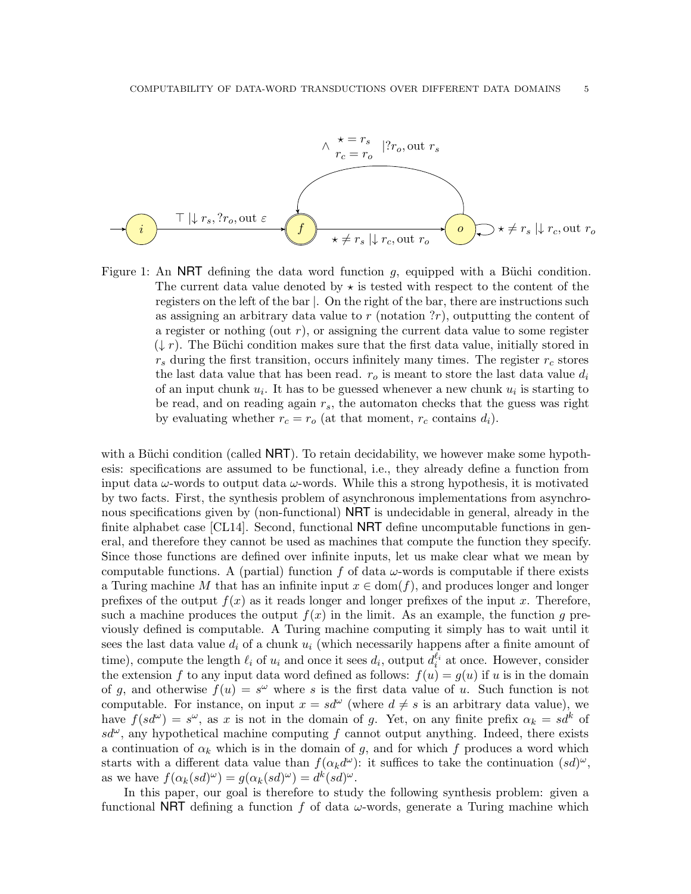

<span id="page-4-0"></span>Figure 1: An NRT defining the data word function  $g$ , equipped with a Büchi condition. The current data value denoted by  $\star$  is tested with respect to the content of the registers on the left of the bar |. On the right of the bar, there are instructions such as assigning an arbitrary data value to  $r$  (notation  $?r$ ), outputting the content of a register or nothing (out  $r$ ), or assigning the current data value to some register  $(\downarrow r)$ . The Büchi condition makes sure that the first data value, initially stored in  $r<sub>s</sub>$  during the first transition, occurs infinitely many times. The register  $r<sub>c</sub>$  stores the last data value that has been read.  $r_o$  is meant to store the last data value  $d_i$ of an input chunk  $u_i$ . It has to be guessed whenever a new chunk  $u_i$  is starting to be read, and on reading again  $r_s$ , the automaton checks that the guess was right by evaluating whether  $r_c = r_o$  (at that moment,  $r_c$  contains  $d_i$ ).

with a Büchi condition (called  $NRT$ ). To retain decidability, we however make some hypothesis: specifications are assumed to be functional, i.e., they already define a function from input data  $\omega$ -words to output data  $\omega$ -words. While this a strong hypothesis, it is motivated by two facts. First, the synthesis problem of asynchronous implementations from asynchronous specifications given by (non-functional) NRT is undecidable in general, already in the finite alphabet case [\[CL14\]](#page-38-1). Second, functional NRT define uncomputable functions in general, and therefore they cannot be used as machines that compute the function they specify. Since those functions are defined over infinite inputs, let us make clear what we mean by computable functions. A (partial) function f of data  $\omega$ -words is computable if there exists a Turing machine M that has an infinite input  $x \in \text{dom}(f)$ , and produces longer and longer prefixes of the output  $f(x)$  as it reads longer and longer prefixes of the input x. Therefore, such a machine produces the output  $f(x)$  in the limit. As an example, the function g previously defined is computable. A Turing machine computing it simply has to wait until it sees the last data value  $d_i$  of a chunk  $u_i$  (which necessarily happens after a finite amount of time), compute the length  $\ell_i$  of  $u_i$  and once it sees  $d_i$ , output  $d_i^{\ell_i}$  at once. However, consider the extension f to any input data word defined as follows:  $f(u) = g(u)$  if u is in the domain of g, and otherwise  $f(u) = s^{\omega}$  where s is the first data value of u. Such function is not computable. For instance, on input  $x = sd^{\omega}$  (where  $d \neq s$  is an arbitrary data value), we have  $f(s d^{\omega}) = s^{\omega}$ , as x is not in the domain of g. Yet, on any finite prefix  $\alpha_k = s d^k$  of  $sd^{\omega}$ , any hypothetical machine computing f cannot output anything. Indeed, there exists a continuation of  $\alpha_k$  which is in the domain of g, and for which f produces a word which starts with a different data value than  $f(\alpha_k d^{\omega})$ : it suffices to take the continuation  $(sd)^{\omega}$ , as we have  $f(\alpha_k(sd)^{\omega}) = g(\alpha_k(sd)^{\omega}) = d^k(sd)^{\omega}$ .

In this paper, our goal is therefore to study the following synthesis problem: given a functional NRT defining a function f of data  $\omega$ -words, generate a Turing machine which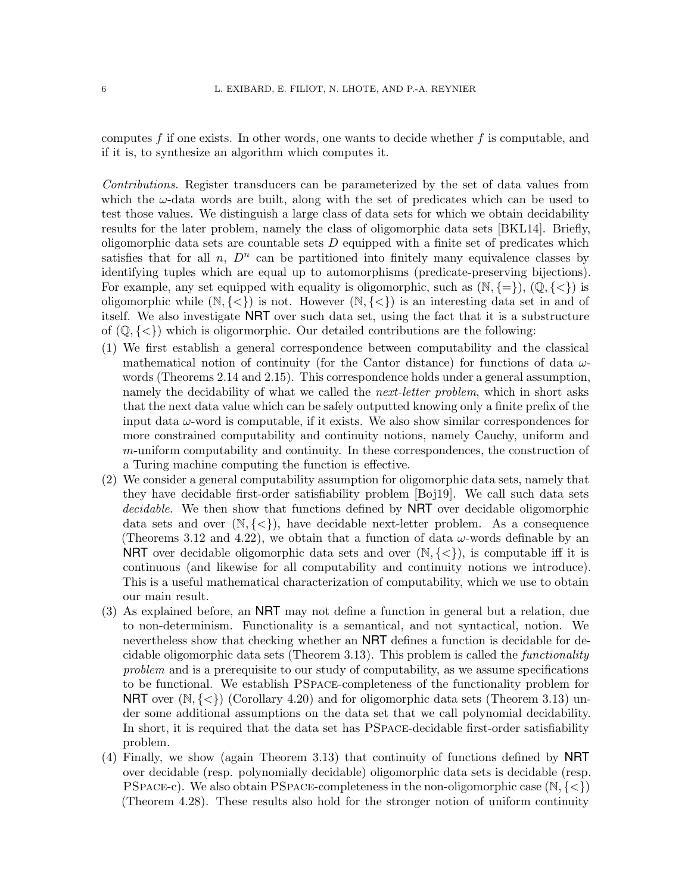computes  $f$  if one exists. In other words, one wants to decide whether  $f$  is computable, and if it is, to synthesize an algorithm which computes it.

Contributions. Register transducers can be parameterized by the set of data values from which the  $\omega$ -data words are built, along with the set of predicates which can be used to test those values. We distinguish a large class of data sets for which we obtain decidability results for the later problem, namely the class of oligomorphic data sets [BKL14]. Briefly, oligomorphic data sets are countable sets  $D$  equipped with a finite set of predicates which satisfies that for all  $n$ ,  $D<sup>n</sup>$  can be partitioned into finitely many equivalence classes by identifying tuples which are equal up to automorphisms (predicate-preserving bijections). For example, any set equipped with equality is oligomorphic, such as  $(N, \{=\})$ ,  $(\mathbb{Q}, \{<\})$  is oligomorphic while  $(N, \{<\})$  is not. However  $(N, \{<\})$  is an interesting data set in and of itself. We also investigate NRT over such data set, using the fact that it is a substructure of  $(\mathbb{Q}, \{<\})$  which is oligormorphic. Our detailed contributions are the following:

- (1) We first establish a general correspondence between computability and the classical mathematical notion of continuity (for the Cantor distance) for functions of data  $\omega$ words (Theorems [2.14](#page-12-1) and [2.15\)](#page-13-0). This correspondence holds under a general assumption, namely the decidability of what we called the *next-letter problem*, which in short asks that the next data value which can be safely outputted knowing only a finite prefix of the input data  $\omega$ -word is computable, if it exists. We also show similar correspondences for more constrained computability and continuity notions, namely Cauchy, uniform and m-uniform computability and continuity. In these correspondences, the construction of a Turing machine computing the function is effective.
- (2) We consider a general computability assumption for oligomorphic data sets, namely that they have decidable first-order satisfiability problem [\[Boj19\]](#page-38-4). We call such data sets decidable. We then show that functions defined by **NRT** over decidable oligomorphic data sets and over  $(N, \{<\})$ , have decidable next-letter problem. As a consequence (Theorems [3.12](#page-22-0) and [4.22\)](#page-31-1), we obtain that a function of data  $\omega$ -words definable by an **NRT** over decidable oligomorphic data sets and over  $(N, \{<\})$ , is computable iff it is continuous (and likewise for all computability and continuity notions we introduce). This is a useful mathematical characterization of computability, which we use to obtain our main result.
- (3) As explained before, an NRT may not define a function in general but a relation, due to non-determinism. Functionality is a semantical, and not syntactical, notion. We nevertheless show that checking whether an NRT defines a function is decidable for decidable oligomorphic data sets (Theorem [3.13\)](#page-22-1). This problem is called the functionality problem and is a prerequisite to our study of computability, as we assume specifications to be functional. We establish PSpace-completeness of the functionality problem for NRT over  $(N, \{<\})$  (Corollary [4.20\)](#page-30-1) and for oligomorphic data sets (Theorem [3.13\)](#page-22-1) under some additional assumptions on the data set that we call polynomial decidability. In short, it is required that the data set has PSpace-decidable first-order satisfiability problem.
- (4) Finally, we show (again Theorem [3.13\)](#page-22-1) that continuity of functions defined by NRT over decidable (resp. polynomially decidable) oligomorphic data sets is decidable (resp. PSPACE-c). We also obtain PSPACE-completeness in the non-oligomorphic case  $(N, \{<\})$ (Theorem [4.28\)](#page-36-1). These results also hold for the stronger notion of uniform continuity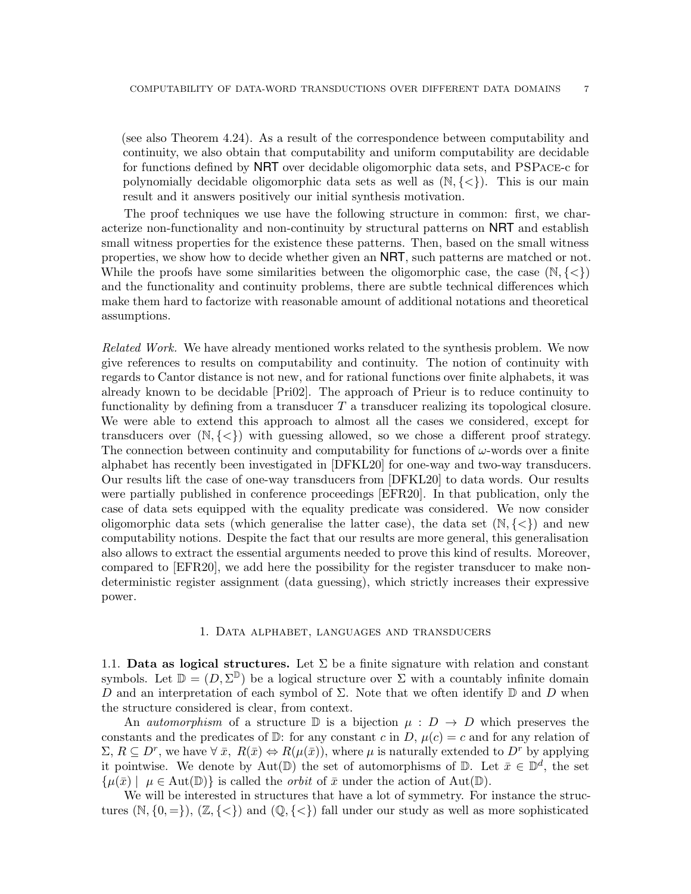(see also Theorem [4.24\)](#page-32-1). As a result of the correspondence between computability and continuity, we also obtain that computability and uniform computability are decidable for functions defined by NRT over decidable oligomorphic data sets, and PSPace-c for polynomially decidable oligomorphic data sets as well as  $(N, \{<\})$ . This is our main result and it answers positively our initial synthesis motivation.

The proof techniques we use have the following structure in common: first, we characterize non-functionality and non-continuity by structural patterns on NRT and establish small witness properties for the existence these patterns. Then, based on the small witness properties, we show how to decide whether given an NRT, such patterns are matched or not. While the proofs have some similarities between the oligomorphic case, the case  $(N, \{<\})$ and the functionality and continuity problems, there are subtle technical differences which make them hard to factorize with reasonable amount of additional notations and theoretical assumptions.

Related Work. We have already mentioned works related to the synthesis problem. We now give references to results on computability and continuity. The notion of continuity with regards to Cantor distance is not new, and for rational functions over finite alphabets, it was already known to be decidable [Pri02]. The approach of Prieur is to reduce continuity to functionality by defining from a transducer  $T$  a transducer realizing its topological closure. We were able to extend this approach to almost all the cases we considered, except for transducers over  $(N, \{<\})$  with guessing allowed, so we chose a different proof strategy. The connection between continuity and computability for functions of  $\omega$ -words over a finite alphabet has recently been investigated in [DFKL20] for one-way and two-way transducers. Our results lift the case of one-way transducers from [DFKL20] to data words. Our results were partially published in conference proceedings [EFR20]. In that publication, only the case of data sets equipped with the equality predicate was considered. We now consider oligomorphic data sets (which generalise the latter case), the data set  $(\mathbb{N}, \{<\})$  and new computability notions. Despite the fact that our results are more general, this generalisation also allows to extract the essential arguments needed to prove this kind of results. Moreover, compared to [EFR20], we add here the possibility for the register transducer to make nondeterministic register assignment (data guessing), which strictly increases their expressive power.

### 1. Data alphabet, languages and transducers

<span id="page-6-1"></span><span id="page-6-0"></span>1.1. Data as logical structures. Let  $\Sigma$  be a finite signature with relation and constant symbols. Let  $\mathbb{D} = (D, \Sigma^{\mathbb{D}})$  be a logical structure over  $\Sigma$  with a countably infinite domain D and an interpretation of each symbol of  $\Sigma$ . Note that we often identify  $\mathbb D$  and D when the structure considered is clear, from context.

An *automorphism* of a structure D is a bijection  $\mu : D \to D$  which preserves the constants and the predicates of  $\mathbb{D}$ : for any constant c in D,  $\mu(c) = c$  and for any relation of  $\Sigma, R \subseteq D^r$ , we have  $\forall \bar{x}, R(\bar{x}) \Leftrightarrow R(\mu(\bar{x}))$ , where  $\mu$  is naturally extended to  $D^r$  by applying it pointwise. We denote by  $Aut(\mathbb{D})$  the set of automorphisms of  $\mathbb{D}$ . Let  $\bar{x} \in \mathbb{D}^d$ , the set  $\{\mu(\bar{x}) \mid \mu \in \text{Aut}(\mathbb{D})\}\$ is called the *orbit* of  $\bar{x}$  under the action of Aut $(\mathbb{D})$ .

We will be interested in structures that have a lot of symmetry. For instance the structures  $(N, \{0, =\})$ ,  $(\mathbb{Z}, \{<\})$  and  $(\mathbb{Q}, \{<\})$  fall under our study as well as more sophisticated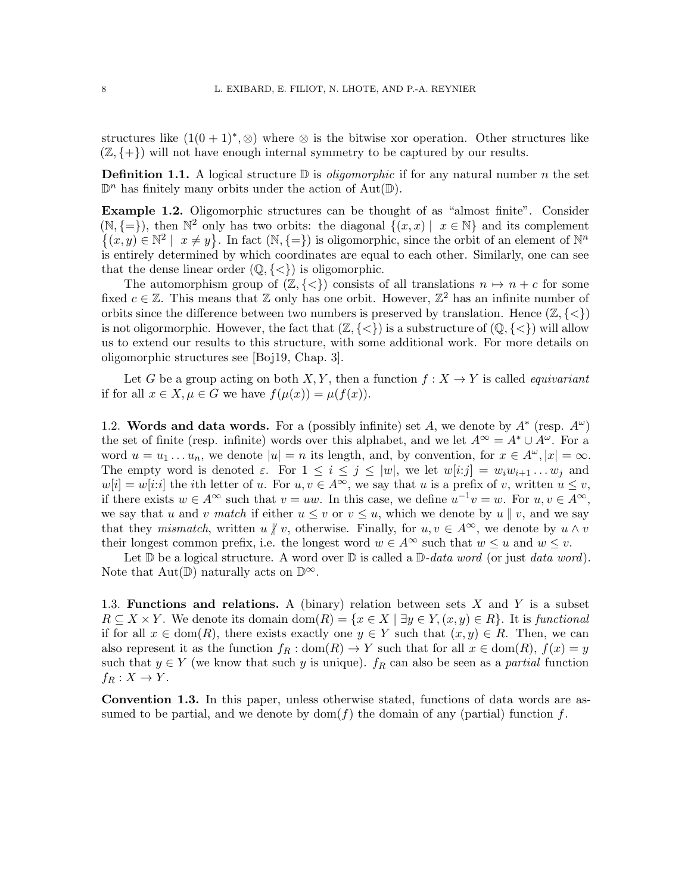structures like  $(1(0+1)^*, \otimes)$  where  $\otimes$  is the bitwise xor operation. Other structures like  $(\mathbb{Z}, \{+\})$  will not have enough internal symmetry to be captured by our results.

**Definition 1.1.** A logical structure  $\mathbb{D}$  is *oligomorphic* if for any natural number n the set  $\mathbb{D}^n$  has finitely many orbits under the action of Aut $(\mathbb{D})$ .

<span id="page-7-2"></span>Example 1.2. Oligomorphic structures can be thought of as "almost finite". Consider  $(\mathbb{N}, \{=\})$ , then  $\mathbb{N}^2$  only has two orbits: the diagonal  $\{(x, x) | x \in \mathbb{N}\}\$  and its complement  $\{(x,y)\in\mathbb{N}^2\mid x\neq y\}$ . In fact  $(\mathbb{N},\{=\})$  is oligomorphic, since the orbit of an element of  $\mathbb{N}^n$ is entirely determined by which coordinates are equal to each other. Similarly, one can see that the dense linear order  $(\mathbb{Q}, \{<\})$  is oligomorphic.

The automorphism group of  $(\mathbb{Z}, \{<\})$  consists of all translations  $n \mapsto n + c$  for some fixed  $c \in \mathbb{Z}$ . This means that  $\mathbb Z$  only has one orbit. However,  $\mathbb Z^2$  has an infinite number of orbits since the difference between two numbers is preserved by translation. Hence  $(\mathbb{Z}, \{<\})$ is not oligormorphic. However, the fact that  $(\mathbb{Z}, \{<\})$  is a substructure of  $(\mathbb{Q}, \{<\})$  will allow us to extend our results to this structure, with some additional work. For more details on oligomorphic structures see [\[Boj19,](#page-38-4) Chap. 3].

Let G be a group acting on both X, Y, then a function  $f: X \to Y$  is called *equivariant* if for all  $x \in X, \mu \in G$  we have  $f(\mu(x)) = \mu(f(x)).$ 

<span id="page-7-0"></span>1.2. Words and data words. For a (possibly infinite) set A, we denote by  $A^*$  (resp.  $A^{\omega}$ ) the set of finite (resp. infinite) words over this alphabet, and we let  $A^{\infty} = A^* \cup A^{\omega}$ . For a word  $u = u_1 \dots u_n$ , we denote  $|u| = n$  its length, and, by convention, for  $x \in A^{\omega}$ ,  $|x| = \infty$ . The empty word is denoted  $\varepsilon$ . For  $1 \leq i \leq j \leq |w|$ , we let  $w[i:j] = w_i w_{i+1} \dots w_j$  and  $w[i] = w[i:i]$  the *i*th letter of u. For  $u, v \in A^{\infty}$ , we say that u is a prefix of v, written  $u \leq v$ , if there exists  $w \in A^{\infty}$  such that  $v = uw$ . In this case, we define  $u^{-1}v = w$ . For  $u, v \in A^{\infty}$ , we say that u and v match if either  $u \leq v$  or  $v \leq u$ , which we denote by  $u \parallel v$ , and we say that they mismatch, written u  $\oint v$ , otherwise. Finally, for  $u, v \in A^{\infty}$ , we denote by  $u \wedge v$ their longest common prefix, i.e. the longest word  $w \in A^{\infty}$  such that  $w \leq u$  and  $w \leq v$ .

Let  $\mathbb D$  be a logical structure. A word over  $\mathbb D$  is called a  $\mathbb D\text{-}data$  word (or just data word). Note that  $Aut(\mathbb{D})$  naturally acts on  $\mathbb{D}^{\infty}$ .

<span id="page-7-1"></span>1.3. Functions and relations. A (binary) relation between sets  $X$  and  $Y$  is a subset  $R \subseteq X \times Y$ . We denote its domain dom $(R) = \{x \in X \mid \exists y \in Y, (x, y) \in R\}$ . It is functional if for all  $x \in \text{dom}(R)$ , there exists exactly one  $y \in Y$  such that  $(x, y) \in R$ . Then, we can also represent it as the function  $f_R : dom(R) \to Y$  such that for all  $x \in dom(R)$ ,  $f(x) = y$ such that  $y \in Y$  (we know that such y is unique).  $f_R$  can also be seen as a partial function  $f_R: X \to Y$ .

Convention 1.3. In this paper, unless otherwise stated, functions of data words are assumed to be partial, and we denote by  $dom(f)$  the domain of any (partial) function f.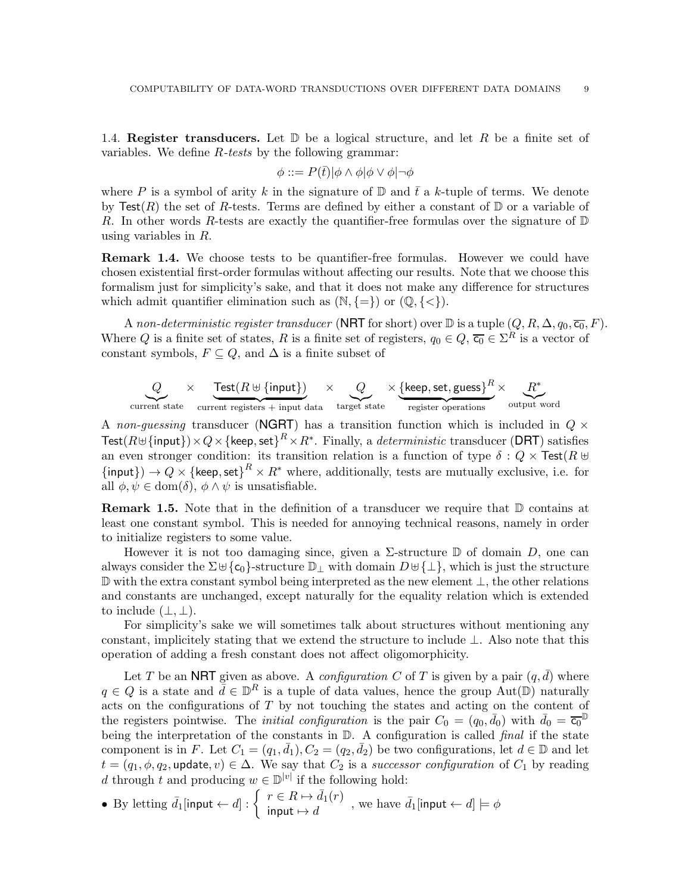<span id="page-8-0"></span>1.4. Register transducers. Let  $\mathbb D$  be a logical structure, and let R be a finite set of variables. We define R-tests by the following grammar:

$$
\phi ::= P(\bar{t})|\phi \wedge \phi|\phi \vee \phi|\neg \phi
$$

where P is a symbol of arity k in the signature of  $\mathbb D$  and  $\bar t$  a k-tuple of terms. We denote by Test(R) the set of R-tests. Terms are defined by either a constant of  $\mathbb D$  or a variable of R. In other words R-tests are exactly the quantifier-free formulas over the signature of  $\mathbb D$ using variables in R.

**Remark 1.4.** We choose tests to be quantifier-free formulas. However we could have chosen existential first-order formulas without affecting our results. Note that we choose this formalism just for simplicity's sake, and that it does not make any difference for structures which admit quantifier elimination such as  $(\mathbb{N}, \{=\})$  or  $(\mathbb{Q}, \{<\})$ .

A non-deterministic register transducer (NRT for short) over  $\mathbb D$  is a tuple  $(Q, R, \Delta, q_0, \overline{c_0}, F)$ . Where Q is a finite set of states, R is a finite set of registers,  $q_0 \in Q$ ,  $\overline{c_0} \in \Sigma^R$  is a vector of constant symbols,  $F \subseteq Q$ , and  $\Delta$  is a finite subset of

$$
Q \times \underbrace{\text{Test}(R \uplus \{\text{input}\})}_{\text{current state}} \times \underbrace{Q}_{\text{target state}} \times \underbrace{\{\text{keep, set, guess}\}}_{\text{register operations}}^R \times \underbrace{R^*}_{\text{output word}}
$$

A non-guessing transducer (NGRT) has a transition function which is included in  $Q \times$  $\mathsf{Test}(R \uplus \{\mathsf{input}\}) \times Q \times \{\mathsf{keep}, \mathsf{set}\}^R \times R^*.$  Finally, a  $deterministic$  transducer (DRT) satisfies an even stronger condition: its transition relation is a function of type  $\delta : Q \times \text{Test}(R \cup$  ${\{input\}} \rightarrow Q \times {\{keep, set\}}^R \times R^*$  where, additionally, tests are mutually exclusive, i.e. for all  $\phi, \psi \in \text{dom}(\delta)$ ,  $\phi \wedge \psi$  is unsatisfiable.

**Remark 1.5.** Note that in the definition of a transducer we require that  $\mathbb D$  contains at least one constant symbol. This is needed for annoying technical reasons, namely in order to initialize registers to some value.

However it is not too damaging since, given a  $\Sigma$ -structure  $\mathbb D$  of domain D, one can always consider the  $\Sigma \cup {\mathfrak c}_0$ -structure  ${\mathbb D}_\perp$  with domain  $D \cup {\{\perp\}}$ , which is just the structure D with the extra constant symbol being interpreted as the new element ⊥, the other relations and constants are unchanged, except naturally for the equality relation which is extended to include  $(\perp, \perp)$ .

For simplicity's sake we will sometimes talk about structures without mentioning any constant, implicitely stating that we extend the structure to include  $\perp$ . Also note that this operation of adding a fresh constant does not affect oligomorphicity.

Let T be an NRT given as above. A *configuration* C of T is given by a pair  $(q, \bar{d})$  where  $q \in Q$  is a state and  $\bar{d} \in \mathbb{D}^R$  is a tuple of data values, hence the group Aut $(\mathbb{D})$  naturally acts on the configurations of  $T$  by not touching the states and acting on the content of the registers pointwise. The *initial configuration* is the pair  $C_0 = (q_0, \bar{d}_0)$  with  $\bar{d}_0 = \overline{c_0}$ being the interpretation of the constants in  $D$ . A configuration is called *final* if the state component is in F. Let  $C_1 = (q_1, \bar{d}_1), C_2 = (q_2, \bar{d}_2)$  be two configurations, let  $d \in \mathbb{D}$  and let  $t = (q_1, \phi, q_2, \text{update}, v) \in \Delta$ . We say that  $C_2$  is a successor configuration of  $C_1$  by reading d through t and producing  $w \in \mathbb{D}^{|v|}$  if the following hold:

• By letting 
$$
\bar{d}_1
$$
[input  $\leftarrow d$ ] :  $\left\{ \begin{array}{l} r \in R \mapsto \bar{d}_1(r) \\ \text{input } \mapsto d \end{array} \right\}$ , we have  $\bar{d}_1$ [input  $\leftarrow d$ ]  $\models \phi$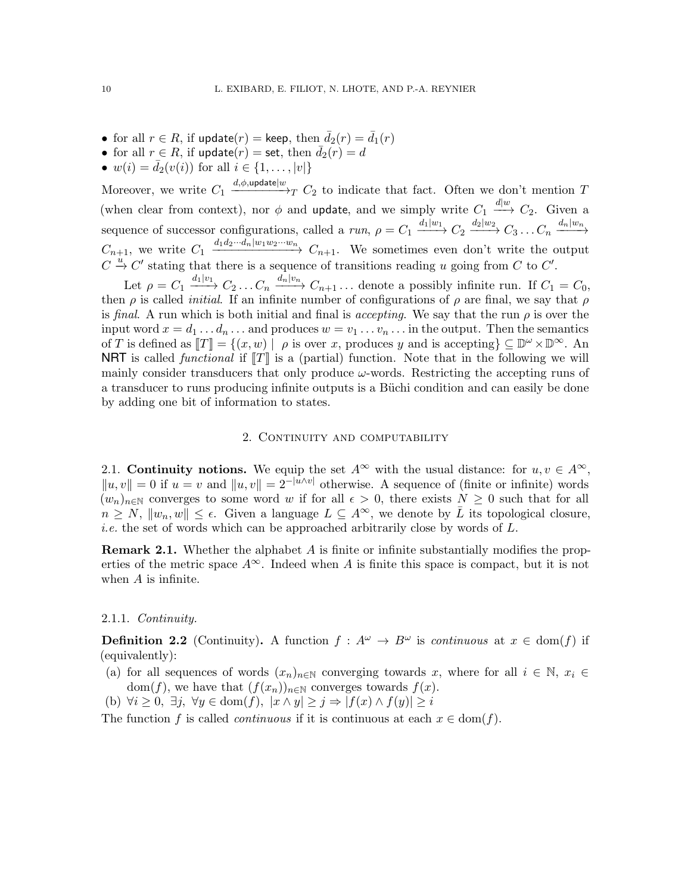- for all  $r \in R$ , if update $(r) =$  keep, then  $\bar{d}_2(r) = \bar{d}_1(r)$
- for all  $r \in R$ , if update $(r) =$  set, then  $\overline{d}_2(r) = d$
- $w(i) = \bar{d}_2(v(i))$  for all  $i \in \{1, ..., |v|\}$

Moreover, we write  $C_1 \xrightarrow{d,\phi,\text{update}|w} C_2$  to indicate that fact. Often we don't mention T (when clear from context), nor  $\phi$  and update, and we simply write  $C_1 \stackrel{d|w}{\longrightarrow} C_2$ . Given a sequence of successor configurations, called a run,  $\rho = C_1 \xrightarrow{d_1|w_1} C_2 \xrightarrow{d_2|w_2} C_3 \dots C_n \xrightarrow{d_n|w_n}$  $C_{n+1}$ , we write  $C_1 \xrightarrow{d_1d_2\cdots d_n|w_1w_2\cdots w_n} C_{n+1}$ . We sometimes even don't write the output  $C \stackrel{u}{\rightarrow} C'$  stating that there is a sequence of transitions reading u going from C to C'.

Let  $\rho = C_1 \xrightarrow{d_1|v_1} C_2 \ldots C_n \xrightarrow{d_n|v_n} C_{n+1} \ldots$  denote a possibly infinite run. If  $C_1 = C_0$ , then  $\rho$  is called *initial*. If an infinite number of configurations of  $\rho$  are final, we say that  $\rho$ is final. A run which is both initial and final is accepting. We say that the run  $\rho$  is over the input word  $x = d_1 \dots d_n \dots$  and produces  $w = v_1 \dots v_n \dots$  in the output. Then the semantics of T is defined as  $[[T]] = \{(x, w) | \rho \text{ is over } x, \text{ produces } y \text{ and is accepting}\}\subseteq \mathbb{D}^{\omega}\times \mathbb{D}^{\infty}$ . An **NRT** is called *functional* if  $T$  is a (partial) function. Note that in the following we will mainly consider transducers that only produce  $\omega$ -words. Restricting the accepting runs of a transducer to runs producing infinite outputs is a Büchi condition and can easily be done by adding one bit of information to states.

### 2. CONTINUITY AND COMPUTABILITY

<span id="page-9-1"></span><span id="page-9-0"></span>2.1. Continuity notions. We equip the set  $A^{\infty}$  with the usual distance: for  $u, v \in A^{\infty}$ ,  $||u, v|| = 0$  if  $u = v$  and  $||u, v|| = 2^{-|\tilde{u} \wedge v|}$  otherwise. A sequence of (finite or infinite) words  $(w_n)_{n\in\mathbb{N}}$  converges to some word w if for all  $\epsilon > 0$ , there exists  $N \geq 0$  such that for all  $n \geq N$ ,  $||w_n, w|| \leq \epsilon$ . Given a language  $L \subseteq A^{\infty}$ , we denote by  $\overline{L}$  its topological closure, i.e. the set of words which can be approached arbitrarily close by words of L.

<span id="page-9-2"></span>**Remark 2.1.** Whether the alphabet  $A$  is finite or infinite substantially modifies the properties of the metric space  $A^{\infty}$ . Indeed when A is finite this space is compact, but it is not when  $A$  is infinite.

### 2.1.1. Continuity.

**Definition 2.2** (Continuity). A function  $f: A^{\omega} \to B^{\omega}$  is *continuous* at  $x \in \text{dom}(f)$  if (equivalently):

- (a) for all sequences of words  $(x_n)_{n\in\mathbb{N}}$  converging towards x, where for all  $i \in \mathbb{N}$ ,  $x_i \in$ dom(f), we have that  $(f(x_n))_{n\in\mathbb{N}}$  converges towards  $f(x)$ .
- (b)  $\forall i \geq 0, \exists j, \forall y \in \text{dom}(f), |x \wedge y| \geq j \Rightarrow |f(x) \wedge f(y)| \geq i$

The function f is called *continuous* if it is continuous at each  $x \in \text{dom}(f)$ .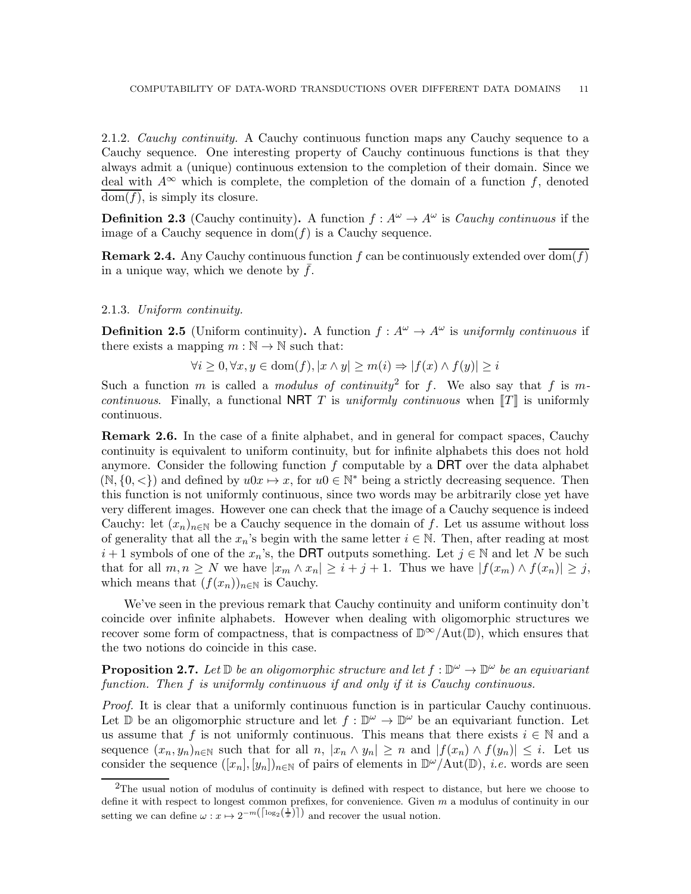2.1.2. Cauchy continuity. A Cauchy continuous function maps any Cauchy sequence to a Cauchy sequence. One interesting property of Cauchy continuous functions is that they always admit a (unique) continuous extension to the completion of their domain. Since we deal with  $A^{\infty}$  which is complete, the completion of the domain of a function f, denoted  $dom(f)$ , is simply its closure.

**Definition 2.3** (Cauchy continuity). A function  $f: A^{\omega} \to A^{\omega}$  is *Cauchy continuous* if the image of a Cauchy sequence in  $dom(f)$  is a Cauchy sequence.

<span id="page-10-2"></span>**Remark 2.4.** Any Cauchy continuous function f can be continuously extended over  $\overline{\text{dom}(f)}$ in a unique way, which we denote by  $f$ .

## 2.1.3. Uniform continuity.

**Definition 2.5** (Uniform continuity). A function  $f: A^{\omega} \to A^{\omega}$  is uniformly continuous if there exists a mapping  $m : \mathbb{N} \to \mathbb{N}$  such that:

 $\forall i \geq 0, \forall x, y \in \text{dom}(f), |x \wedge y| \geq m(i) \Rightarrow |f(x) \wedge f(y)| \geq i$ 

Such a function m is called a modulus of continuity<sup>[2](#page-10-0)</sup> for f. We also say that f is mcontinuous. Finally, a functional NRT T is uniformly continuous when  $\llbracket T \rrbracket$  is uniformly continuous.

<span id="page-10-1"></span>**Remark 2.6.** In the case of a finite alphabet, and in general for compact spaces, Cauchy continuity is equivalent to uniform continuity, but for infinite alphabets this does not hold anymore. Consider the following function  $f$  computable by a DRT over the data alphabet  $(N, \{0, \leq\})$  and defined by  $u0x \mapsto x$ , for  $u0 \in \mathbb{N}^*$  being a strictly decreasing sequence. Then this function is not uniformly continuous, since two words may be arbitrarily close yet have very different images. However one can check that the image of a Cauchy sequence is indeed Cauchy: let  $(x_n)_{n\in\mathbb{N}}$  be a Cauchy sequence in the domain of f. Let us assume without loss of generality that all the  $x_n$ 's begin with the same letter  $i \in \mathbb{N}$ . Then, after reading at most  $i+1$  symbols of one of the  $x_n$ 's, the DRT outputs something. Let  $j \in \mathbb{N}$  and let N be such that for all  $m, n \geq N$  we have  $|x_m \wedge x_n| \geq i + j + 1$ . Thus we have  $|f(x_m) \wedge f(x_n)| \geq j$ , which means that  $(f(x_n))_{n\in\mathbb{N}}$  is Cauchy.

We've seen in the previous remark that Cauchy continuity and uniform continuity don't coincide over infinite alphabets. However when dealing with oligomorphic structures we recover some form of compactness, that is compactness of  $\mathbb{D}^{\infty}/\text{Aut}(\mathbb{D})$ , which ensures that the two notions do coincide in this case.

**Proposition 2.7.** Let  $\mathbb{D}$  be an oligomorphic structure and let  $f : \mathbb{D}^{\omega} \to \mathbb{D}^{\omega}$  be an equivariant function. Then f is uniformly continuous if and only if it is Cauchy continuous.

Proof. It is clear that a uniformly continuous function is in particular Cauchy continuous. Let D be an oligomorphic structure and let  $f: \mathbb{D}^{\omega} \to \mathbb{D}^{\omega}$  be an equivariant function. Let us assume that f is not uniformly continuous. This means that there exists  $i \in \mathbb{N}$  and a sequence  $(x_n, y_n)_{n \in \mathbb{N}}$  such that for all  $n, |x_n \wedge y_n| \geq n$  and  $|f(x_n) \wedge f(y_n)| \leq i$ . Let us consider the sequence  $([x_n], [y_n])_{n \in \mathbb{N}}$  of pairs of elements in  $\mathbb{D}^{\omega}/\text{Aut}(\mathbb{D})$ , *i.e.* words are seen

<span id="page-10-0"></span><sup>2</sup>The usual notion of modulus of continuity is defined with respect to distance, but here we choose to define it with respect to longest common prefixes, for convenience. Given  $m$  a modulus of continuity in our setting we can define  $\omega : x \mapsto 2^{-m(\lceil \log_2(\frac{1}{x}) \rceil)}$  and recover the usual notion.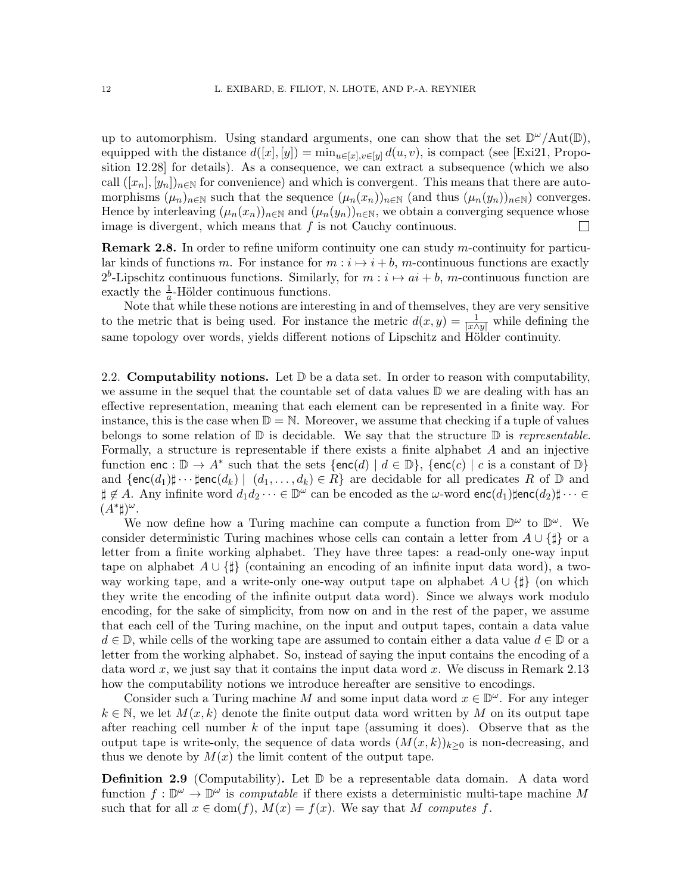up to automorphism. Using standard arguments, one can show that the set  $\mathbb{D}^{\omega}/\text{Aut}(\mathbb{D})$ , equipped with the distance  $d([x], [y]) = \min_{u \in [x], v \in [y]} d(u, v)$ , is compact (see [\[Exi21,](#page-38-5) Proposition 12.28] for details). As a consequence, we can extract a subsequence (which we also call  $([x_n], [y_n])_{n\in\mathbb{N}}$  for convenience) and which is convergent. This means that there are automorphisms  $(\mu_n)_{n\in\mathbb{N}}$  such that the sequence  $(\mu_n(x_n))_{n\in\mathbb{N}}$  (and thus  $(\mu_n(y_n))_{n\in\mathbb{N}}$ ) converges. Hence by interleaving  $(\mu_n(x_n))_{n\in\mathbb{N}}$  and  $(\mu_n(y_n))_{n\in\mathbb{N}}$ , we obtain a converging sequence whose image is divergent, which means that  $f$  is not Cauchy continuous.  $\mathbf{L}$ 

**Remark 2.8.** In order to refine uniform continuity one can study m-continuity for particular kinds of functions m. For instance for  $m : i \mapsto i + b$ , m-continuous functions are exactly  $2^b$ -Lipschitz continuous functions. Similarly, for  $m : i \mapsto ai + b$ , m-continuous function are exactly the  $\frac{1}{a}$ -Hölder continuous functions.

Note that while these notions are interesting in and of themselves, they are very sensitive to the metric that is being used. For instance the metric  $d(x, y) = \frac{1}{|x \wedge y|}$  while defining the same topology over words, yields different notions of Lipschitz and Hölder continuity.

<span id="page-11-0"></span>2.2. **Computability notions.** Let  $\mathbb{D}$  be a data set. In order to reason with computability, we assume in the sequel that the countable set of data values D we are dealing with has an effective representation, meaning that each element can be represented in a finite way. For instance, this is the case when  $\mathbb{D} = \mathbb{N}$ . Moreover, we assume that checking if a tuple of values belongs to some relation of  $\mathbb D$  is decidable. We say that the structure  $\mathbb D$  is representable. Formally, a structure is representable if there exists a finite alphabet A and an injective function enc :  $\mathbb{D} \to A^*$  such that the sets {enc(d) |  $d \in \mathbb{D}$ }, {enc(c) | c is a constant of  $\mathbb{D}$ } and  $\{\mathsf{enc}(d_1)\sharp\cdots\sharp \mathsf{enc}(d_k) \mid (d_1,\ldots,d_k)\in R\}$  are decidable for all predicates R of  $\mathbb D$  and  $\sharp \not\in A$ . Any infinite word  $d_1d_2\cdots\in\mathbb{D}^\omega$  can be encoded as the  $\omega$ -word  $\mathsf{enc}(d_1)\sharp\mathsf{enc}(d_2)\sharp\cdots\in\mathbb{D}^\omega$  $(A^*\sharp)^\omega$ .

We now define how a Turing machine can compute a function from  $\mathbb{D}^{\omega}$  to  $\mathbb{D}^{\omega}$ . We consider deterministic Turing machines whose cells can contain a letter from  $A \cup \{\sharp\}$  or a letter from a finite working alphabet. They have three tapes: a read-only one-way input tape on alphabet  $A \cup {\{\sharp}}$  (containing an encoding of an infinite input data word), a twoway working tape, and a write-only one-way output tape on alphabet  $A \cup \{\sharp\}$  (on which they write the encoding of the infinite output data word). Since we always work modulo encoding, for the sake of simplicity, from now on and in the rest of the paper, we assume that each cell of the Turing machine, on the input and output tapes, contain a data value  $d \in \mathbb{D}$ , while cells of the working tape are assumed to contain either a data value  $d \in \mathbb{D}$  or a letter from the working alphabet. So, instead of saying the input contains the encoding of a data word x, we just say that it contains the input data word x. We discuss in Remark [2.13](#page-12-2) how the computability notions we introduce hereafter are sensitive to encodings.

Consider such a Turing machine M and some input data word  $x \in \mathbb{D}^{\omega}$ . For any integer  $k \in \mathbb{N}$ , we let  $M(x, k)$  denote the finite output data word written by M on its output tape after reaching cell number  $k$  of the input tape (assuming it does). Observe that as the output tape is write-only, the sequence of data words  $(M(x, k))_{k\geq 0}$  is non-decreasing, and thus we denote by  $M(x)$  the limit content of the output tape.

**Definition 2.9** (Computability). Let  $\mathbb{D}$  be a representable data domain. A data word function  $f: \mathbb{D}^{\omega} \to \mathbb{D}^{\omega}$  is *computable* if there exists a deterministic multi-tape machine M such that for all  $x \in \text{dom}(f)$ ,  $M(x) = f(x)$ . We say that M computes f.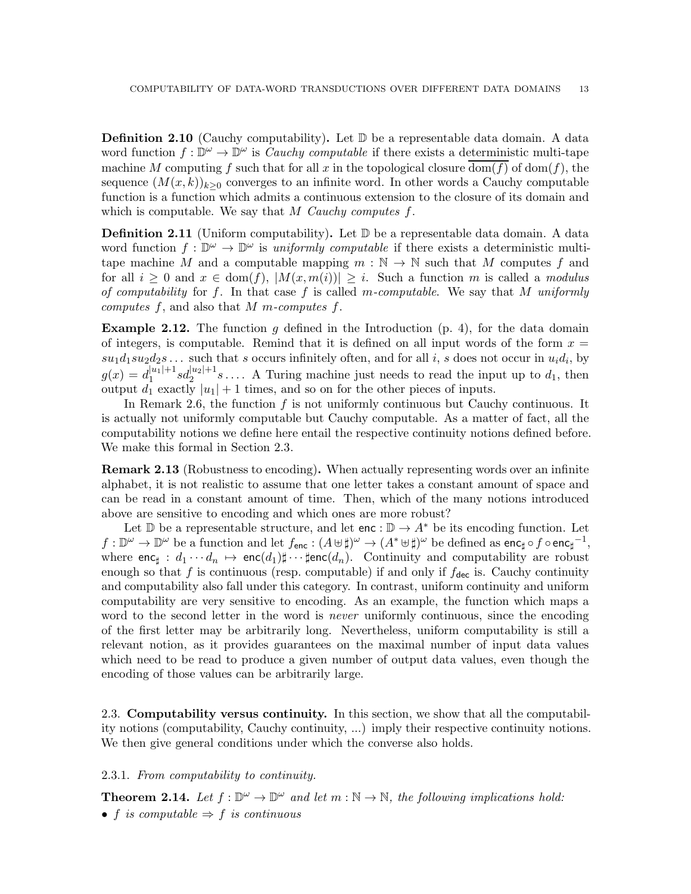**Definition 2.10** (Cauchy computability). Let  $\mathbb{D}$  be a representable data domain. A data word function  $f: \mathbb{D}^{\omega} \to \mathbb{D}^{\omega}$  is *Cauchy computable* if there exists a deterministic multi-tape machine M computing f such that for all x in the topological closure  $\overline{\text{dom}(f)}$  of  $\text{dom}(f)$ , the sequence  $(M(x, k))_{k>0}$  converges to an infinite word. In other words a Cauchy computable function is a function which admits a continuous extension to the closure of its domain and which is computable. We say that M Cauchy computes  $f$ .

Definition 2.11 (Uniform computability). Let  $\mathbb D$  be a representable data domain. A data word function  $f: \mathbb{D}^{\omega} \to \mathbb{D}^{\omega}$  is uniformly computable if there exists a deterministic multitape machine M and a computable mapping  $m : \mathbb{N} \to \mathbb{N}$  such that M computes f and for all  $i \geq 0$  and  $x \in \text{dom}(f), |M(x, m(i))| \geq i$ . Such a function m is called a modulus of computability for f. In that case f is called m-computable. We say that M uniformly computes f, and also that M m-computes f.

**Example 2.12.** The function g defined in the Introduction  $(p, 4)$  $(p, 4)$ , for the data domain of integers, is computable. Remind that it is defined on all input words of the form  $x =$  $su_1d_1su_2d_2s\ldots$  such that s occurs infinitely often, and for all i, s does not occur in  $u_id_i$ , by  $g(x) = d_1^{|u_1|+1}$  $\int_1^{|u_1|+1} s d_2^{|u_2|+1} s \ldots$  A Turing machine just needs to read the input up to  $d_1$ , then output  $d_1$  exactly  $|u_1| + 1$  times, and so on for the other pieces of inputs.

In Remark [2.6,](#page-10-1) the function  $f$  is not uniformly continuous but Cauchy continuous. It is actually not uniformly computable but Cauchy computable. As a matter of fact, all the computability notions we define here entail the respective continuity notions defined before. We make this formal in Section [2.3.](#page-12-0)

<span id="page-12-2"></span>**Remark 2.13** (Robustness to encoding). When actually representing words over an infinite alphabet, it is not realistic to assume that one letter takes a constant amount of space and can be read in a constant amount of time. Then, which of the many notions introduced above are sensitive to encoding and which ones are more robust?

Let D be a representable structure, and let enc :  $\mathbb{D} \to A^*$  be its encoding function. Let  $f: \mathbb{D}^{\omega} \to \mathbb{D}^{\omega}$  be a function and let  $f_{\mathsf{enc}}: (A \uplus \sharp)^{\omega} \to (A^{*} \uplus \sharp)^{\omega}$  be defined as  $\mathsf{enc}_{\sharp} \circ f \circ \mathsf{enc}_{\sharp}^{-1},$ where  $\mathsf{enc}_\sharp : d_1 \cdots d_n \mapsto \mathsf{enc}(d_1)\sharp \cdots \sharp \mathsf{enc}(d_n)$ . Continuity and computability are robust enough so that f is continuous (resp. computable) if and only if  $f_{\text{dec}}$  is. Cauchy continuity and computability also fall under this category. In contrast, uniform continuity and uniform computability are very sensitive to encoding. As an example, the function which maps a word to the second letter in the word is *never* uniformly continuous, since the encoding of the first letter may be arbitrarily long. Nevertheless, uniform computability is still a relevant notion, as it provides guarantees on the maximal number of input data values which need to be read to produce a given number of output data values, even though the encoding of those values can be arbitrarily large.

<span id="page-12-0"></span>2.3. Computability versus continuity. In this section, we show that all the computability notions (computability, Cauchy continuity, ...) imply their respective continuity notions. We then give general conditions under which the converse also holds.

## 2.3.1. From computability to continuity.

<span id="page-12-1"></span>**Theorem 2.14.** Let  $f : \mathbb{D}^{\omega} \to \mathbb{D}^{\omega}$  and let  $m : \mathbb{N} \to \mathbb{N}$ , the following implications hold:

• f is computable  $\Rightarrow$  f is continuous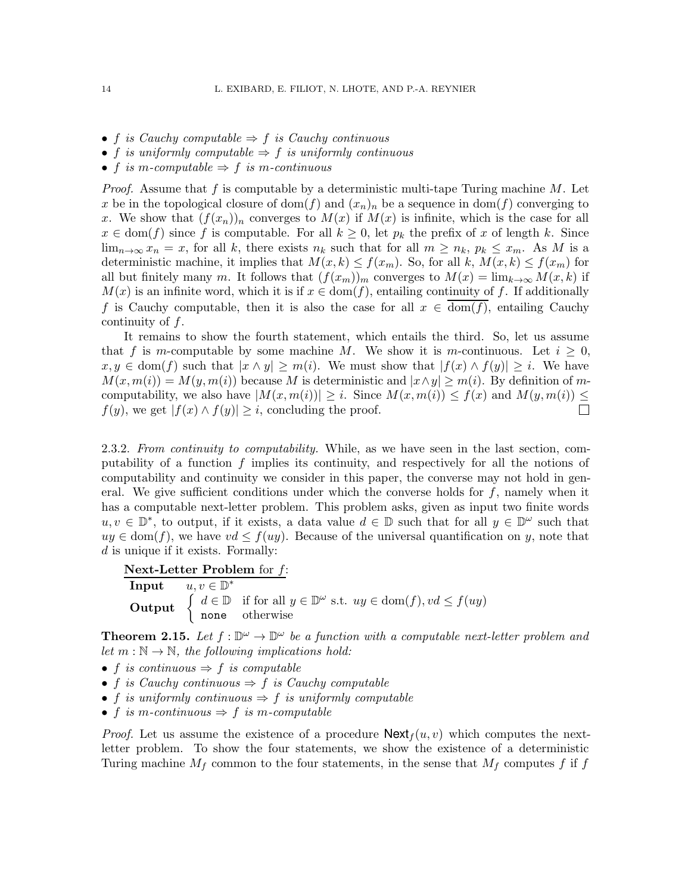- f is Cauchy computable  $\Rightarrow$  f is Cauchy continuous
- f is uniformly computable  $\Rightarrow$  f is uniformly continuous
- f is m-computable  $\Rightarrow$  f is m-continuous

*Proof.* Assume that f is computable by a deterministic multi-tape Turing machine  $M$ . Let x be in the topological closure of dom(f) and  $(x_n)_n$  be a sequence in dom(f) converging to x. We show that  $(f(x_n))_n$  converges to  $M(x)$  if  $M(x)$  is infinite, which is the case for all  $x \in \text{dom}(f)$  since f is computable. For all  $k \geq 0$ , let  $p_k$  the prefix of x of length k. Since  $\lim_{n\to\infty} x_n = x$ , for all k, there exists  $n_k$  such that for all  $m \geq n_k$ ,  $p_k \leq x_m$ . As M is a deterministic machine, it implies that  $M(x, k) \le f(x_m)$ . So, for all k,  $M(x, k) \le f(x_m)$  for all but finitely many m. It follows that  $(f(x_m))_m$  converges to  $M(x) = \lim_{k \to \infty} M(x, k)$  if  $M(x)$  is an infinite word, which it is if  $x \in \text{dom}(f)$ , entailing continuity of f. If additionally f is Cauchy computable, then it is also the case for all  $x \in \text{dom}(f)$ , entailing Cauchy continuity of f.

It remains to show the fourth statement, which entails the third. So, let us assume that f is m-computable by some machine M. We show it is m-continuous. Let  $i \geq 0$ ,  $x, y \in \text{dom}(f)$  such that  $|x \wedge y| \geq m(i)$ . We must show that  $|f(x) \wedge f(y)| \geq i$ . We have  $M(x, m(i)) = M(y, m(i))$  because M is deterministic and  $|x \wedge y| \geq m(i)$ . By definition of mcomputability, we also have  $|M(x, m(i))| \geq i$ . Since  $M(x, m(i)) \leq f(x)$  and  $M(y, m(i)) \leq j$  $f(y)$ , we get  $|f(x) \wedge f(y)| \geq i$ , concluding the proof.  $\Box$ 

2.3.2. From continuity to computability. While, as we have seen in the last section, computability of a function  $f$  implies its continuity, and respectively for all the notions of computability and continuity we consider in this paper, the converse may not hold in general. We give sufficient conditions under which the converse holds for  $f$ , namely when it has a computable next-letter problem. This problem asks, given as input two finite words  $u, v \in \mathbb{D}^*$ , to output, if it exists, a data value  $d \in \mathbb{D}$  such that for all  $y \in \mathbb{D}^{\omega}$  such that  $uy \in \text{dom}(f)$ , we have  $vd \leq f(uy)$ . Because of the universal quantification on y, note that d is unique if it exists. Formally:

Next-Letter Problem for  $f$ :

| Input  | $u, v \in \mathbb{D}^*$                                                                                                                                                                               |
|--------|-------------------------------------------------------------------------------------------------------------------------------------------------------------------------------------------------------|
| Output | $\left\{ \begin{array}{l} d \in \mathbb{D} & \text{if for all } y \in \mathbb{D}^{\omega} \text{ s.t. } uy \in \text{dom}(f), vd \leq f(uy) \\ \text{none} & \text{otherwise} \end{array} \right.$ \n |

<span id="page-13-0"></span>**Theorem 2.15.** Let  $f : \mathbb{D}^{\omega} \to \mathbb{D}^{\omega}$  be a function with a computable next-letter problem and let  $m : \mathbb{N} \to \mathbb{N}$ , the following implications hold:

- f is continuous  $\Rightarrow$  f is computable
- f is Cauchy continuous  $\Rightarrow$  f is Cauchy computable
- f is uniformly continuous  $\Rightarrow$  f is uniformly computable
- f is m-continuous  $\Rightarrow$  f is m-computable

*Proof.* Let us assume the existence of a procedure  $\text{Next}_{f}(u, v)$  which computes the nextletter problem. To show the four statements, we show the existence of a deterministic Turing machine  $M_f$  common to the four statements, in the sense that  $M_f$  computes f if f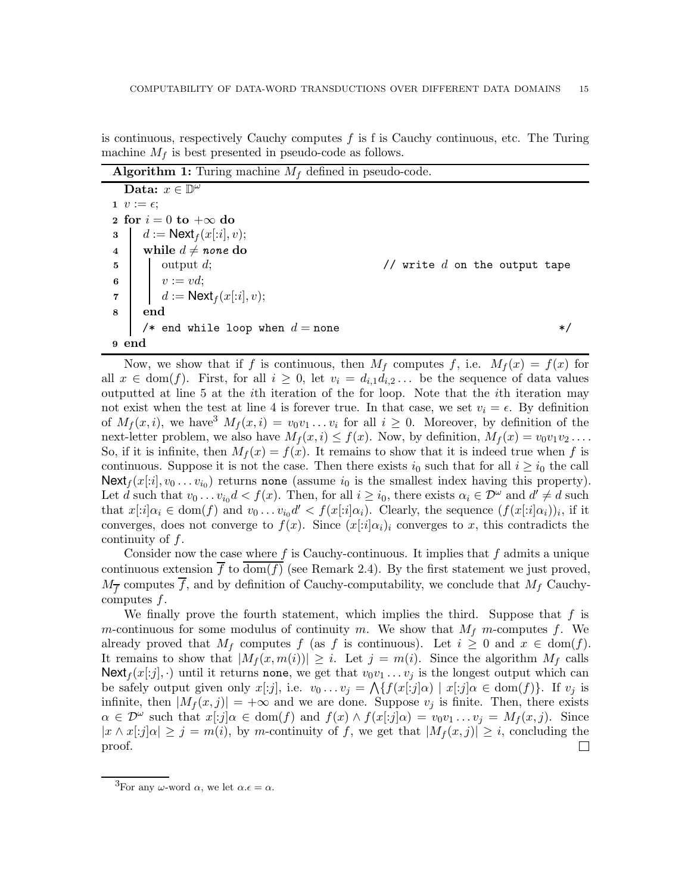is continuous, respectively Cauchy computes  $f$  is f is Cauchy continuous, etc. The Turing machine  $M_f$  is best presented in pseudo-code as follows.

**Algorithm 1:** Turing machine  $M_f$  defined in pseudo-code.

<span id="page-14-1"></span><span id="page-14-0"></span>

|                               | Data: $x \in \mathbb{D}^{\omega}$                                                                                                           |                                 |  |
|-------------------------------|---------------------------------------------------------------------------------------------------------------------------------------------|---------------------------------|--|
|                               | 1 $v := \epsilon$ ;                                                                                                                         |                                 |  |
| 2 for $i = 0$ to $+\infty$ do |                                                                                                                                             |                                 |  |
| 3 <sup>1</sup>                | $\vert d := \mathsf{Next}_f(x[:i], v);$                                                                                                     |                                 |  |
|                               | 4 while $d \neq$ none do                                                                                                                    |                                 |  |
|                               |                                                                                                                                             | // write $d$ on the output tape |  |
|                               |                                                                                                                                             |                                 |  |
|                               | 5<br>6<br>7<br>$\begin{array}{ c c c }\n\hline\n\text{output $d$;} \\ \hline\nv:=vd; \\ d:=\mathsf{Next}_f(x[:i],v); \\\hline\n\end{array}$ |                                 |  |
| $\bf{8}$                      | $\boldsymbol{\mathrm{end}}$                                                                                                                 |                                 |  |
|                               | /* end while loop when $d =$ none                                                                                                           | $*$ /                           |  |
| 9 end                         |                                                                                                                                             |                                 |  |

Now, we show that if f is continuous, then  $M_f$  computes f, i.e.  $M_f(x) = f(x)$  for all  $x \in \text{dom}(f)$ . First, for all  $i \geq 0$ , let  $v_i = d_{i,1}d_{i,2} \dots$  be the sequence of data values outputted at line [5](#page-14-0) at the ith iteration of the for loop. Note that the ith iteration may not exist when the test at line [4](#page-14-1) is forever true. In that case, we set  $v_i = \epsilon$ . By definition of  $M_f(x, i)$ , we have  $M_f(x, i) = v_0v_1 \dots v_i$  for all  $i \geq 0$ . Moreover, by definition of the next-letter problem, we also have  $M_f(x, i) \leq f(x)$ . Now, by definition,  $M_f(x) = v_0v_1v_2 \ldots$ . So, if it is infinite, then  $M_f(x) = f(x)$ . It remains to show that it is indeed true when f is continuous. Suppose it is not the case. Then there exists  $i_0$  such that for all  $i \geq i_0$  the call  $\mathsf{Next}_f(x[:i], v_0 \ldots v_{i_0})$  returns none (assume  $i_0$  is the smallest index having this property). Let d such that  $v_0 \dots v_{i_0} d < f(x)$ . Then, for all  $i \ge i_0$ , there exists  $\alpha_i \in \mathcal{D}^{\omega}$  and  $d' \ne d$  such that  $x[i]\alpha_i \in \text{dom}(f)$  and  $v_0 \ldots v_{i_0}d' < f(x[i]\alpha_i)$ . Clearly, the sequence  $(f(x[i]\alpha_i))_i$ , if it converges, does not converge to  $f(x)$ . Since  $(x[i]\alpha_i)_i$  converges to x, this contradicts the continuity of  $f$ .

Consider now the case where  $f$  is Cauchy-continuous. It implies that  $f$  admits a unique continuous extension f to dom(f) (see Remark [2.4\)](#page-10-2). By the first statement we just proved,  $M_{\overline{f}}$  computes f, and by definition of Cauchy-computability, we conclude that  $M_f$  Cauchycomputes  $f$ .

We finally prove the fourth statement, which implies the third. Suppose that  $f$  is m-continuous for some modulus of continuity m. We show that  $M_f$  m-computes f. We already proved that  $M_f$  computes f (as f is continuous). Let  $i \geq 0$  and  $x \in \text{dom}(f)$ . It remains to show that  $|M_f(x, m(i))| \geq i$ . Let  $j = m(i)$ . Since the algorithm  $M_f$  calls Next<sub>f</sub>  $(x[:j], \cdot)$  until it returns none, we get that  $v_0v_1 \ldots v_j$  is the longest output which can be safely output given only  $x[j]$ , i.e.  $v_0 \ldots v_j = \bigwedge \{ f(x[i] \alpha) \mid x[i] \alpha \in \text{dom}(f) \}.$  If  $v_j$  is infinite, then  $|M_f(x, j)| = +\infty$  and we are done. Suppose  $v_j$  is finite. Then, there exists  $\alpha \in \mathcal{D}^{\omega}$  such that  $x[:j]\alpha \in \text{dom}(f)$  and  $f(x) \wedge f(x[:j]\alpha) = v_0v_1 \dots v_j = M_f(x,j)$ . Since  $|x \wedge x[i][\alpha] \geq j = m(i)$ , by m-continuity of f, we get that  $|M_f(x,j)| \geq i$ , concluding the proof.  $\mathcal{L}^{\mathcal{A}}$ 

<span id="page-14-2"></span><sup>&</sup>lt;sup>3</sup>For any  $\omega$ -word  $\alpha$ , we let  $\alpha.\epsilon = \alpha$ .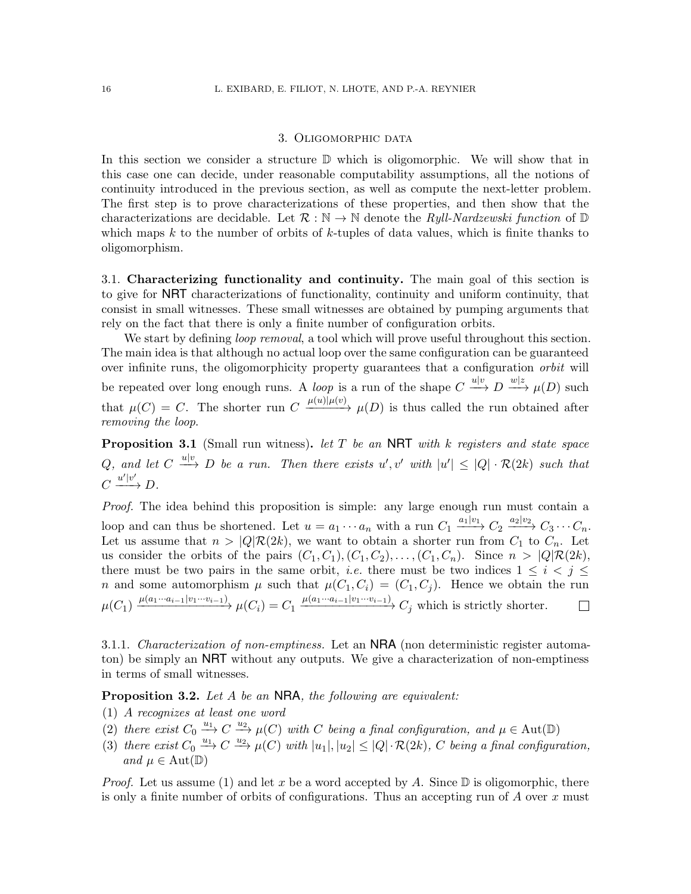### 3. Oligomorphic data

<span id="page-15-0"></span>In this section we consider a structure  $\mathbb D$  which is oligomorphic. We will show that in this case one can decide, under reasonable computability assumptions, all the notions of continuity introduced in the previous section, as well as compute the next-letter problem. The first step is to prove characterizations of these properties, and then show that the characterizations are decidable. Let  $\mathcal{R}: \mathbb{N} \to \mathbb{N}$  denote the *Ryll-Nardzewski function* of  $\mathbb{D}$ which maps  $k$  to the number of orbits of  $k$ -tuples of data values, which is finite thanks to oligomorphism.

<span id="page-15-1"></span>3.1. Characterizing functionality and continuity. The main goal of this section is to give for NRT characterizations of functionality, continuity and uniform continuity, that consist in small witnesses. These small witnesses are obtained by pumping arguments that rely on the fact that there is only a finite number of configuration orbits.

We start by defining *loop removal*, a tool which will prove useful throughout this section. The main idea is that although no actual loop over the same configuration can be guaranteed over infinite runs, the oligomorphicity property guarantees that a configuration *orbit* will be repeated over long enough runs. A *loop* is a run of the shape  $C \stackrel{u|v}{\longrightarrow} D \stackrel{w|z}{\longrightarrow} \mu(D)$  such that  $\mu(C) = C$ . The shorter run  $C \xrightarrow{\mu(u)|\mu(v)} \mu(D)$  is thus called the run obtained after removing the loop.

<span id="page-15-5"></span>**Proposition 3.1** (Small run witness). Let T be an NRT with k registers and state space Q, and let  $C \stackrel{u|v}{\longrightarrow} D$  be a run. Then there exists  $u', v'$  with  $|u'| \leq |Q| \cdot \mathcal{R}(2k)$  such that  $C \xrightarrow{u'|v'} D.$ 

Proof. The idea behind this proposition is simple: any large enough run must contain a loop and can thus be shortened. Let  $u = a_1 \cdots a_n$  with a run  $C_1 \xrightarrow{a_1|v_1} C_2 \xrightarrow{a_2|v_2} C_3 \cdots C_n$ . Let us assume that  $n > |Q| \mathcal{R}(2k)$ , we want to obtain a shorter run from  $C_1$  to  $C_n$ . Let us consider the orbits of the pairs  $(C_1, C_1), (C_1, C_2), \ldots, (C_1, C_n)$ . Since  $n > |Q| \mathcal{R}(2k)$ , there must be two pairs in the same orbit, *i.e.* there must be two indices  $1 \leq i \leq j \leq k$ n and some automorphism  $\mu$  such that  $\mu(C_1, C_i) = (C_1, C_j)$ . Hence we obtain the run  $\mu(C_1) \xrightarrow{\mu(a_1 \cdots a_{i-1} | v_1 \cdots v_{i-1})} \mu(C_i) = C_1 \xrightarrow{\mu(a_1 \cdots a_{i-1} | v_1 \cdots v_{i-1})} C_j$  which is strictly shorter.

3.1.1. Characterization of non-emptiness. Let an NRA (non deterministic register automaton) be simply an NRT without any outputs. We give a characterization of non-emptiness in terms of small witnesses.

<span id="page-15-6"></span><span id="page-15-2"></span>**Proposition 3.2.** Let A be an NRA, the following are equivalent:

- <span id="page-15-3"></span>(1) A recognizes at least one word
- <span id="page-15-4"></span>(2) there exist  $C_0 \xrightarrow{u_1} C \xrightarrow{u_2} \mu(C)$  with C being a final configuration, and  $\mu \in \text{Aut}(\mathbb{D})$
- (3) there exist  $C_0 \xrightarrow{u_1} C \xrightarrow{u_2} \mu(C)$  with  $|u_1|, |u_2| \leq |Q| \cdot \mathcal{R}(2k)$ , C being a final configuration, and  $\mu \in \text{Aut}(\mathbb{D})$

*Proof.* Let us assume [\(1\)](#page-15-2) and let x be a word accepted by A. Since  $\mathbb D$  is oligomorphic, there is only a finite number of orbits of configurations. Thus an accepting run of  $A$  over  $x$  must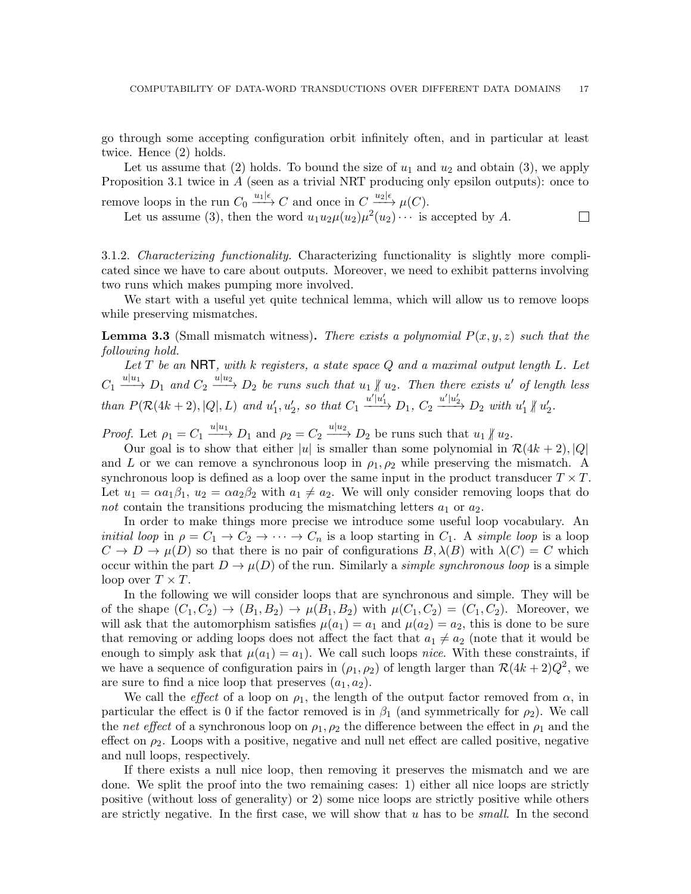go through some accepting configuration orbit infinitely often, and in particular at least twice. Hence [\(2\)](#page-15-3) holds.

Let us assume that [\(2\)](#page-15-3) holds. To bound the size of  $u_1$  and  $u_2$  and obtain [\(3\)](#page-15-4), we apply Proposition [3.1](#page-15-5) twice in A (seen as a trivial NRT producing only epsilon outputs): once to remove loops in the run  $C_0 \xrightarrow{u_1|\epsilon} C$  and once in  $C \xrightarrow{u_2|\epsilon} \mu(C)$ .

Let us assume [\(3\)](#page-15-4), then the word  $u_1u_2\mu(u_2)\mu^2(u_2)\cdots$  is accepted by A.  $\Box$ 

3.1.2. Characterizing functionality. Characterizing functionality is slightly more complicated since we have to care about outputs. Moreover, we need to exhibit patterns involving two runs which makes pumping more involved.

We start with a useful yet quite technical lemma, which will allow us to remove loops while preserving mismatches.

<span id="page-16-0"></span>**Lemma 3.3** (Small mismatch witness). There exists a polynomial  $P(x, y, z)$  such that the following hold.

Let  $T$  be an NRT, with k registers, a state space  $Q$  and a maximal output length  $L$ . Let  $C_1 \xrightarrow{u|u_1} D_1$  and  $C_2 \xrightarrow{u|u_2} D_2$  be runs such that  $u_1 \nparallel u_2$ . Then there exists u' of length less  $\mathit{than}\ P(\mathcal{R}(4k+2), |Q|, L)\ \mathit{and}\ u_1', u_2',\ \mathit{so}\ \mathit{that}\ C_1 \xrightarrow{u'|u_1'} D_1,\ C_2 \xrightarrow{u'|u_2'} D_2\ \mathit{with}\ u_1' \nparallel u_2'.$ 

*Proof.* Let  $\rho_1 = C_1 \xrightarrow{u|u_1} D_1$  and  $\rho_2 = C_2 \xrightarrow{u|u_2} D_2$  be runs such that  $u_1 \nparallel u_2$ .

Our goal is to show that either |u| is smaller than some polynomial in  $\mathcal{R}(4k+2)$ , |Q| and L or we can remove a synchronous loop in  $\rho_1, \rho_2$  while preserving the mismatch. A synchronous loop is defined as a loop over the same input in the product transducer  $T \times T$ . Let  $u_1 = \alpha a_1 \beta_1$ ,  $u_2 = \alpha a_2 \beta_2$  with  $a_1 \neq a_2$ . We will only consider removing loops that do not contain the transitions producing the mismatching letters  $a_1$  or  $a_2$ .

In order to make things more precise we introduce some useful loop vocabulary. An *initial loop* in  $\rho = C_1 \rightarrow C_2 \rightarrow \cdots \rightarrow C_n$  is a loop starting in  $C_1$ . A simple loop is a loop  $C \to D \to \mu(D)$  so that there is no pair of configurations  $B, \lambda(B)$  with  $\lambda(C) = C$  which occur within the part  $D \to \mu(D)$  of the run. Similarly a *simple synchronous loop* is a simple loop over  $T \times T$ .

In the following we will consider loops that are synchronous and simple. They will be of the shape  $(C_1, C_2) \rightarrow (B_1, B_2) \rightarrow \mu(B_1, B_2)$  with  $\mu(C_1, C_2) = (C_1, C_2)$ . Moreover, we will ask that the automorphism satisfies  $\mu(a_1) = a_1$  and  $\mu(a_2) = a_2$ , this is done to be sure that removing or adding loops does not affect the fact that  $a_1 \neq a_2$  (note that it would be enough to simply ask that  $\mu(a_1) = a_1$ . We call such loops nice. With these constraints, if we have a sequence of configuration pairs in  $(\rho_1, \rho_2)$  of length larger than  $\mathcal{R}(4k+2)Q^2$ , we are sure to find a nice loop that preserves  $(a_1, a_2)$ .

We call the *effect* of a loop on  $\rho_1$ , the length of the output factor removed from  $\alpha$ , in particular the effect is 0 if the factor removed is in  $\beta_1$  (and symmetrically for  $\rho_2$ ). We call the net effect of a synchronous loop on  $\rho_1, \rho_2$  the difference between the effect in  $\rho_1$  and the effect on  $\rho_2$ . Loops with a positive, negative and null net effect are called positive, negative and null loops, respectively.

If there exists a null nice loop, then removing it preserves the mismatch and we are done. We split the proof into the two remaining cases: 1) either all nice loops are strictly positive (without loss of generality) or 2) some nice loops are strictly positive while others are strictly negative. In the first case, we will show that u has to be small. In the second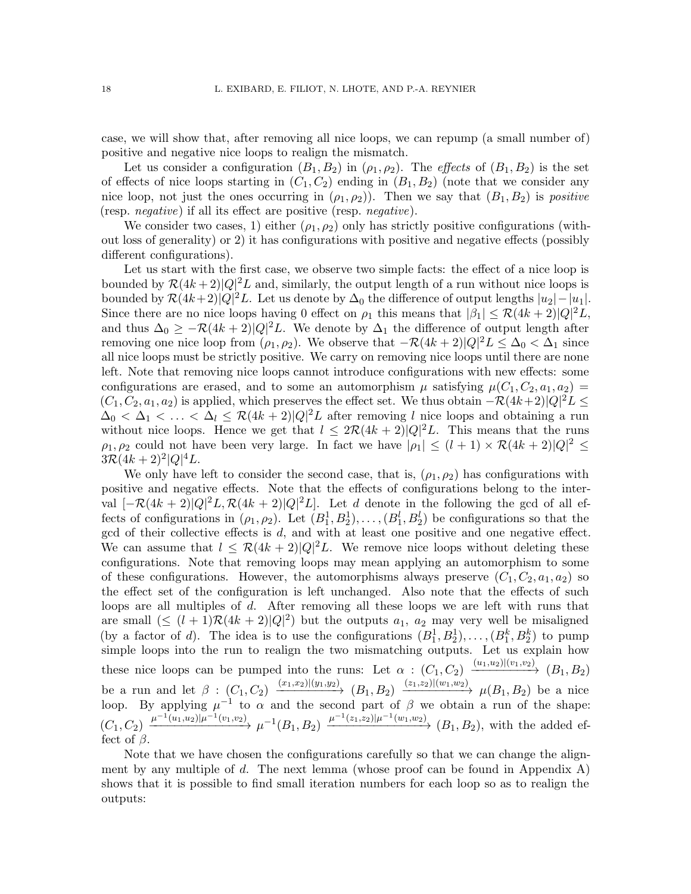case, we will show that, after removing all nice loops, we can repump (a small number of) positive and negative nice loops to realign the mismatch.

Let us consider a configuration  $(B_1, B_2)$  in  $(\rho_1, \rho_2)$ . The *effects* of  $(B_1, B_2)$  is the set of effects of nice loops starting in  $(C_1, C_2)$  ending in  $(B_1, B_2)$  (note that we consider any nice loop, not just the ones occurring in  $(\rho_1, \rho_2)$ . Then we say that  $(B_1, B_2)$  is *positive* (resp. negative) if all its effect are positive (resp. negative).

We consider two cases, 1) either  $(\rho_1, \rho_2)$  only has strictly positive configurations (without loss of generality) or 2) it has configurations with positive and negative effects (possibly different configurations).

Let us start with the first case, we observe two simple facts: the effect of a nice loop is bounded by  $\mathcal{R}(4k+2)|Q|^2L$  and, similarly, the output length of a run without nice loops is bounded by  $\mathcal{R}(4k+2)|Q|^2L$ . Let us denote by  $\Delta_0$  the difference of output lengths  $|u_2| - |u_1|$ . Since there are no nice loops having 0 effect on  $\rho_1$  this means that  $|\beta_1| \leq \mathcal{R}(4k+2)|Q|^2L$ , and thus  $\Delta_0 \geq -\mathcal{R}(4k+2)|Q|^2L$ . We denote by  $\Delta_1$  the difference of output length after removing one nice loop from  $(\rho_1, \rho_2)$ . We observe that  $-\mathcal{R}(4k+2)|Q|^2L \leq \Delta_0 < \Delta_1$  since all nice loops must be strictly positive. We carry on removing nice loops until there are none left. Note that removing nice loops cannot introduce configurations with new effects: some configurations are erased, and to some an automorphism  $\mu$  satisfying  $\mu(C_1, C_2, a_1, a_2) =$  $(C_1, C_2, a_1, a_2)$  is applied, which preserves the effect set. We thus obtain  $-\mathcal{R}(4k+2)|Q|^2L \leq$  $\Delta_0 < \Delta_1 < \ldots < \Delta_l \leq \mathcal{R}(4k+2)|Q|^2L$  after removing l nice loops and obtaining a run without nice loops. Hence we get that  $l \leq 2\mathcal{R}(4k+2)|Q|^2L$ . This means that the runs  $\rho_1, \rho_2$  could not have been very large. In fact we have  $|\rho_1| \leq (l+1) \times \mathcal{R}(4k+2)|Q|^2 \leq$  $3\mathcal{R}(4k+2)^{2}|Q|^{4}L.$ 

We only have left to consider the second case, that is,  $(\rho_1, \rho_2)$  has configurations with positive and negative effects. Note that the effects of configurations belong to the interval  $[-\mathcal{R}(4k+2)|Q|^2L, \mathcal{R}(4k+2)|Q|^2L]$ . Let d denote in the following the gcd of all effects of configurations in  $(\rho_1, \rho_2)$ . Let  $(B_1^1, B_2^1), \ldots, (B_1^l, B_2^l)$  be configurations so that the gcd of their collective effects is d, and with at least one positive and one negative effect. We can assume that  $l \leq \mathcal{R}(4k+2)|Q|^2L$ . We remove nice loops without deleting these configurations. Note that removing loops may mean applying an automorphism to some of these configurations. However, the automorphisms always preserve  $(C_1, C_2, a_1, a_2)$  so the effect set of the configuration is left unchanged. Also note that the effects of such loops are all multiples of d. After removing all these loops we are left with runs that are small  $(\leq (l+1)\mathcal{R}(4k+2)|Q|^2)$  but the outputs  $a_1, a_2$  may very well be misaligned (by a factor of d). The idea is to use the configurations  $(B_1^1, B_2^1), \ldots, (B_1^k, B_2^k)$  to pump simple loops into the run to realign the two mismatching outputs. Let us explain how these nice loops can be pumped into the runs: Let  $\alpha$  :  $(C_1, C_2) \xrightarrow{(u_1, u_2) | (v_1, v_2)} (B_1, B_2)$ be a run and let  $\beta: (C_1, C_2) \xrightarrow{(x_1,x_2)\mid (y_1,y_2)} (B_1, B_2) \xrightarrow{(z_1,z_2)\mid (w_1,w_2)} \mu(B_1, B_2)$  be a nice loop. By applying  $\mu^{-1}$  to  $\alpha$  and the second part of  $\beta$  we obtain a run of the shape:  $(C_1, C_2) \xrightarrow{\mu^{-1}(u_1, u_2) | \mu^{-1}(v_1, v_2)} \mu^{-1}(B_1, B_2) \xrightarrow{\mu^{-1}(z_1, z_2) | \mu^{-1}(w_1, w_2)} (B_1, B_2)$ , with the added effect of  $\beta$ .

Note that we have chosen the configurations carefully so that we can change the align-ment by any multiple of d. The next lemma (whose proof can be found in Appendix [A\)](#page-39-0) shows that it is possible to find small iteration numbers for each loop so as to realign the outputs: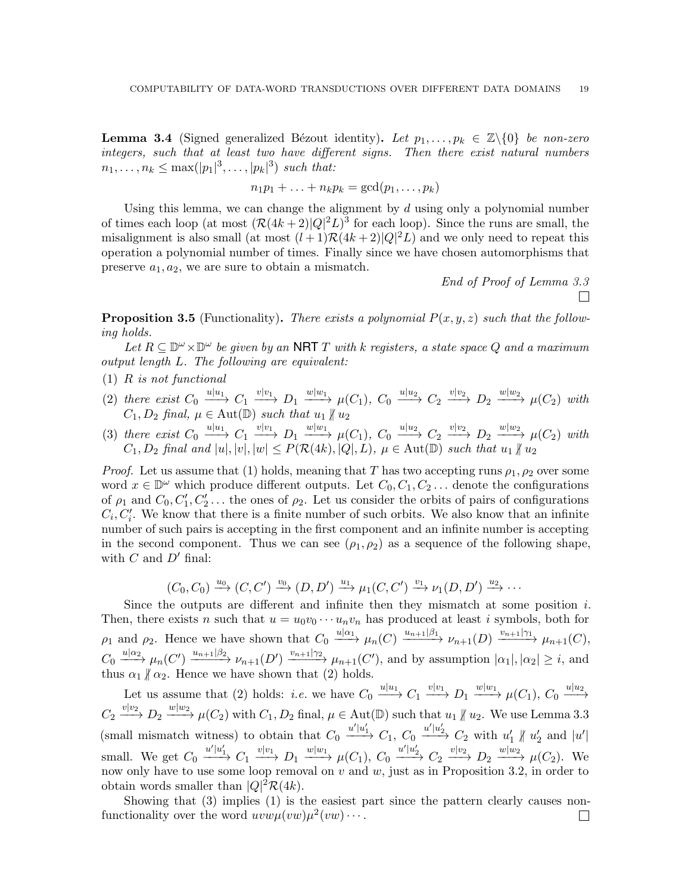<span id="page-18-0"></span>**Lemma 3.4** (Signed generalized Bézout identity). Let  $p_1, \ldots, p_k \in \mathbb{Z}\backslash\{0\}$  be non-zero integers, such that at least two have different signs. Then there exist natural numbers  $n_1, ..., n_k \leq \max(|p_1|^3, ..., |p_k|^3)$  such that:

$$
n_1p_1 + \ldots + n_kp_k = \gcd(p_1, \ldots, p_k)
$$

Using this lemma, we can change the alignment by  $d$  using only a polynomial number of times each loop (at most  $(\mathcal{R}(4k+2)|Q|^2L)^3$  for each loop). Since the runs are small, the misalignment is also small (at most  $(l+1)\mathcal{R}(4k+2)|Q|^2L$ ) and we only need to repeat this operation a polynomial number of times. Finally since we have chosen automorphisms that preserve  $a_1, a_2$ , we are sure to obtain a mismatch.

> End of Proof of Lemma [3.3](#page-16-0)  $\Box$

<span id="page-18-1"></span>**Proposition 3.5** (Functionality). There exists a polynomial  $P(x, y, z)$  such that the following holds.

Let  $R \subseteq \mathbb{D}^{\omega} \times \mathbb{D}^{\omega}$  be given by an NRT T with k registers, a state space Q and a maximum output length L. The following are equivalent:

- (1) R is not functional
- (2) there exist  $C_0 \xrightarrow{u|u_1} C_1 \xrightarrow{v|v_1} D_1 \xrightarrow{w|w_1} \mu(C_1)$ ,  $C_0 \xrightarrow{u|u_2} C_2 \xrightarrow{v|v_2} D_2 \xrightarrow{w|w_2} \mu(C_2)$  with  $C_1, D_2$  final,  $\mu \in \text{Aut}(\mathbb{D})$  such that  $u_1 \nparallel u_2$
- (3) there exist  $C_0 \xrightarrow{u|u_1} C_1 \xrightarrow{v|v_1} D_1 \xrightarrow{w|w_1} \mu(C_1)$ ,  $C_0 \xrightarrow{u|u_2} C_2 \xrightarrow{v|v_2} D_2 \xrightarrow{w|w_2} \mu(C_2)$  with  $C_1, D_2$  final and  $|u|, |v|, |w| \leq P(\mathcal{R}(4k), |Q|, L)$ ,  $\mu \in \text{Aut}(\mathbb{D})$  such that  $u_1 \nparallel u_2$

*Proof.* Let us assume that (1) holds, meaning that T has two accepting runs  $\rho_1, \rho_2$  over some word  $x \in \mathbb{D}^{\omega}$  which produce different outputs. Let  $C_0, C_1, C_2, \ldots$  denote the configurations of  $\rho_1$  and  $C_0, C'_1, C'_2, \ldots$  the ones of  $\rho_2$ . Let us consider the orbits of pairs of configurations  $C_i, C'_i$ . We know that there is a finite number of such orbits. We also know that an infinite number of such pairs is accepting in the first component and an infinite number is accepting in the second component. Thus we can see  $(\rho_1, \rho_2)$  as a sequence of the following shape, with  $C$  and  $D'$  final:

$$
(C_0, C_0) \xrightarrow{u_0} (C, C') \xrightarrow{v_0} (D, D') \xrightarrow{u_1} \mu_1(C, C') \xrightarrow{v_1} \nu_1(D, D') \xrightarrow{u_2} \cdots
$$

Since the outputs are different and infinite then they mismatch at some position  $i$ . Then, there exists n such that  $u = u_0v_0 \cdots u_nv_n$  has produced at least i symbols, both for  $\rho_1$  and  $\rho_2$ . Hence we have shown that  $C_0 \xrightarrow{u|\alpha_1} \mu_n(C) \xrightarrow{u_{n+1}|\beta_1} \nu_{n+1}(D) \xrightarrow{v_{n+1}|\gamma_1} \mu_{n+1}(C)$ ,  $C_0 \xrightarrow{u|\alpha_2} \mu_n(C') \xrightarrow{u_{n+1}|\beta_2} \nu_{n+1}(D') \xrightarrow{v_{n+1}|\gamma_2} \mu_{n+1}(C')$ , and by assumption  $|\alpha_1|, |\alpha_2| \geq i$ , and thus  $\alpha_1 \nparallel \alpha_2$ . Hence we have shown that (2) holds.

Let us assume that (2) holds: *i.e.* we have  $C_0 \xrightarrow{u|u_1} C_1 \xrightarrow{v|v_1} D_1 \xrightarrow{w|w_1} \mu(C_1)$ ,  $C_0 \xrightarrow{u|u_2}$  $C_2 \xrightarrow{v|v_2} D_2 \xrightarrow{w|w_2} \mu(C_2)$  with  $C_1, D_2$  final,  $\mu \in \text{Aut}(\mathbb{D})$  such that  $u_1 \nparallel u_2$ . We use Lemma [3.3](#page-16-0) (small mismatch witness) to obtain that  $C_0 \xrightarrow{u'|u'_1} C_1$ ,  $C_0 \xrightarrow{u'|u'_2} C_2$  with  $u'_1 \nparallel u'_2$  and  $|u'|$ small. We get  $C_0 \xrightarrow{u'|u'_1} C_1 \xrightarrow{v|v_1} D_1 \xrightarrow{w|w_1} \mu(C_1)$ ,  $C_0 \xrightarrow{u'|u'_2} C_2 \xrightarrow{v|v_2} D_2 \xrightarrow{w|w_2} \mu(C_2)$ . We now only have to use some loop removal on  $v$  and  $w$ , just as in Proposition [3.2,](#page-15-6) in order to obtain words smaller than  $|Q|^2 \mathcal{R}(4k)$ .

Showing that (3) implies (1) is the easiest part since the pattern clearly causes nonfunctionality over the word  $uvw\mu^2(vw)\cdots$ .  $\Box$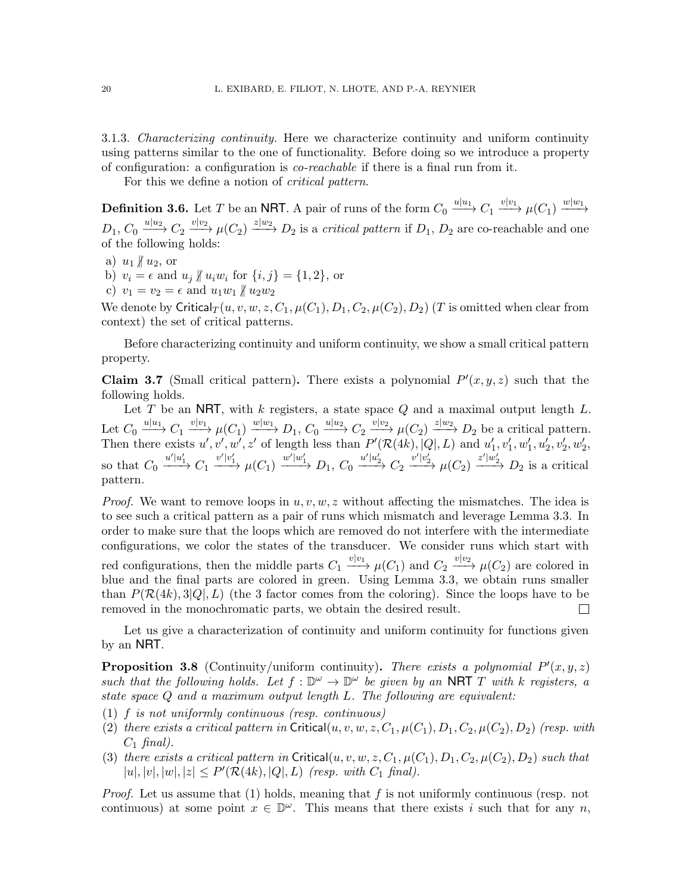3.1.3. Characterizing continuity. Here we characterize continuity and uniform continuity using patterns similar to the one of functionality. Before doing so we introduce a property of configuration: a configuration is co-reachable if there is a final run from it.

For this we define a notion of *critical pattern*.

<span id="page-19-2"></span>**Definition 3.6.** Let T be an NRT. A pair of runs of the form  $C_0 \xrightarrow{u|u_1} C_1 \xrightarrow{v|v_1} \mu(C_1) \xrightarrow{w|w_1}$  $D_1, C_0 \xrightarrow{u|u_2} C_2 \xrightarrow{v|v_2} \mu(C_2) \xrightarrow{z|w_2} D_2$  is a *critical pattern* if  $D_1, D_2$  are co-reachable and one of the following holds:

- <span id="page-19-5"></span><span id="page-19-3"></span>a)  $u_1 \nparallel u_2$ , or
- <span id="page-19-4"></span>b)  $v_i = \epsilon$  and  $u_j \nparallel u_i w_i$  for  $\{i, j\} = \{1, 2\}$ , or
- c)  $v_1 = v_2 = \epsilon$  and  $u_1w_1 \nparallel u_2w_2$

We denote by Critical $T(u, v, w, z, C_1, \mu(C_1), D_1, C_2, \mu(C_2), D_2)$  (T is omitted when clear from context) the set of critical patterns.

Before characterizing continuity and uniform continuity, we show a small critical pattern property.

<span id="page-19-0"></span>**Claim 3.7** (Small critical pattern). There exists a polynomial  $P'(x, y, z)$  such that the following holds.

Let T be an NRT, with k registers, a state space  $Q$  and a maximal output length  $L$ . Let  $C_0 \xrightarrow{u|u_1} C_1 \xrightarrow{v|v_1} \mu(C_1) \xrightarrow{w|w_1} D_1, C_0 \xrightarrow{u|u_2} C_2 \xrightarrow{v|v_2} \mu(C_2) \xrightarrow{z|w_2} D_2$  be a critical pattern. Then there exists  $u', v', w', z'$  of length less than  $P'(\mathcal{R}(4k), |Q|, L)$  and  $u'_1, v'_1, w'_1, u'_2, v'_2, w'_2, w'_3$ so that  $C_0 \xrightarrow{u'|u'_1} C_1 \xrightarrow{v'|v'_1} \mu(C_1) \xrightarrow{w'|w'_1} D_1$ ,  $C_0 \xrightarrow{u'|u'_2} C_2 \xrightarrow{v'|v'_2} \mu(C_2) \xrightarrow{z'|w'_2} D_2$  is a critical pattern.

*Proof.* We want to remove loops in  $u, v, w, z$  without affecting the mismatches. The idea is to see such a critical pattern as a pair of runs which mismatch and leverage Lemma [3.3.](#page-16-0) In order to make sure that the loops which are removed do not interfere with the intermediate configurations, we color the states of the transducer. We consider runs which start with red configurations, then the middle parts  $C_1 \xrightarrow{v|v_1} \mu(C_1)$  and  $C_2 \xrightarrow{v|v_2} \mu(C_2)$  are colored in blue and the final parts are colored in green. Using Lemma [3.3,](#page-16-0) we obtain runs smaller than  $P(\mathcal{R}(4k), 3|Q|, L)$  (the 3 factor comes from the coloring). Since the loops have to be removed in the monochromatic parts, we obtain the desired result.  $\Box$ 

Let us give a characterization of continuity and uniform continuity for functions given by an NRT.

<span id="page-19-1"></span>**Proposition 3.8** (Continuity/uniform continuity). There exists a polynomial  $P'(x, y, z)$ such that the following holds. Let  $f : \mathbb{D}^{\omega} \to \mathbb{D}^{\omega}$  be given by an NRT T with k registers, a state space Q and a maximum output length L. The following are equivalent:

- (1) f is not uniformly continuous (resp. continuous)
- (2) there exists a critical pattern in Critical $(u, v, w, z, C_1, \mu(C_1), D_1, C_2, \mu(C_2), D_2)$  (resp. with  $C_1$  final).
- (3) there exists a critical pattern in Critical $(u, v, w, z, C_1, \mu(C_1), D_1, C_2, \mu(C_2), D_2)$  such that  $|u|, |v|, |w|, |z| \le P'(\mathcal{R}(4k), |Q|, L)$  (resp. with  $C_1$  final).

*Proof.* Let us assume that  $(1)$  holds, meaning that f is not uniformly continuous (resp. not continuous) at some point  $x \in \mathbb{D}^{\omega}$ . This means that there exists i such that for any n,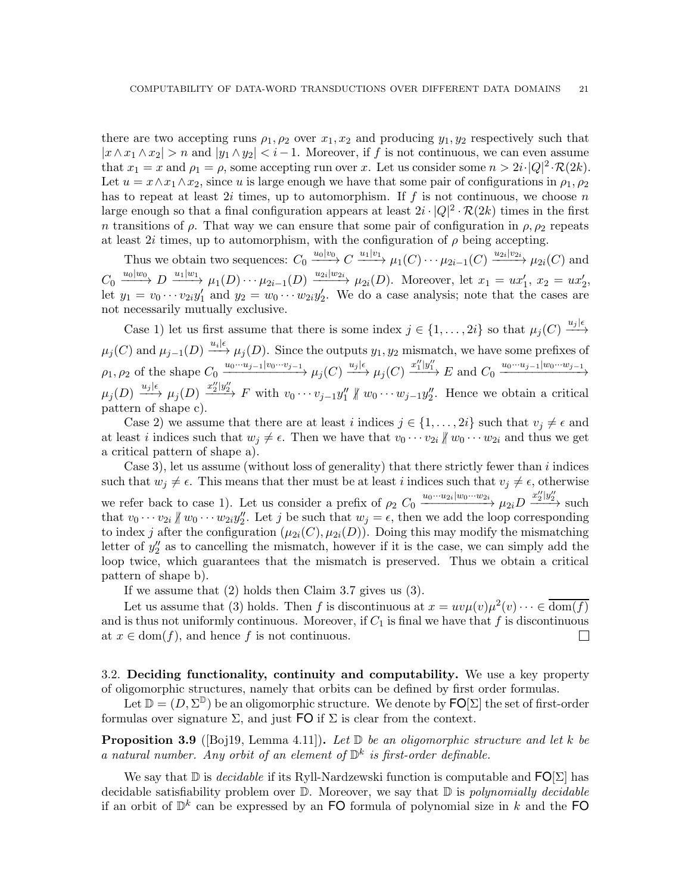there are two accepting runs  $\rho_1, \rho_2$  over  $x_1, x_2$  and producing  $y_1, y_2$  respectively such that  $|x \wedge x_1 \wedge x_2| > n$  and  $|y_1 \wedge y_2| < i-1$ . Moreover, if f is not continuous, we can even assume that  $x_1 = x$  and  $\rho_1 = \rho$ , some accepting run over x. Let us consider some  $n > 2i \cdot |Q|^2 \cdot \mathcal{R}(2k)$ . Let  $u = x \wedge x_1 \wedge x_2$ , since u is large enough we have that some pair of configurations in  $\rho_1, \rho_2$ has to repeat at least  $2i$  times, up to automorphism. If f is not continuous, we choose n large enough so that a final configuration appears at least  $2i \cdot |Q|^2 \cdot \mathcal{R}(2k)$  times in the first n transitions of  $\rho$ . That way we can ensure that some pair of configuration in  $\rho$ ,  $\rho$ <sub>2</sub> repeats at least 2i times, up to automorphism, with the configuration of  $\rho$  being accepting.

Thus we obtain two sequences:  $C_0 \xrightarrow{u_0|v_0} C \xrightarrow{u_1|v_1} \mu_1(C) \cdots \mu_{2i-1}(C) \xrightarrow{u_{2i}|v_{2i}} \mu_{2i}(C)$  and  $C_0 \xrightarrow{u_0|w_0} D \xrightarrow{u_1|w_1} \mu_1(D) \cdots \mu_{2i-1}(D) \xrightarrow{u_{2i}|w_{2i}} \mu_{2i}(D)$ . Moreover, let  $x_1 = ux'_1, x_2 = ux'_2$ , let  $y_1 = v_0 \cdots v_{2i} y_1'$  and  $y_2 = w_0 \cdots w_{2i} y_2'$ . We do a case analysis; note that the cases are not necessarily mutually exclusive.

Case 1) let us first assume that there is some index  $j \in \{1, \ldots, 2i\}$  so that  $\mu_j(C) \stackrel{u_j|\epsilon}{\longrightarrow}$  $\mu_j(C)$  and  $\mu_{j-1}(D) \xrightarrow{u_i|\epsilon} \mu_j(D)$ . Since the outputs  $y_1, y_2$  mismatch, we have some prefixes of  $\rho_1, \rho_2$  of the shape  $C_0 \xrightarrow{u_0 \cdots u_{j-1} | v_0 \cdots v_{j-1}} \mu_j(C) \xrightarrow{u_j | \epsilon} \mu_j(C) \xrightarrow{u''_1 | y''_1} E$  and  $C_0 \xrightarrow{u_0 \cdots u_{j-1} | w_0 \cdots w_{j-1}}$  $\mu_j(D) \stackrel{u_j|\epsilon}{\longrightarrow} \mu_j(D) \stackrel{x''_2|y''_2}{\longrightarrow} F$  with  $v_0 \cdots v_{j-1}y''_1 \nparallel w_0 \cdots w_{j-1}y''_2$ . Hence we obtain a critical pattern of shape c).

Case 2) we assume that there are at least i indices  $j \in \{1, \ldots, 2i\}$  such that  $v_j \neq \epsilon$  and at least i indices such that  $w_j \neq \epsilon$ . Then we have that  $v_0 \cdots v_{2i} \not\parallel w_0 \cdots w_{2i}$  and thus we get a critical pattern of shape a).

Case 3), let us assume (without loss of generality) that there strictly fewer than  $i$  indices such that  $w_i \neq \epsilon$ . This means that ther must be at least i indices such that  $v_j \neq \epsilon$ , otherwise we refer back to case 1). Let us consider a prefix of  $\rho_2$   $C_0 \xrightarrow{u_0 \cdots u_{2i}|w_0 \cdots w_{2i}} \mu_{2i} D \xrightarrow{x''_2|y''_2}$  such that  $v_0 \cdots v_{2i} \nparallel w_0 \cdots w_{2i} y''_2$ . Let j be such that  $w_j = \epsilon$ , then we add the loop corresponding to index j after the configuration  $(\mu_{2i}(C), \mu_{2i}(D))$ . Doing this may modify the mismatching letter of  $y''_2$  as to cancelling the mismatch, however if it is the case, we can simply add the loop twice, which guarantees that the mismatch is preserved. Thus we obtain a critical pattern of shape b).

If we assume that (2) holds then Claim [3.7](#page-19-0) gives us (3).

Let us assume that (3) holds. Then f is discontinuous at  $x = uv\mu(v)\mu^2(v) \cdots \in \overline{\text{dom}(f)}$ and is thus not uniformly continuous. Moreover, if  $C_1$  is final we have that f is discontinuous at  $x \in \text{dom}(f)$ , and hence f is not continuous.  $\Box$ 

<span id="page-20-0"></span>3.2. Deciding functionality, continuity and computability. We use a key property of oligomorphic structures, namely that orbits can be defined by first order formulas.

Let  $\mathbb{D} = (D, \Sigma^{\mathbb{D}})$  be an oligomorphic structure. We denote by  $\mathsf{FO}[\Sigma]$  the set of first-order formulas over signature  $\Sigma$ , and just FO if  $\Sigma$  is clear from the context.

<span id="page-20-1"></span>**Proposition 3.9** ([\[Boj19,](#page-38-4) Lemma 4.11]). Let  $\mathbb{D}$  be an oligomorphic structure and let k be a natural number. Any orbit of an element of  $\mathbb{D}^k$  is first-order definable.

We say that  $\mathbb D$  is *decidable* if its Ryll-Nardzewski function is computable and  $\mathsf{FO}(\Sigma)$  has decidable satisfiability problem over  $\mathbb D$ . Moreover, we say that  $\mathbb D$  is *polynomially decidable* if an orbit of  $\mathbb{D}^k$  can be expressed by an FO formula of polynomial size in k and the FO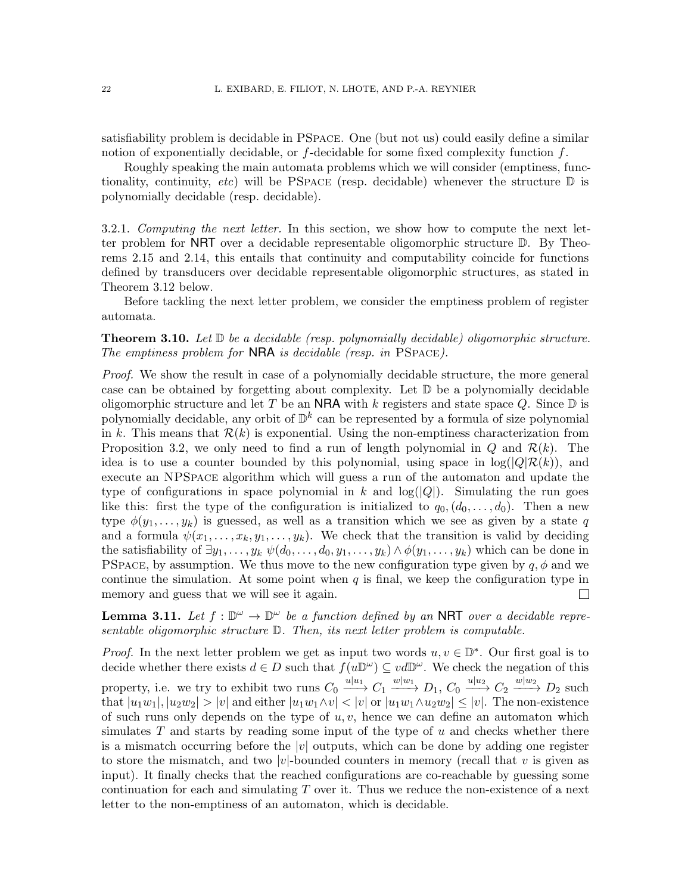satisfiability problem is decidable in PSpace. One (but not us) could easily define a similar notion of exponentially decidable, or  $f$ -decidable for some fixed complexity function  $f$ .

Roughly speaking the main automata problems which we will consider (emptiness, functionality, continuity, etc) will be PSPACE (resp. decidable) whenever the structure  $\mathbb D$  is polynomially decidable (resp. decidable).

3.2.1. Computing the next letter. In this section, we show how to compute the next letter problem for NRT over a decidable representable oligomorphic structure D. By Theorems [2.15](#page-13-0) and [2.14,](#page-12-1) this entails that continuity and computability coincide for functions defined by transducers over decidable representable oligomorphic structures, as stated in Theorem [3.12](#page-22-0) below.

Before tackling the next letter problem, we consider the emptiness problem of register automata.

**Theorem 3.10.** Let  $D$  be a decidable (resp. polynomially decidable) oligomorphic structure. The emptiness problem for  $NRA$  is decidable (resp. in PSPACE).

Proof. We show the result in case of a polynomially decidable structure, the more general case can be obtained by forgetting about complexity. Let  $\mathbb D$  be a polynomially decidable oligomorphic structure and let T be an NRA with k registers and state space Q. Since  $\mathbb D$  is polynomially decidable, any orbit of  $\mathbb{D}^k$  can be represented by a formula of size polynomial in k. This means that  $\mathcal{R}(k)$  is exponential. Using the non-emptiness characterization from Proposition [3.2,](#page-15-6) we only need to find a run of length polynomial in Q and  $\mathcal{R}(k)$ . The idea is to use a counter bounded by this polynomial, using space in  $log(|Q|\mathcal{R}(k))$ , and execute an NPSpace algorithm which will guess a run of the automaton and update the type of configurations in space polynomial in k and  $log(|Q|)$ . Simulating the run goes like this: first the type of the configuration is initialized to  $q_0, (d_0, \ldots, d_0)$ . Then a new type  $\phi(y_1, \ldots, y_k)$  is guessed, as well as a transition which we see as given by a state q and a formula  $\psi(x_1, \ldots, x_k, y_1, \ldots, y_k)$ . We check that the transition is valid by deciding the satisfiability of  $\exists y_1, \ldots, y_k \psi(d_0, \ldots, d_0, y_1, \ldots, y_k) \wedge \phi(y_1, \ldots, y_k)$  which can be done in PSPACE, by assumption. We thus move to the new configuration type given by  $q, \phi$  and we continue the simulation. At some point when  $q$  is final, we keep the configuration type in memory and guess that we will see it again.  $\Box$ 

<span id="page-21-0"></span>**Lemma 3.11.** Let  $f : \mathbb{D}^{\omega} \to \mathbb{D}^{\omega}$  be a function defined by an NRT over a decidable representable oligomorphic structure D. Then, its next letter problem is computable.

*Proof.* In the next letter problem we get as input two words  $u, v \in \mathbb{D}^*$ . Our first goal is to decide whether there exists  $d \in D$  such that  $f(u\mathbb{D}^{\omega}) \subseteq vd\mathbb{D}^{\omega}$ . We check the negation of this property, i.e. we try to exhibit two runs  $C_0 \xrightarrow{u|u_1} C_1 \xrightarrow{w|w_1} D_1$ ,  $C_0 \xrightarrow{u|u_2} C_2 \xrightarrow{w|w_2} D_2$  such that  $|u_1w_1|, |u_2w_2| > |v|$  and either  $|u_1w_1 \wedge v| < |v|$  or  $|u_1w_1 \wedge u_2w_2| \le |v|$ . The non-existence of such runs only depends on the type of  $u, v$ , hence we can define an automaton which simulates  $T$  and starts by reading some input of the type of  $u$  and checks whether there is a mismatch occurring before the |v| outputs, which can be done by adding one register to store the mismatch, and two |v|-bounded counters in memory (recall that v is given as input). It finally checks that the reached configurations are co-reachable by guessing some continuation for each and simulating  $T$  over it. Thus we reduce the non-existence of a next letter to the non-emptiness of an automaton, which is decidable.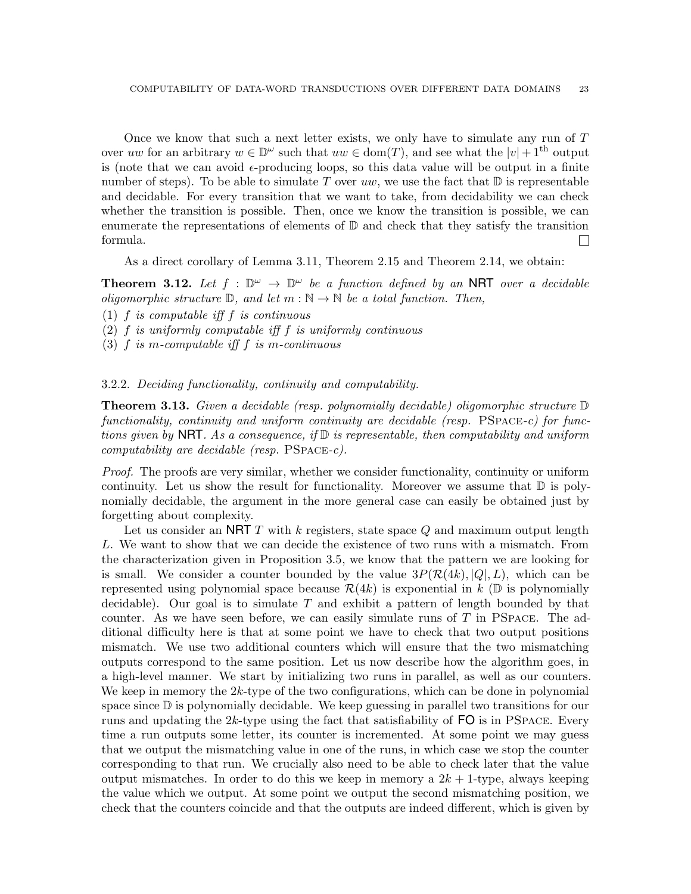Once we know that such a next letter exists, we only have to simulate any run of T over uw for an arbitrary  $w \in \mathbb{D}^{\omega}$  such that  $uw \in \text{dom}(T)$ , and see what the  $|v| + 1^{\text{th}}$  output is (note that we can avoid  $\epsilon$ -producing loops, so this data value will be output in a finite number of steps). To be able to simulate T over uw, we use the fact that  $\mathbb D$  is representable and decidable. For every transition that we want to take, from decidability we can check whether the transition is possible. Then, once we know the transition is possible, we can enumerate the representations of elements of  $\mathbb D$  and check that they satisfy the transition formula.  $\Box$ 

As a direct corollary of Lemma [3.11,](#page-21-0) Theorem [2.15](#page-13-0) and Theorem [2.14,](#page-12-1) we obtain:

<span id="page-22-0"></span>**Theorem 3.12.** Let  $f : \mathbb{D}^{\omega} \to \mathbb{D}^{\omega}$  be a function defined by an NRT over a decidable oligomorphic structure  $\mathbb{D}$ , and let  $m : \mathbb{N} \to \mathbb{N}$  be a total function. Then,

(1)  $f$  is computable iff  $f$  is continuous

 $(2)$  f is uniformly computable iff f is uniformly continuous

(3) f is m-computable iff f is m-continuous

### 3.2.2. Deciding functionality, continuity and computability.

<span id="page-22-1"></span>**Theorem 3.13.** Given a decidable (resp. polynomially decidable) oligomorphic structure  $\mathbb{D}$ functionality, continuity and uniform continuity are decidable (resp. PSPACE-c) for functions given by **NRT**. As a consequence, if  $\mathbb{D}$  is representable, then computability and uniform computability are decidable (resp.  $PSPACE-c$ ).

Proof. The proofs are very similar, whether we consider functionality, continuity or uniform continuity. Let us show the result for functionality. Moreover we assume that  $\mathbb D$  is polynomially decidable, the argument in the more general case can easily be obtained just by forgetting about complexity.

Let us consider an NRT T with k registers, state space  $Q$  and maximum output length L. We want to show that we can decide the existence of two runs with a mismatch. From the characterization given in Proposition [3.5,](#page-18-1) we know that the pattern we are looking for is small. We consider a counter bounded by the value  $3P(\mathcal{R}(4k), |Q|, L)$ , which can be represented using polynomial space because  $\mathcal{R}(4k)$  is exponential in k (D is polynomially decidable). Our goal is to simulate  $T$  and exhibit a pattern of length bounded by that counter. As we have seen before, we can easily simulate runs of  $T$  in PSPACE. The additional difficulty here is that at some point we have to check that two output positions mismatch. We use two additional counters which will ensure that the two mismatching outputs correspond to the same position. Let us now describe how the algorithm goes, in a high-level manner. We start by initializing two runs in parallel, as well as our counters. We keep in memory the 2k-type of the two configurations, which can be done in polynomial space since D is polynomially decidable. We keep guessing in parallel two transitions for our runs and updating the  $2k$ -type using the fact that satisfiability of  $FO$  is in PSPACE. Every time a run outputs some letter, its counter is incremented. At some point we may guess that we output the mismatching value in one of the runs, in which case we stop the counter corresponding to that run. We crucially also need to be able to check later that the value output mismatches. In order to do this we keep in memory a  $2k + 1$ -type, always keeping the value which we output. At some point we output the second mismatching position, we check that the counters coincide and that the outputs are indeed different, which is given by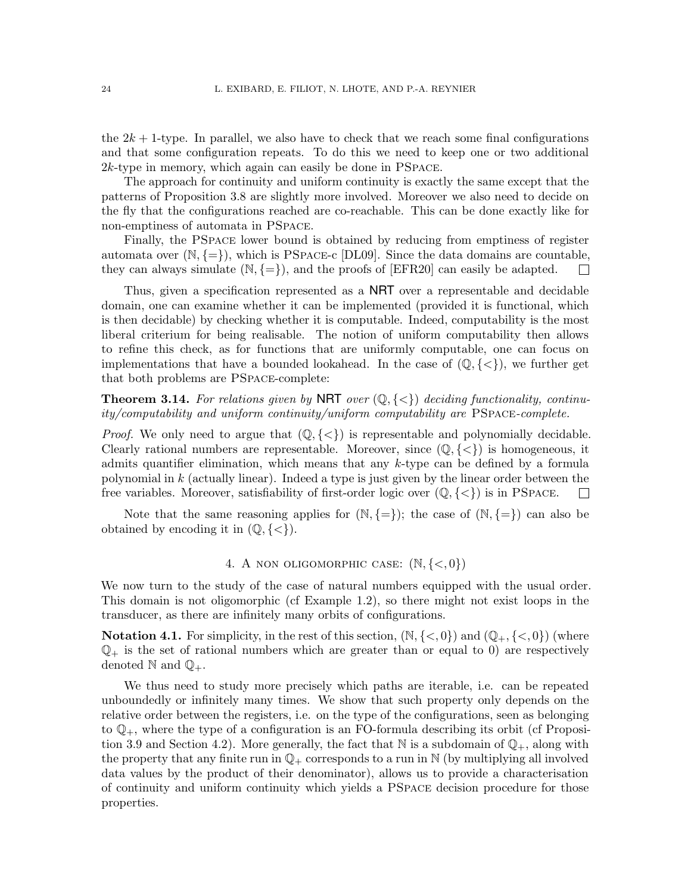the  $2k + 1$ -type. In parallel, we also have to check that we reach some final configurations and that some configuration repeats. To do this we need to keep one or two additional 2k-type in memory, which again can easily be done in PSpace.

The approach for continuity and uniform continuity is exactly the same except that the patterns of Proposition [3.8](#page-19-1) are slightly more involved. Moreover we also need to decide on the fly that the configurations reached are co-reachable. This can be done exactly like for non-emptiness of automata in PSpace.

Finally, the PSpace lower bound is obtained by reducing from emptiness of register automata over  $(N, \{=\})$ , which is PSPACE-c [DL09]. Since the data domains are countable, they can always simulate  $(N, \{=\})$ , and the proofs of [EFR20] can easily be adapted.  $\overline{\phantom{a}}$ 

Thus, given a specification represented as a NRT over a representable and decidable domain, one can examine whether it can be implemented (provided it is functional, which is then decidable) by checking whether it is computable. Indeed, computability is the most liberal criterium for being realisable. The notion of uniform computability then allows to refine this check, as for functions that are uniformly computable, one can focus on implementations that have a bounded lookahead. In the case of  $(\mathbb{Q}, \{<\})$ , we further get that both problems are PSpace-complete:

**Theorem 3.14.** For relations given by NRT over  $(\mathbb{Q}, \{<\})$  deciding functionality, continuity/computability and uniform continuity/uniform computability are PSpace-complete.

*Proof.* We only need to argue that  $(\mathbb{Q}, \{<\})$  is representable and polynomially decidable. Clearly rational numbers are representable. Moreover, since  $(\mathbb{Q}, \{<\})$  is homogeneous, it admits quantifier elimination, which means that any  $k$ -type can be defined by a formula polynomial in k (actually linear). Indeed a type is just given by the linear order between the free variables. Moreover, satisfiability of first-order logic over  $(\mathbb{Q}, \{<\})$  is in PSPACE.  $\Box$ 

Note that the same reasoning applies for  $(N, \{=\})$ ; the case of  $(N, \{=\})$  can also be obtained by encoding it in  $(\mathbb{Q}, \{<\})$ .

# 4. A NON OLIGOMORPHIC CASE:  $(N, \{<, 0\})$

<span id="page-23-0"></span>We now turn to the study of the case of natural numbers equipped with the usual order. This domain is not oligomorphic (cf Example [1.2\)](#page-7-2), so there might not exist loops in the transducer, as there are infinitely many orbits of configurations.

**Notation 4.1.** For simplicity, in the rest of this section,  $(\mathbb{N}, \{<, 0\})$  and  $(\mathbb{Q}_+, \{<, 0\})$  (where  $\mathbb{Q}_+$  is the set of rational numbers which are greater than or equal to 0) are respectively denoted  $\mathbb N$  and  $\mathbb Q_+$ .

We thus need to study more precisely which paths are iterable, i.e. can be repeated unboundedly or infinitely many times. We show that such property only depends on the relative order between the registers, i.e. on the type of the configurations, seen as belonging to  $\mathbb{Q}_+$ , where the type of a configuration is an FO-formula describing its orbit (cf Proposi-tion [3.9](#page-20-1) and Section [4.2\)](#page-24-1). More generally, the fact that N is a subdomain of  $\mathbb{Q}_+$ , along with the property that any finite run in  $\mathbb{Q}_+$  corresponds to a run in N (by multiplying all involved data values by the product of their denominator), allows us to provide a characterisation of continuity and uniform continuity which yields a PSpace decision procedure for those properties.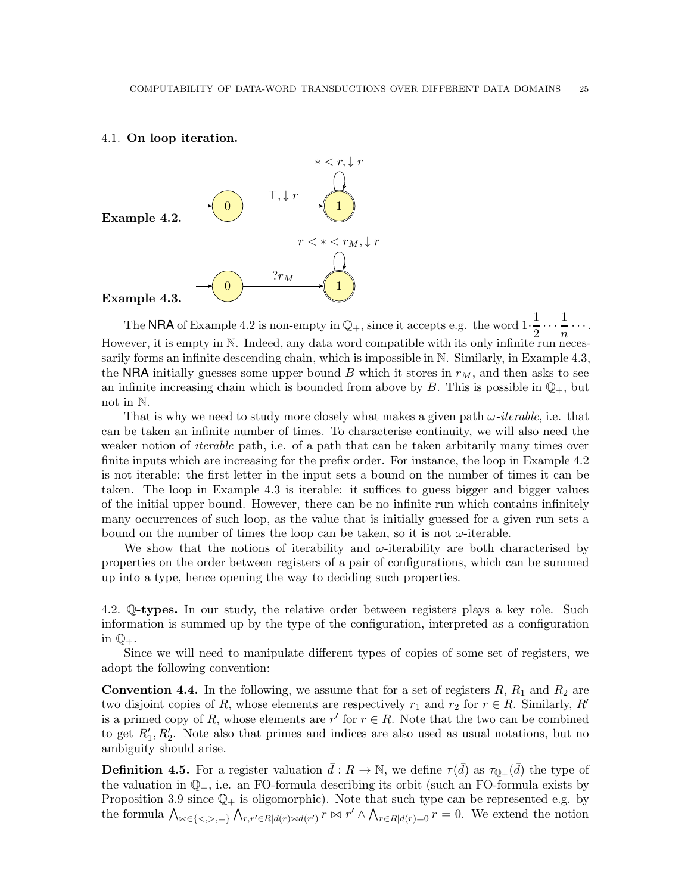## <span id="page-24-0"></span>4.1. On loop iteration.

<span id="page-24-2"></span>

<span id="page-24-3"></span>The NRA of Example [4.2](#page-24-2) is non-empty in  $\mathbb{Q}_+$ , since it accepts e.g. the word  $1 \cdot \frac{1}{2}$  $\frac{1}{2} \cdots \frac{1}{n}$  $\frac{1}{n}$ ... However, it is empty in N. Indeed, any data word compatible with its only infinite run necessarily forms an infinite descending chain, which is impossible in N. Similarly, in Example [4.3,](#page-24-3) the NRA initially guesses some upper bound B which it stores in  $r_M$ , and then asks to see an infinite increasing chain which is bounded from above by B. This is possible in  $\mathbb{Q}_+$ , but not in N.

That is why we need to study more closely what makes a given path  $\omega$ -iterable, i.e. that can be taken an infinite number of times. To characterise continuity, we will also need the weaker notion of *iterable* path, i.e. of a path that can be taken arbitarily many times over finite inputs which are increasing for the prefix order. For instance, the loop in Example [4.2](#page-24-2) is not iterable: the first letter in the input sets a bound on the number of times it can be taken. The loop in Example [4.3](#page-24-3) is iterable: it suffices to guess bigger and bigger values of the initial upper bound. However, there can be no infinite run which contains infinitely many occurrences of such loop, as the value that is initially guessed for a given run sets a bound on the number of times the loop can be taken, so it is not  $\omega$ -iterable.

We show that the notions of iterability and  $\omega$ -iterability are both characterised by properties on the order between registers of a pair of configurations, which can be summed up into a type, hence opening the way to deciding such properties.

<span id="page-24-1"></span>4.2. Q-types. In our study, the relative order between registers plays a key role. Such information is summed up by the type of the configuration, interpreted as a configuration in  $\mathbb{Q}_+$ .

Since we will need to manipulate different types of copies of some set of registers, we adopt the following convention:

**Convention 4.4.** In the following, we assume that for a set of registers  $R$ ,  $R_1$  and  $R_2$  are two disjoint copies of R, whose elements are respectively  $r_1$  and  $r_2$  for  $r \in R$ . Similarly, R' is a primed copy of R, whose elements are  $r'$  for  $r \in R$ . Note that the two can be combined to get  $R'_1, R'_2$ . Note also that primes and indices are also used as usual notations, but no ambiguity should arise.

**Definition 4.5.** For a register valuation  $\bar{d}: R \to \mathbb{N}$ , we define  $\tau(\bar{d})$  as  $\tau_{\mathbb{Q}_+}(\bar{d})$  the type of the valuation in  $\mathbb{Q}_+$ , i.e. an FO-formula describing its orbit (such an FO-formula exists by Proposition [3.9](#page-20-1) since  $\mathbb{Q}_+$  is oligomorphic). Note that such type can be represented e.g. by the formula  $\bigwedge_{\alpha\in\{\langle\alpha,\beta\rangle, \beta\}} \bigwedge_{r,r'\in R\mid \bar{d}(r)\bowtie \bar{d}(r')} r\bowtie r' \wedge \bigwedge_{r\in R\mid \bar{d}(r)=0} r=0$ . We extend the notion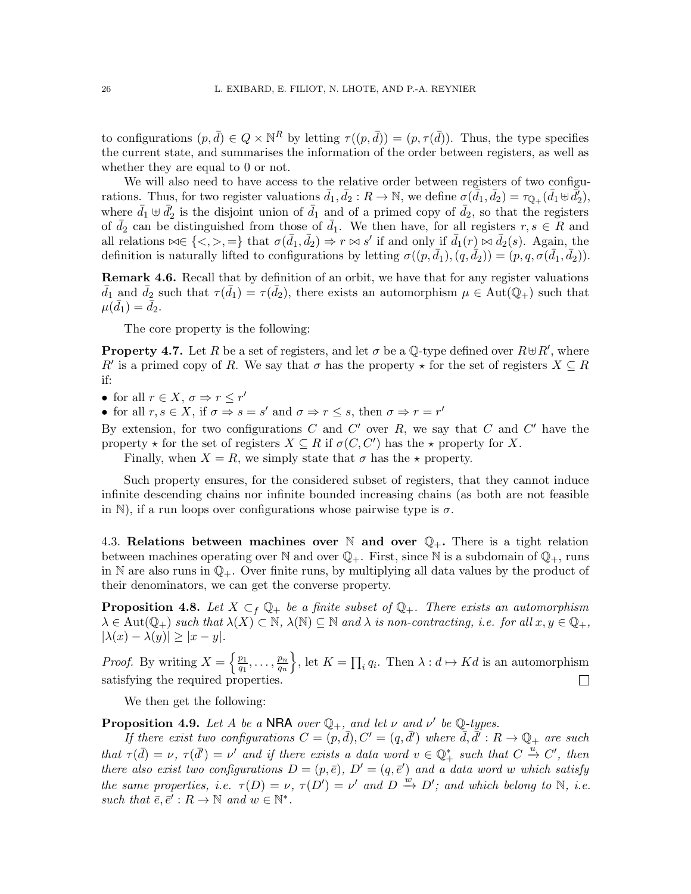to configurations  $(p, \bar{d}) \in Q \times \mathbb{N}^R$  by letting  $\tau((p, \bar{d})) = (p, \tau(\bar{d}))$ . Thus, the type specifies the current state, and summarises the information of the order between registers, as well as whether they are equal to 0 or not.

We will also need to have access to the relative order between registers of two configurations. Thus, for two register valuations  $\bar{d}_1, \bar{d}_2 : R \to \mathbb{N}$ , we define  $\sigma(\bar{d}_1, \bar{d}_2) = \tau_{\mathbb{Q}_+}(\bar{d}_1 \uplus \bar{d}'_2)$ , where  $\bar{d}_1 \oplus \bar{d}'_2$  is the disjoint union of  $\bar{d}_1$  and of a primed copy of  $\bar{d}_2$ , so that the registers of  $\bar{d}_2$  can be distinguished from those of  $\bar{d}_1$ . We then have, for all registers  $r, s \in \mathbb{R}$  and all relations  $\bowtie \in \{\langle \rangle, \rangle, =\}$  that  $\sigma(\bar{d}_1, \bar{d}_2) \Rightarrow r \bowtie s'$  if and only if  $\bar{d}_1(r) \bowtie \bar{d}_2(s)$ . Again, the definition is naturally lifted to configurations by letting  $\sigma((p, \bar{d}_1), (q, \bar{d}_2)) = (p, q, \sigma(\bar{d}_1, \bar{d}_2)).$ 

**Remark 4.6.** Recall that by definition of an orbit, we have that for any register valuations  $\bar{d}_1$  and  $\bar{d}_2$  such that  $\tau(\bar{d}_1) = \tau(\bar{d}_2)$ , there exists an automorphism  $\mu \in Aut(\mathbb{Q}_+)$  such that  $\mu(\bar{d}_1) = \bar{d}_2.$ 

The core property is the following:

**Property 4.7.** Let R be a set of registers, and let  $\sigma$  be a Q-type defined over  $R \oplus R'$ , where R' is a primed copy of R. We say that  $\sigma$  has the property  $\star$  for the set of registers  $X \subseteq R$ if:

• for all  $r \in X$ ,  $\sigma \Rightarrow r \leq r'$ 

• for all  $r, s \in X$ , if  $\sigma \Rightarrow s = s'$  and  $\sigma \Rightarrow r \leq s$ , then  $\sigma \Rightarrow r = r'$ 

By extension, for two configurations  $C$  and  $C'$  over  $R$ , we say that  $C$  and  $C'$  have the property  $\star$  for the set of registers  $X \subseteq R$  if  $\sigma(C, C')$  has the  $\star$  property for X.

Finally, when  $X = R$ , we simply state that  $\sigma$  has the  $\star$  property.

Such property ensures, for the considered subset of registers, that they cannot induce infinite descending chains nor infinite bounded increasing chains (as both are not feasible in N), if a run loops over configurations whose pairwise type is  $\sigma$ .

<span id="page-25-0"></span>4.3. Relations between machines over  $\mathbb N$  and over  $\mathbb Q_+$ . There is a tight relation between machines operating over  $\mathbb N$  and over  $\mathbb Q_+$ . First, since  $\mathbb N$  is a subdomain of  $\mathbb Q_+$ , runs in N are also runs in  $\mathbb{Q}_+$ . Over finite runs, by multiplying all data values by the product of their denominators, we can get the converse property.

<span id="page-25-1"></span>**Proposition 4.8.** Let  $X \subset_f \mathbb{Q}_+$  be a finite subset of  $\mathbb{Q}_+$ . There exists an automorphism  $\lambda \in \text{Aut}(\mathbb{Q}_+)$  such that  $\lambda(X) \subset \mathbb{N}$ ,  $\lambda(\mathbb{N}) \subseteq \mathbb{N}$  and  $\lambda$  is non-contracting, i.e. for all  $x, y \in \mathbb{Q}_+$ ,  $|\lambda(x) - \lambda(y)| \geq |x - y|.$ 

*Proof.* By writing  $X = \left\{\frac{p_1}{q_1}\right\}$ heta  $K = \prod_i q_i$ . Then  $\lambda : d \mapsto Kd$  is an automorphism  $\frac{p_1}{q_1},\ldots,\frac{p_n}{q_n}$  $\overline{q_n}$ satisfying the required properties.  $\Box$ 

We then get the following:

<span id="page-25-2"></span>**Proposition 4.9.** Let A be a NRA over  $\mathbb{Q}_+$ , and let  $\nu$  and  $\nu'$  be  $\mathbb{Q}$ -types.

If there exist two configurations  $C=(p,\bar d), C'=(q,\bar d')$  where  $\bar d, \bar d' : R \to \mathbb{Q}_+$  are such that  $\tau(\bar{d}) = \nu$ ,  $\tau(\bar{d}') = \nu'$  and if there exists a data word  $v \in \mathbb{Q}_+^*$  such that  $C \stackrel{u}{\to} C'$ , then there also exist two configurations  $D = (p, \bar{e}), D' = (q, \bar{e}^\prime)$  and a data word w which satisfy the same properties, i.e.  $\tau(D) = \nu$ ,  $\tau(D') = \nu'$  and  $D \stackrel{w}{\rightarrow} D'$ ; and which belong to N, i.e. such that  $\bar{e}, \bar{e}' : R \to \mathbb{N}$  and  $w \in \mathbb{N}^*$ .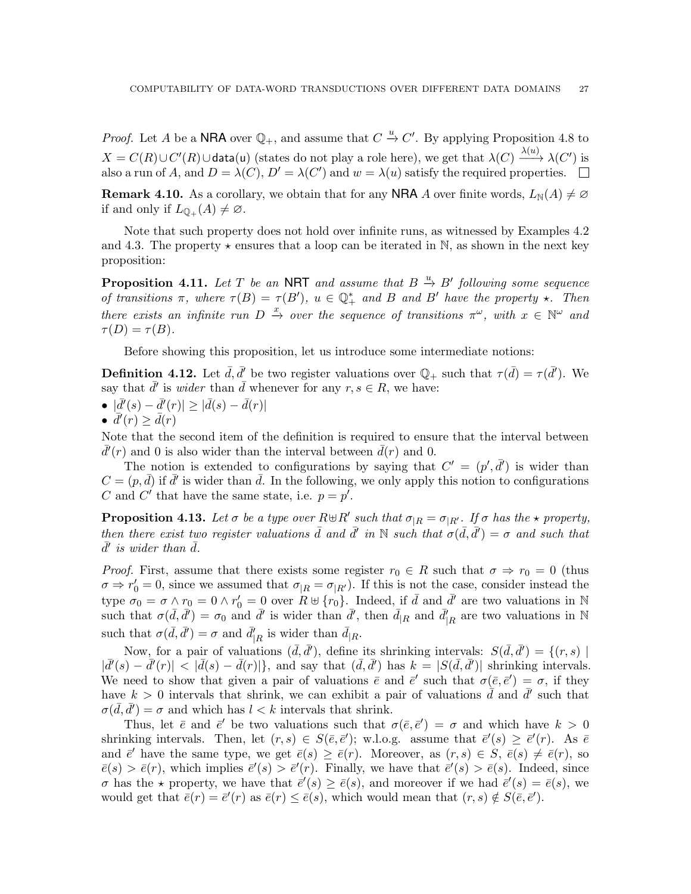*Proof.* Let A be a **NRA** over  $\mathbb{Q}_+$ , and assume that  $C \stackrel{u}{\to} C'$ . By applying Proposition [4.8](#page-25-1) to  $X = C(R) \cup C'(R) \cup \text{data}(u)$  (states do not play a role here), we get that  $\lambda(C) \xrightarrow{\lambda(u)} \lambda(C')$  is also a run of A, and  $D = \lambda(C)$ ,  $D' = \lambda(C')$  and  $w = \lambda(u)$  satisfy the required properties.

**Remark 4.10.** As a corollary, we obtain that for any **NRA** A over finite words,  $L_N(A) \neq \emptyset$ if and only if  $L_{\mathbb{Q}_+}(A) \neq \emptyset$ .

Note that such property does not hold over infinite runs, as witnessed by Examples [4.2](#page-24-2) and [4.3.](#page-24-3) The property  $\star$  ensures that a loop can be iterated in N, as shown in the next key proposition:

<span id="page-26-0"></span>**Proposition 4.11.** Let T be an NRT and assume that  $B \stackrel{u}{\rightarrow} B'$  following some sequence of transitions  $\pi$ , where  $\tau(B) = \tau(B')$ ,  $u \in \mathbb{Q}_+^*$  and B and B' have the property  $\star$ . Then there exists an infinite run  $D \stackrel{x}{\to}$  over the sequence of transitions  $\pi^{\omega}$ , with  $x \in \mathbb{N}^{\omega}$  and  $\tau(D) = \tau(B).$ 

Before showing this proposition, let us introduce some intermediate notions:

**Definition 4.12.** Let  $\bar{d}$ ,  $\bar{d}'$  be two register valuations over  $\mathbb{Q}_+$  such that  $\tau(\bar{d}) = \tau(\bar{d}')$ . We say that  $\bar{d}'$  is *wider* than  $\bar{d}$  whenever for any  $r, s \in R$ , we have:

$$
\bullet \ \ |\bar d'(s) - \bar d'(r)| \geq |\bar d(s) - \bar d(r)|
$$

$$
\bullet \ \overline{d'}(r) \ge \overline{d}(r)
$$

Note that the second item of the definition is required to ensure that the interval between  $\bar{d}'(r)$  and 0 is also wider than the interval between  $\bar{d}(r)$  and 0.

The notion is extended to configurations by saying that  $C' = (p', \bar{d}')$  is wider than  $C = (p, \bar{d})$  if  $\bar{d}'$  is wider than  $\bar{d}$ . In the following, we only apply this notion to configurations C and C' that have the same state, i.e.  $p = p'$ .

<span id="page-26-1"></span>**Proposition 4.13.** Let  $\sigma$  be a type over  $R \oplus R'$  such that  $\sigma_{|R} = \sigma_{|R'}$ . If  $\sigma$  has the  $\star$  property, then there exist two register valuations  $\bar{d}$  and  $\bar{d}'$  in N such that  $\sigma(\bar{d}, \bar{d}') = \sigma$  and such that  $\bar{d}'$  is wider than  $\bar{d}$ .

*Proof.* First, assume that there exists some register  $r_0 \in R$  such that  $\sigma \Rightarrow r_0 = 0$  (thus  $\sigma \Rightarrow r'_0 = 0$ , since we assumed that  $\sigma_{|R} = \sigma_{|R'}$ ). If this is not the case, consider instead the type  $\sigma_0 = \sigma \wedge r_0 = 0 \wedge r'_0 = 0$  over  $R \uplus \{r_0\}$ . Indeed, if  $\bar{d}$  and  $\bar{d}'$  are two valuations in N such that  $\sigma(\bar{d}, \bar{d}') = \sigma_0$  and  $\bar{d}'$  is wider than  $\bar{d}'$ , then  $\bar{d}_{R}$  and  $\bar{d}'_{R}$  are two valuations in N such that  $\sigma(\bar{d}, \bar{d}') = \sigma$  and  $\bar{d}'_{|R}$  is wider than  $\bar{d}_{|R}$ .

Now, for a pair of valuations  $(\bar{d}, \bar{d}')$ , define its shrinking intervals:  $S(\bar{d}, \bar{d}') = \{(r, s) \mid$  $|\bar{d}'(s) - \bar{d}'(r)| < |\bar{d}(s) - \bar{d}(r)|$ , and say that  $(\bar{d}, \bar{d}')$  has  $k = |S(\bar{d}, \bar{d}')|$  shrinking intervals. We need to show that given a pair of valuations  $\bar{e}$  and  $\bar{e}'$  such that  $\sigma(\bar{e}, \bar{e}') = \sigma$ , if they have  $k > 0$  intervals that shrink, we can exhibit a pair of valuations  $\bar{d}$  and  $\bar{d}'$  such that  $\sigma(\bar{d}, \bar{d}') = \sigma$  and which has  $l < k$  intervals that shrink.

Thus, let  $\bar{e}$  and  $\bar{e}'$  be two valuations such that  $\sigma(\bar{e}, \bar{e}') = \sigma$  and which have  $k > 0$ shrinking intervals. Then, let  $(r, s) \in S(\bar{e}, \bar{e}');$  w.l.o.g. assume that  $\bar{e}'(s) \geq \bar{e}'(r)$ . As  $\bar{e}$ and  $\bar{e}'$  have the same type, we get  $\bar{e}(s) \geq \bar{e}(r)$ . Moreover, as  $(r, s) \in S$ ,  $\bar{e}(s) \neq \bar{e}(r)$ , so  $\bar{e}(s) > \bar{e}(r)$ , which implies  $\bar{e}'(s) > \bar{e}'(r)$ . Finally, we have that  $\bar{e}'(s) > \bar{e}(s)$ . Indeed, since σ has the  $\star$  property, we have that  $\bar{e}'(s) \ge \bar{e}(s)$ , and moreover if we had  $\bar{e}'(s) = \bar{e}(s)$ , we would get that  $\bar{e}(r) = \bar{e}'(r)$  as  $\bar{e}(r) \leq \bar{e}(s)$ , which would mean that  $(r, s) \notin S(\bar{e}, \bar{e}').$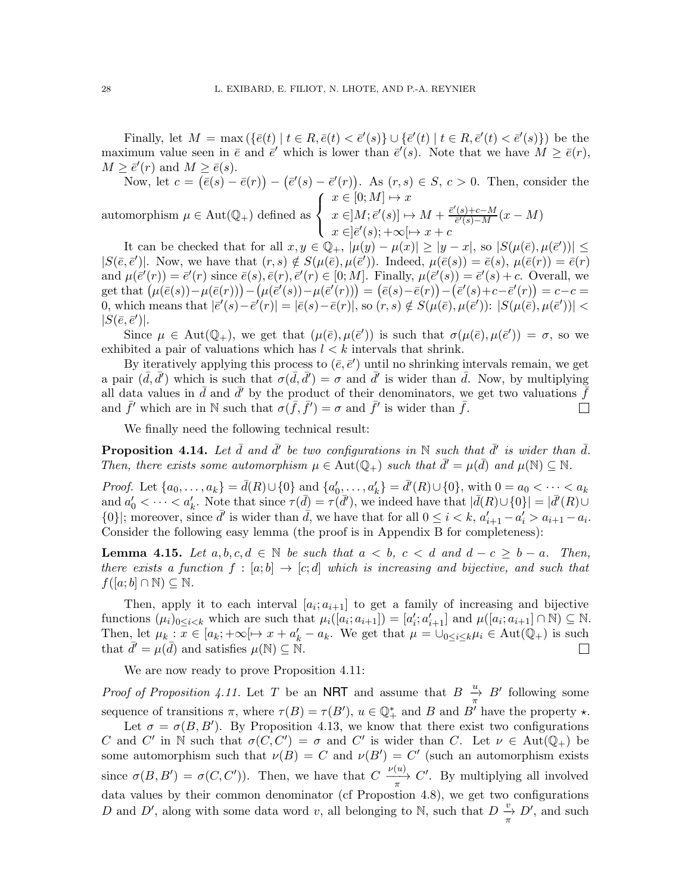Finally, let  $M = \max(\{\bar{e}(t) | t \in R, \bar{e}(t) < \bar{e}'(s)\} \cup \{\bar{e}'(t) | t \in R, \bar{e}'(t) < \bar{e}'(s)\})$  be the maximum value seen in  $\bar{e}$  and  $\bar{e}'$  which is lower than  $\bar{e}'(s)$ . Note that we have  $M \geq \bar{e}(r)$ ,  $M \geq \bar{e}'(r)$  and  $M \geq \bar{e}(s)$ .

Now, let 
$$
c = (\bar{e}(s) - \bar{e}(r)) - (\bar{e}'(s) - \bar{e}'(r))
$$
. As  $(r, s) \in S$ ,  $c > 0$ . Then, consider the automorphism  $\mu \in \text{Aut}(\mathbb{Q}_+)$  defined as 
$$
\begin{cases} x \in [0; M] \mapsto x \\ x \in ]M; \bar{e}'(s)] \mapsto M + \frac{\bar{e}'(s) + c - M}{\bar{e}'(s) - M}(x - M) \\ x \in ]\bar{e}'(s); +\infty[\mapsto x + c] \end{cases}
$$

It can be checked that for all  $x, y \in \mathbb{Q}_+$ ,  $|\mu(y) - \mu(x)| \geq |y - x|$ , so  $|S(\mu(\bar{e}), \mu(\bar{e}'))| \leq$  $|S(\bar{e}, \bar{e}^\prime)|$ . Now, we have that  $(r, s) \notin S(\mu(\bar{e}), \mu(\bar{e}^\prime))$ . Indeed,  $\mu(\bar{e}(s)) = \bar{e}(s)$ ,  $\mu(\bar{e}(r)) = \bar{e}(r)$ and  $\mu(\bar{e}'(r)) = \bar{e}'(r)$  since  $\bar{e}(s), \bar{e}(r), \bar{e}'(r) \in [0; M]$ . Finally,  $\mu(\bar{e}'(s)) = \bar{e}'(s) + c$ . Overall, we  $\text{get that } (\mu(\bar{e}(s)) - \mu(\bar{e}(r))) - (\mu(\bar{e}'(s)) - \mu(\bar{e}'(r))) = (\bar{e}(s) - \bar{e}(r)) - (\bar{e}'(s) + c - \bar{e}'(r)) = c - c = 0$ 0, which means that  $|\bar{e}'(s) - \bar{e}'(r)| = |\bar{e}(s) - \bar{e}(r)|$ , so  $(r, s) \notin S(\mu(\bar{e}), \mu(\bar{e}')) : |S(\mu(\bar{e}), \mu(\bar{e}'))|$  $|S(\bar{e}, \bar{e}')]$ .

Since  $\mu \in Aut(\mathbb{Q}_+)$ , we get that  $(\mu(\bar{e}), \mu(\bar{e}'))$  is such that  $\sigma(\mu(\bar{e}), \mu(\bar{e}')) = \sigma$ , so we exhibited a pair of valuations which has  $l < k$  intervals that shrink.

By iteratively applying this process to  $(\bar{e}, \bar{e}')$  until no shrinking intervals remain, we get a pair  $(\bar{d}, \bar{d}')$  which is such that  $\sigma(\bar{d}, \bar{d}') = \sigma$  and  $\bar{d}'$  is wider than  $\bar{d}$ . Now, by multiplying all data values in  $\bar{d}$  and  $\bar{d}'$  by the product of their denominators, we get two valuations  $\bar{f}$ and  $\bar{f}'$  which are in N such that  $\sigma(\bar{f}, \bar{f}') = \sigma$  and  $\bar{f}'$  is wider than  $\bar{f}$ .  $\Box$ 

We finally need the following technical result:

<span id="page-27-1"></span>**Proposition 4.14.** Let  $\bar{d}$  and  $\bar{d}'$  be two configurations in N such that  $\bar{d}'$  is wider than  $\bar{d}$ . Then, there exists some automorphism  $\mu \in Aut(\mathbb{Q}_+)$  such that  $\bar{d}' = \mu(\bar{d})$  and  $\mu(\mathbb{N}) \subseteq \mathbb{N}$ .

*Proof.* Let  $\{a_0, \ldots, a_k\} = \bar{d}(R) \cup \{0\}$  and  $\{a'_0, \ldots, a'_k\} = \bar{d}'(R) \cup \{0\}$ , with  $0 = a_0 < \cdots < a_k$ and  $a'_0 < \cdots < a'_k$ . Note that since  $\tau(\bar{d}) = \tau(\bar{d}')$ , we indeed have that  $|\bar{d}(R) \cup \{0\}| = |\bar{d}'(R) \cup$  $\{0\}$ ; moreover, since  $\bar{d}'$  is wider than  $\bar{d}$ , we have that for all  $0 \leq i < k$ ,  $a'_{i+1} - a'_{i} > a_{i+1} - a_{i}$ . Consider the following easy lemma (the proof is in Appendix [B](#page-40-0) for completeness):

<span id="page-27-0"></span>**Lemma 4.15.** Let  $a, b, c, d \in \mathbb{N}$  be such that  $a < b, c < d$  and  $d - c \geq b - a$ . Then, there exists a function  $f : [a; b] \to [c; d]$  which is increasing and bijective, and such that  $f([a; b] \cap \mathbb{N}) \subseteq \mathbb{N}$ .

Then, apply it to each interval  $[a_i; a_{i+1}]$  to get a family of increasing and bijective functions  $(\mu_i)_{0 \leq i < k}$  which are such that  $\mu_i([a_i; a_{i+1}]) = [a'_i; a'_{i+1}]$  and  $\mu([a_i; a_{i+1}] \cap \mathbb{N}) \subseteq \mathbb{N}$ . Then, let  $\mu_k$ :  $\overline{x} \in [a_k; +\infty[\rightarrow x + a'_k - a_k]$ . We get that  $\mu = \bigcup_{0 \leq i \leq k} \mu_i \in \text{Aut}(\mathbb{Q}_+)$  is such that  $\bar{d}' = \mu(\bar{d})$  and satisfies  $\mu(\mathbb{N}) \subseteq \mathbb{N}$ .  $\overline{\phantom{a}}$ 

We are now ready to prove Proposition  $4.11$ :

*Proof of Proposition [4.11.](#page-26-0)* Let T be an **NRT** and assume that  $B \frac{u}{\pi} B'$  following some sequence of transitions  $\pi$ , where  $\tau(B) = \tau(B')$ ,  $u \in \mathbb{Q}_+^*$  and B and B' have the property  $\star$ .

Let  $\sigma = \sigma(B, B')$ . By Proposition [4.13,](#page-26-1) we know that there exist two configurations C and C' in N such that  $\sigma(C, C') = \sigma$  and C' is wider than C. Let  $\nu \in Aut(\mathbb{Q}_+)$  be some automorphism such that  $\nu(B) = C$  and  $\nu(B') = C'$  (such an automorphism exists since  $\sigma(B, B') = \sigma(C, C')$ ). Then, we have that  $C \xrightarrow[\pi]{\nu(u)} C'$ . By multiplying all involved data values by their common denominator (cf Propostion [4.8\)](#page-25-1), we get two configurations D and D', along with some data word v, all belonging to N, such that  $D\frac{v}{\pi}$ , D', and such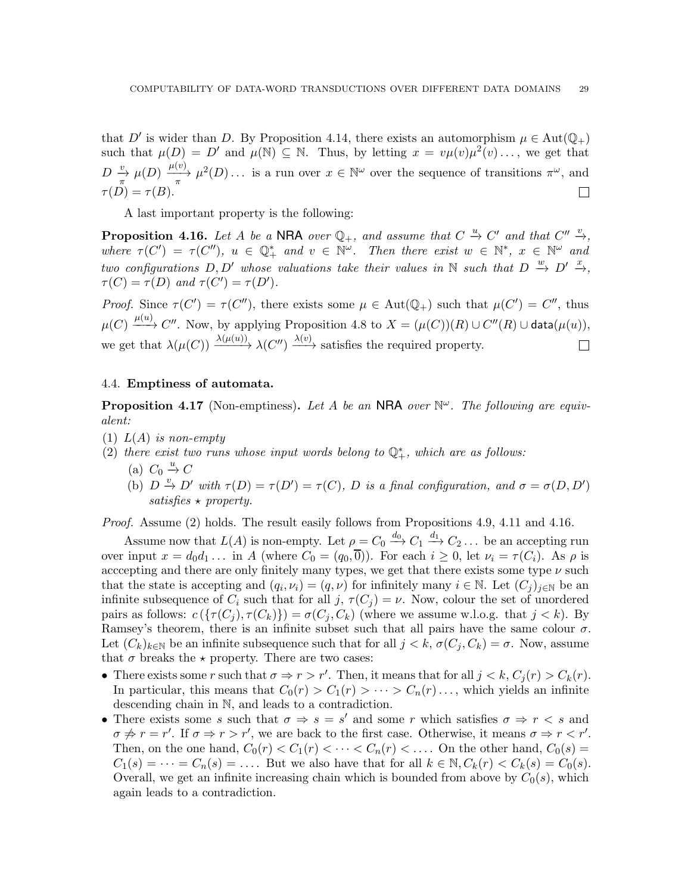that D' is wider than D. By Proposition [4.14,](#page-27-1) there exists an automorphism  $\mu \in Aut(\mathbb{Q}_+)$ such that  $\mu(D) = D'$  and  $\mu(\mathbb{N}) \subseteq \mathbb{N}$ . Thus, by letting  $x = v\mu(v)\mu^2(v) \dots$ , we get that  $D \stackrel{v}{\to} \mu(D) \stackrel{\mu(v)}{\to} \mu^2(D) \ldots$  is a run over  $x \in \mathbb{N}^\omega$  over the sequence of transitions  $\pi^\omega$ , and  $\tau(D) = \tau(B).$  $\Box$ 

A last important property is the following:

<span id="page-28-1"></span>**Proposition 4.16.** Let A be a NRA over  $\mathbb{Q}_+$ , and assume that  $C \stackrel{u}{\rightarrow} C'$  and that  $C'' \stackrel{v}{\rightarrow}$ , where  $\tau(C') = \tau(C'')$ ,  $u \in \mathbb{Q}_+^*$  and  $v \in \mathbb{N}^\omega$ . Then there exist  $w \in \mathbb{N}^*$ ,  $x \in \mathbb{N}^\omega$  and two configurations  $D, D'$  whose valuations take their values in N such that  $D \stackrel{w}{\rightarrow} D' \stackrel{x}{\rightarrow}$ ,  $\tau(C) = \tau(D)$  and  $\tau(C') = \tau(D')$ .

Proof. Since  $\tau(C') = \tau(C'')$ , there exists some  $\mu \in Aut(\mathbb{Q}_+)$  such that  $\mu(C') = C''$ , thus  $\mu(C) \xrightarrow{\mu(u)} C''.$  Now, by applying Proposition [4.8](#page-25-1) to  $X = (\mu(C))(R) \cup C''(R) \cup \textsf{data}(\mu(u)),$ we get that  $\lambda(\mu(C)) \xrightarrow{\lambda(\mu(u))} \lambda(C'') \xrightarrow{\lambda(v)}$  satisfies the required property.  $\Box$ 

### <span id="page-28-0"></span>4.4. Emptiness of automata.

<span id="page-28-3"></span>**Proposition 4.17** (Non-emptiness). Let A be an NRA over  $\mathbb{N}^{\omega}$ . The following are equivalent:

- $(1) L(A)$  is non-empty
- <span id="page-28-4"></span><span id="page-28-2"></span>(2) there exist two runs whose input words belong to  $\mathbb{Q}^*_+$ , which are as follows:
	- (a)  $C_0 \stackrel{u}{\rightarrow} C$
	- (b)  $D \stackrel{v}{\to} D'$  with  $\tau(D) = \tau(D') = \tau(C)$ , D is a final configuration, and  $\sigma = \sigma(D, D')$  $satisfies \star property.$

Proof. Assume (2) holds. The result easily follows from Propositions [4.9,](#page-25-2) [4.11](#page-26-0) and [4.16.](#page-28-1)

Assume now that  $L(A)$  is non-empty. Let  $\rho = C_0 \stackrel{d_0}{\longrightarrow} C_1 \stackrel{d_1}{\longrightarrow} C_2 \dots$  be an accepting run over input  $x = d_0d_1 \dots$  in A (where  $C_0 = (q_0, \overline{0})$ ). For each  $i \geq 0$ , let  $\nu_i = \tau(C_i)$ . As  $\rho$  is acccepting and there are only finitely many types, we get that there exists some type  $\nu$  such that the state is accepting and  $(q_i, \nu_i) = (q, \nu)$  for infinitely many  $i \in \mathbb{N}$ . Let  $(C_j)_{j \in \mathbb{N}}$  be an infinite subsequence of  $C_i$  such that for all  $j, \tau(C_j) = \nu$ . Now, colour the set of unordered pairs as follows:  $c(\{\tau(C_i), \tau(C_k)\}) = \sigma(C_i, C_k)$  (where we assume w.l.o.g. that  $j < k$ ). By Ramsey's theorem, there is an infinite subset such that all pairs have the same colour  $\sigma$ . Let  $(C_k)_{k\in\mathbb{N}}$  be an infinite subsequence such that for all  $j < k$ ,  $\sigma(C_j, C_k) = \sigma$ . Now, assume that  $\sigma$  breaks the  $\star$  property. There are two cases:

- There exists some r such that  $\sigma \Rightarrow r > r'$ . Then, it means that for all  $j < k$ ,  $C_j(r) > C_k(r)$ . In particular, this means that  $C_0(r) > C_1(r) > \cdots > C_n(r) \ldots$ , which yields an infinite descending chain in N, and leads to a contradiction.
- There exists some s such that  $\sigma \Rightarrow s = s'$  and some r which satisfies  $\sigma \Rightarrow r < s$  and  $\sigma \neq r = r'$ . If  $\sigma \Rightarrow r > r'$ , we are back to the first case. Otherwise, it means  $\sigma \Rightarrow r < r'$ . Then, on the one hand,  $C_0(r) < C_1(r) < \cdots < C_n(r) < \cdots$  On the other hand,  $C_0(s)$  $C_1(s) = \cdots = C_n(s) = \ldots$ . But we also have that for all  $k \in \mathbb{N}, C_k(r) < C_k(s) = C_0(s)$ . Overall, we get an infinite increasing chain which is bounded from above by  $C_0(s)$ , which again leads to a contradiction.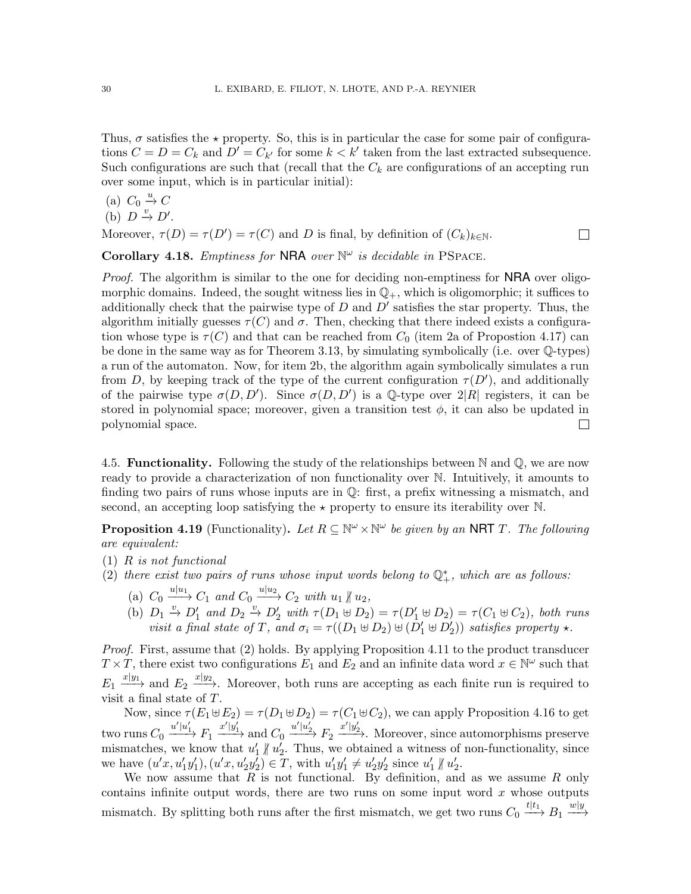Thus,  $\sigma$  satisfies the  $\star$  property. So, this is in particular the case for some pair of configurations  $C = D = C_k$  and  $D' = C_{k'}$  for some  $k < k'$  taken from the last extracted subsequence. Such configurations are such that (recall that the  $C_k$  are configurations of an accepting run over some input, which is in particular initial):

(a)  $C_0 \stackrel{u}{\rightarrow} C$ 

(b) 
$$
D \stackrel{v}{\rightarrow} D'
$$

.

Moreover,  $\tau(D) = \tau(D') = \tau(C)$  and D is final, by definition of  $(C_k)_{k \in \mathbb{N}}$ .  $\Box$ 

<span id="page-29-4"></span>Corollary 4.18. Emptiness for NRA over  $\mathbb{N}^{\omega}$  is decidable in PSPACE.

Proof. The algorithm is similar to the one for deciding non-emptiness for NRA over oligomorphic domains. Indeed, the sought witness lies in  $\mathbb{Q}_+$ , which is oligomorphic; it suffices to additionally check that the pairwise type of  $D$  and  $D'$  satisfies the star property. Thus, the algorithm initially guesses  $\tau(C)$  and  $\sigma$ . Then, checking that there indeed exists a configuration whose type is  $\tau(C)$  and that can be reached from  $C_0$  (item [2a](#page-28-2) of Propostion [4.17\)](#page-28-3) can be done in the same way as for Theorem [3.13,](#page-22-1) by simulating symbolically (i.e. over Q-types) a run of the automaton. Now, for item [2b,](#page-28-4) the algorithm again symbolically simulates a run from D, by keeping track of the type of the current configuration  $\tau(D')$ , and additionally of the pairwise type  $\sigma(D, D')$ . Since  $\sigma(D, D')$  is a Q-type over  $2|R|$  registers, it can be stored in polynomial space; moreover, given a transition test  $\phi$ , it can also be updated in polynomial space.  $\Box$ 

<span id="page-29-0"></span>4.5. **Functionality.** Following the study of the relationships between  $\mathbb N$  and  $\mathbb Q$ , we are now ready to provide a characterization of non functionality over N. Intuitively, it amounts to finding two pairs of runs whose inputs are in Q: first, a prefix witnessing a mismatch, and second, an accepting loop satisfying the  $\star$  property to ensure its iterability over N.

**Proposition 4.19** (Functionality). Let  $R \subseteq \mathbb{N}^{\omega} \times \mathbb{N}^{\omega}$  be given by an NRT T. The following are equivalent:

- <span id="page-29-1"></span>(1) R is not functional
- <span id="page-29-3"></span><span id="page-29-2"></span>(2) there exist two pairs of runs whose input words belong to  $\mathbb{Q}^*_+$ , which are as follows:
	- (a)  $C_0 \xrightarrow{u|u_1} C_1$  and  $C_0 \xrightarrow{u|u_2} C_2$  with  $u_1 \nparallel u_2$ ,
	- (b)  $D_1 \stackrel{v}{\rightarrow} D'_1$  and  $D_2 \stackrel{v}{\rightarrow} D'_2$  with  $\tau(D_1 \uplus D_2) = \tau(D'_1 \uplus D_2) = \tau(C_1 \uplus C_2)$ , both runs visit a final state of T, and  $\sigma_i = \tau((D_1 \oplus D_2) \oplus (D'_1 \oplus D'_2))$  satisfies property  $\star$ .

Proof. First, assume that [\(2\)](#page-29-1) holds. By applying Proposition [4.11](#page-26-0) to the product transducer  $T \times T$ , there exist two configurations  $E_1$  and  $E_2$  and an infinite data word  $x \in \mathbb{N}^{\omega}$  such that  $E_1 \xrightarrow{x|y_1}$  and  $E_2 \xrightarrow{x|y_2}$ . Moreover, both runs are accepting as each finite run is required to visit a final state of T.

Now, since  $\tau(E_1 \oplus E_2) = \tau(D_1 \oplus D_2) = \tau(C_1 \oplus C_2)$ , we can apply Proposition [4.16](#page-28-1) to get two runs  $C_0 \xrightarrow{u'|u'_1} F_1 \xrightarrow{x'|y'_1}$  and  $C_0 \xrightarrow{u'|u'_2} F_2 \xrightarrow{x'|y'_2}$ . Moreover, since automorphisms preserve mismatches, we know that  $u'_1 \nparallel u'_2$ . Thus, we obtained a witness of non-functionality, since we have  $(u'x, u'_1y'_1), (u'x, u'_2y'_2) \in T$ , with  $u'_1y'_1 \neq u'_2y'_2$  since  $u'_1 \nparallel u'_2$ .

We now assume that  $R$  is not functional. By definition, and as we assume  $R$  only contains infinite output words, there are two runs on some input word  $x$  whose outputs mismatch. By splitting both runs after the first mismatch, we get two runs  $C_0 \xrightarrow{t|t_1} B_1 \xrightarrow{w|y}$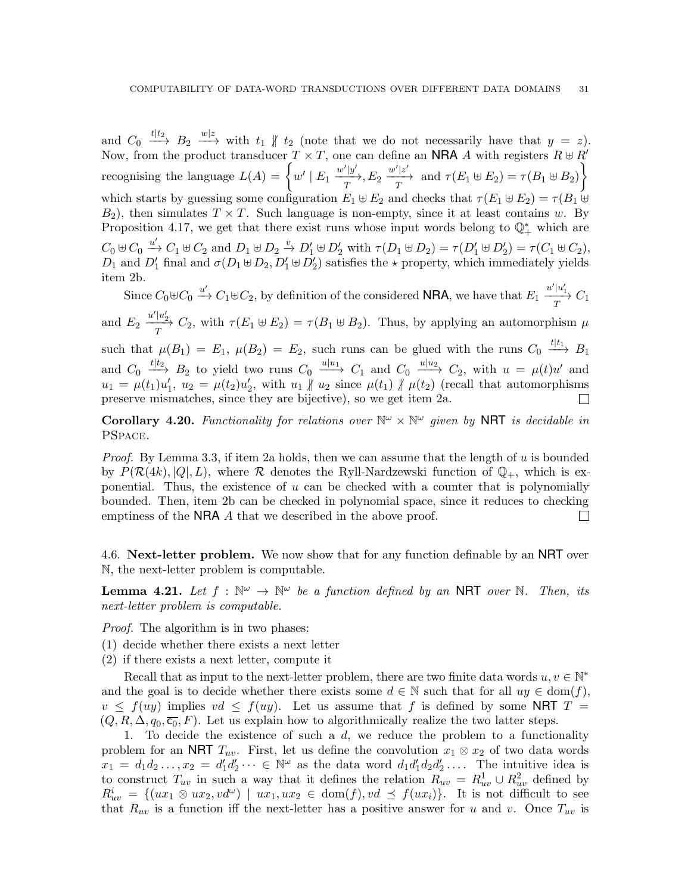and  $C_0 \stackrel{t|t_2}{\longrightarrow} B_2 \stackrel{w|z}{\longrightarrow}$  with  $t_1 \nparallel t_2$  (note that we do not necessarily have that  $y = z$ ). Now, from the product transducer  $T \times T$ , one can define an NRA A with registers  $R \oplus R'$ recognising the language  $L(A) = \left\{ w' \mid E_1 \xrightarrow{\frac{w'|y'}{T}}, E_2 \xrightarrow{\frac{w'|z'}{T}} \text{ and } \tau(E_1 \uplus E_2) = \tau(B_1 \uplus B_2) \right\}$  $\mathcal{L}$ which starts by guessing some configuration  $E_1 \oplus E_2$  and checks that  $\tau(E_1 \oplus E_2) = \tau(B_1 \oplus E_2)$  $B_2$ ), then simulates  $T \times T$ . Such language is non-empty, since it at least contains w. By Proposition [4.17,](#page-28-3) we get that there exist runs whose input words belong to  $\mathbb{Q}_+^*$  which are  $C_0 \uplus C_0 \stackrel{u'}{\rightarrow} C_1 \uplus C_2$  and  $D_1 \uplus D_2 \stackrel{v}{\rightarrow} D'_1 \uplus D'_2$  with  $\tau(D_1 \uplus D_2) = \tau(D'_1 \uplus D'_2) = \tau(C_1 \uplus C_2)$ ,  $D_1$  and  $D'_1$  final and  $\sigma(D_1 \oplus D_2, D'_1 \oplus D'_2)$  satisfies the  $\star$  property, which immediately yields item [2b.](#page-29-2)

Since  $C_0 \oplus C_0 \stackrel{u'}{\longrightarrow} C_1 \oplus C_2$ , by definition of the considered **NRA**, we have that  $E_1 \xrightarrow[T]{u'|u'_1} C_1$ 

and  $E_2 \frac{u'|u'_2}{T} C_2$ , with  $\tau(E_1 \oplus E_2) = \tau(B_1 \oplus B_2)$ . Thus, by applying an automorphism  $\mu$ 

such that  $\mu(B_1) = E_1$ ,  $\mu(B_2) = E_2$ , such runs can be glued with the runs  $C_0 \stackrel{t|t_1}{\longrightarrow} B_1$ and  $C_0 \stackrel{t|t_2}{\longrightarrow} B_2$  to yield two runs  $C_0 \stackrel{u|u_1}{\longrightarrow} C_1$  and  $C_0 \stackrel{u|u_2}{\longrightarrow} C_2$ , with  $u = \mu(t)u'$  and  $u_1 = \mu(t_1)u'_1$ ,  $u_2 = \mu(t_2)u'_2$ , with  $u_1 \nparallel u_2$  since  $\mu(t_1) \nparallel \mu(t_2)$  (recall that automorphisms preserve mismatches, since they are bijective), so we get item [2a.](#page-29-3)

<span id="page-30-1"></span>**Corollary 4.20.** Functionality for relations over  $\mathbb{N}^{\omega} \times \mathbb{N}^{\omega}$  given by **NRT** is decidable in PSpace.

*Proof.* By Lemma [3.3,](#page-16-0) if item [2a](#page-29-3) holds, then we can assume that the length of u is bounded by  $P(\mathcal{R}(4k), |Q|, L)$ , where R denotes the Ryll-Nardzewski function of  $\mathbb{Q}_+$ , which is exponential. Thus, the existence of  $u$  can be checked with a counter that is polynomially bounded. Then, item [2b](#page-29-2) can be checked in polynomial space, since it reduces to checking emptiness of the **NRA** A that we described in the above proof.  $\Box$ 

<span id="page-30-0"></span>4.6. Next-letter problem. We now show that for any function definable by an NRT over N, the next-letter problem is computable.

<span id="page-30-2"></span>**Lemma 4.21.** Let  $f : \mathbb{N}^{\omega} \to \mathbb{N}^{\omega}$  be a function defined by an NRT over N. Then, its next-letter problem is computable.

Proof. The algorithm is in two phases:

- (1) decide whether there exists a next letter
- (2) if there exists a next letter, compute it

Recall that as input to the next-letter problem, there are two finite data words  $u, v \in \mathbb{N}^*$ and the goal is to decide whether there exists some  $d \in \mathbb{N}$  such that for all  $uy \in \text{dom}(f)$ ,  $v \leq f(uy)$  implies  $vd \leq f(uy)$ . Let us assume that f is defined by some NRT  $T =$  $(Q, R, \Delta, q_0, \overline{c_0}, F)$ . Let us explain how to algorithmically realize the two latter steps.

1. To decide the existence of such a  $d$ , we reduce the problem to a functionality problem for an NRT  $T_{uv}$ . First, let us define the convolution  $x_1 \otimes x_2$  of two data words  $x_1 = d_1 d_2 \dots, x_2 = d'_1 d'_2 \dots \in \mathbb{N}^\omega$  as the data word  $d_1 d'_1 d_2 d'_2 \dots$ . The intuitive idea is to construct  $T_{uv}$  in such a way that it defines the relation  $R_{uv} = R_{uv}^1 \cup R_{uv}^2$  defined by  $R_{uv}^i = \{(ux_1 \otimes ux_2, vd^{\omega}) \mid ux_1, ux_2 \in \text{dom}(f), vd \preceq f(ux_i)\}.$  It is not difficult to see that  $R_{uv}$  is a function iff the next-letter has a positive answer for u and v. Once  $T_{uv}$  is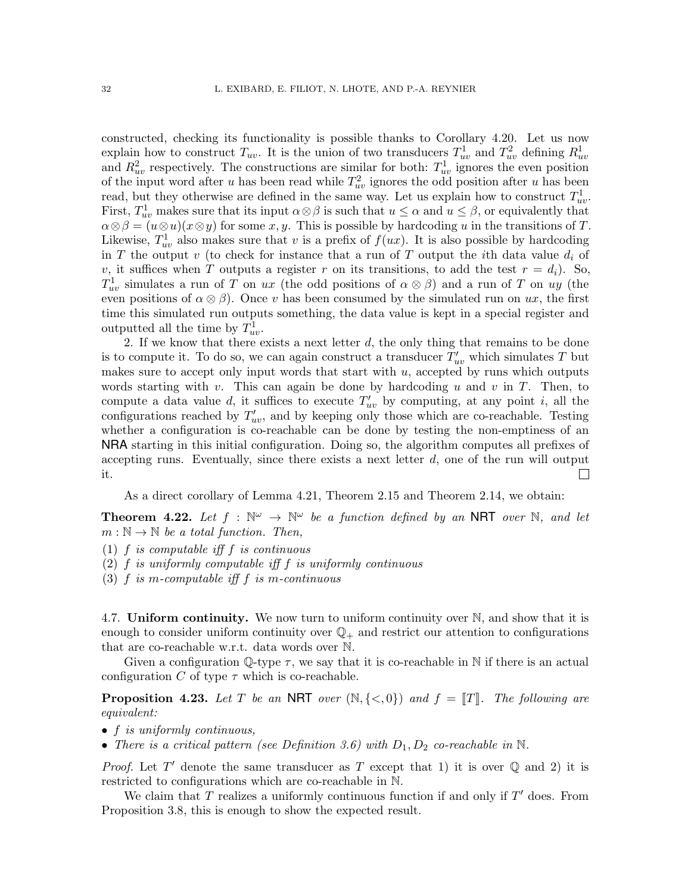constructed, checking its functionality is possible thanks to Corollary [4.20.](#page-30-1) Let us now explain how to construct  $T_{uv}$ . It is the union of two transducers  $T_{uv}^1$  and  $T_{uv}^2$  defining  $R_{uv}^1$ and  $R_{uv}^2$  respectively. The constructions are similar for both:  $T_{uv}^1$  ignores the even position of the input word after u has been read while  $T_{uv}^2$  ignores the odd position after u has been read, but they otherwise are defined in the same way. Let us explain how to construct  $T_{uv}^1$ . First,  $T_{uv}^1$  makes sure that its input  $\alpha \otimes \beta$  is such that  $u \leq \alpha$  and  $u \leq \beta$ , or equivalently that  $\alpha \otimes \beta = (u \otimes u)(x \otimes y)$  for some  $x, y$ . This is possible by hardcoding u in the transitions of T. Likewise,  $T_{uv}^1$  also makes sure that v is a prefix of  $f(ux)$ . It is also possible by hardcoding in T the output v (to check for instance that a run of T output the *i*th data value  $d_i$  of v, it suffices when T outputs a register r on its transitions, to add the test  $r = d_i$ ). So,  $T_{uv}^1$  simulates a run of T on ux (the odd positions of  $\alpha \otimes \beta$ ) and a run of T on uy (the even positions of  $\alpha \otimes \beta$ ). Once v has been consumed by the simulated run on ux, the first time this simulated run outputs something, the data value is kept in a special register and outputted all the time by  $T_{uv}^1$ .

2. If we know that there exists a next letter d, the only thing that remains to be done is to compute it. To do so, we can again construct a transducer  $T'_{uv}$  which simulates T but makes sure to accept only input words that start with  $u$ , accepted by runs which outputs words starting with v. This can again be done by hardcoding u and v in  $T$ . Then, to compute a data value d, it suffices to execute  $T'_{uv}$  by computing, at any point i, all the configurations reached by  $T'_{uv}$ , and by keeping only those which are co-reachable. Testing whether a configuration is co-reachable can be done by testing the non-emptiness of an NRA starting in this initial configuration. Doing so, the algorithm computes all prefixes of accepting runs. Eventually, since there exists a next letter  $d$ , one of the run will output it.  $\Box$ 

As a direct corollary of Lemma [4.21,](#page-30-2) Theorem [2.15](#page-13-0) and Theorem [2.14,](#page-12-1) we obtain:

<span id="page-31-1"></span>**Theorem 4.22.** Let  $f : \mathbb{N}^{\omega} \to \mathbb{N}^{\omega}$  be a function defined by an NRT over N, and let  $m : \mathbb{N} \to \mathbb{N}$  be a total function. Then,

- (1) f is computable iff f is continuous
- (2)  $f$  is uniformly computable iff  $f$  is uniformly continuous
- (3)  $f$  is m-computable iff  $f$  is m-continuous

<span id="page-31-0"></span>4.7. Uniform continuity. We now turn to uniform continuity over  $\mathbb N$ , and show that it is enough to consider uniform continuity over  $\mathbb{Q}_+$  and restrict our attention to configurations that are co-reachable w.r.t. data words over N.

Given a configuration  $\mathbb{Q}$ -type  $\tau$ , we say that it is co-reachable in N if there is an actual configuration C of type  $\tau$  which is co-reachable.

**Proposition 4.23.** Let T be an NRT over  $(\mathbb{N}, \{<, 0\})$  and  $f = \|T\|$ . The following are equivalent:

- f is uniformly continuous,
- There is a critical pattern (see Definition [3.6\)](#page-19-2) with  $D_1, D_2$  co-reachable in N.

*Proof.* Let T' denote the same transducer as T except that 1) it is over  $\mathbb Q$  and 2) it is restricted to configurations which are co-reachable in N.

We claim that  $T$  realizes a uniformly continuous function if and only if  $T'$  does. From Proposition [3.8,](#page-19-1) this is enough to show the expected result.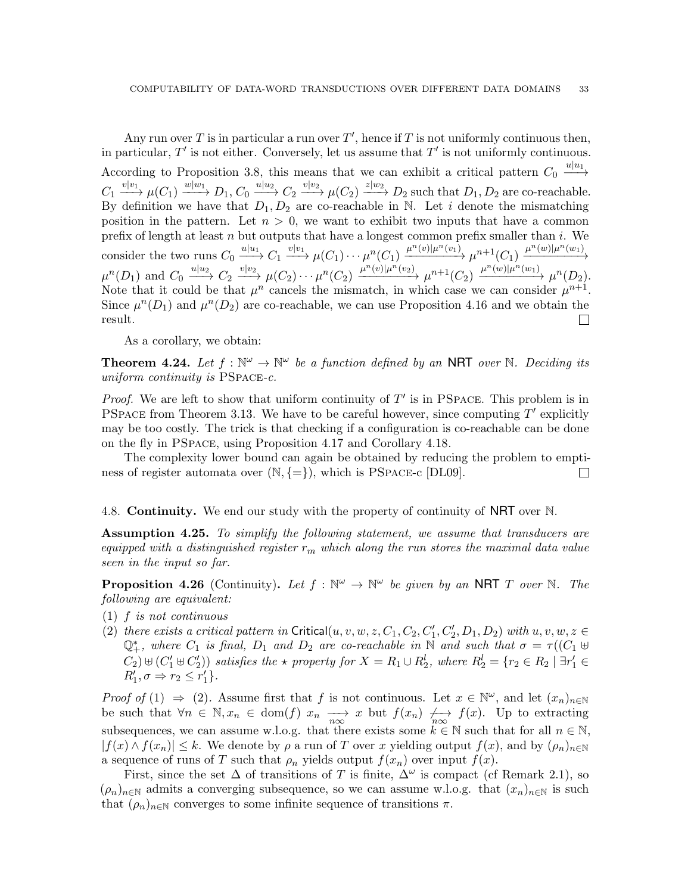Any run over T is in particular a run over  $T'$ , hence if T is not uniformly continuous then, in particular,  $T'$  is not either. Conversely, let us assume that  $T'$  is not uniformly continuous. According to Proposition [3.8,](#page-19-1) this means that we can exhibit a critical pattern  $C_0 \longrightarrow$  $C_1 \xrightarrow{v|v_1} \mu(C_1) \xrightarrow{w|w_1} D_1, C_0 \xrightarrow{u|u_2} C_2 \xrightarrow{v|v_2} \mu(C_2) \xrightarrow{z|w_2} D_2$  such that  $D_1, D_2$  are co-reachable. By definition we have that  $D_1, D_2$  are co-reachable in N. Let i denote the mismatching position in the pattern. Let  $n > 0$ , we want to exhibit two inputs that have a common prefix of length at least  $n$  but outputs that have a longest common prefix smaller than  $i$ . We consider the two runs  $C_0 \xrightarrow{u|u_1} C_1 \xrightarrow{v|v_1} \mu(C_1) \cdots \mu^n(C_1) \xrightarrow{\mu^n(v)|\mu^n(v_1)} \mu^{n+1}(C_1) \xrightarrow{\mu^n(w)|\mu^n(w_1)}$  $\mu^{n}(D_1)$  and  $C_0 \xrightarrow{u|u_2} C_2 \xrightarrow{v|v_2} \mu(C_2) \cdots \mu^{n}(C_2) \xrightarrow{\mu^{n}(v)|\mu^{n}(v_2)} \mu^{n+1}(C_2) \xrightarrow{\mu^{n}(w)|\mu^{n}(w_1)} \mu^{n}(D_2).$ Note that it could be that  $\mu^n$  cancels the mismatch, in which case we can consider  $\mu^{n+1}$ . Since  $\mu^{n}(D_1)$  and  $\mu^{n}(D_2)$  are co-reachable, we can use Proposition [4.16](#page-28-1) and we obtain the result.  $\Box$ 

As a corollary, we obtain:

<span id="page-32-1"></span>**Theorem 4.24.** Let  $f : \mathbb{N}^{\omega} \to \mathbb{N}^{\omega}$  be a function defined by an NRT over N. Deciding its uniform continuity is PSPACE-c.

*Proof.* We are left to show that uniform continuity of  $T'$  is in PSPACE. This problem is in PSPACE from Theorem [3.13.](#page-22-1) We have to be careful however, since computing  $T'$  explicitly may be too costly. The trick is that checking if a configuration is co-reachable can be done on the fly in PSpace, using Proposition [4.17](#page-28-3) and Corollary [4.18.](#page-29-4)

The complexity lower bound can again be obtained by reducing the problem to emptiness of register automata over  $(N, \{=\})$ , which is PSPACE-c [DL09].  $\Box$ 

<span id="page-32-0"></span>4.8. **Continuity.** We end our study with the property of continuity of **NRT** over N.

**Assumption 4.25.** To simplify the following statement, we assume that transducers are equipped with a distinguished register  $r_m$  which along the run stores the maximal data value seen in the input so far.

**Proposition 4.26** (Continuity). Let  $f : \mathbb{N}^{\omega} \to \mathbb{N}^{\omega}$  be given by an NRT T over N. The following are equivalent:

- <span id="page-32-3"></span><span id="page-32-2"></span>(1) f is not continuous
- (2) there exists a critical pattern in Critical $(u, v, w, z, C_1, C_2, C'_1, C'_2, D_1, D_2)$  with  $u, v, w, z \in$  $\mathbb{Q}^*_+$ , where  $C_1$  is final,  $D_1$  and  $D_2$  are co-reachable in  $\overline{\mathbb{N}}$  and such that  $\sigma = \tau((C_1 \oplus$  $(C_2) \uplus (C_1' \uplus C_2')$  satisfies the  $\star$  property for  $X = R_1 \cup R_2^l$ , where  $R_2^l = \{r_2 \in R_2 \mid \exists r_1' \in R_2^l\}$  $R'_1, \sigma \Rightarrow r_2 \leq r'_1$ .

Proof of [\(1\)](#page-32-2)  $\Rightarrow$  [\(2\)](#page-32-3). Assume first that f is not continuous. Let  $x \in \mathbb{N}^{\omega}$ , and let  $(x_n)_{n\in\mathbb{N}}$ be such that  $\forall n \in \mathbb{N}, x_n \in \text{dom}(f)$   $x_n \longrightarrow x$  but  $f(x_n) \nleftrightarrow_{n \infty} f(x)$ . Up to extracting subsequences, we can assume w.l.o.g. that there exists some  $k \in \mathbb{N}$  such that for all  $n \in \mathbb{N}$ ,  $|f(x) \wedge f(x_n)| \leq k$ . We denote by  $\rho$  a run of T over x yielding output  $f(x)$ , and by  $(\rho_n)_{n\in\mathbb{N}}$ a sequence of runs of T such that  $\rho_n$  yields output  $f(x_n)$  over input  $f(x)$ .

First, since the set  $\Delta$  of transitions of T is finite,  $\Delta^{\omega}$  is compact (cf Remark [2.1\)](#page-9-2), so  $(\rho_n)_{n\in\mathbb{N}}$  admits a converging subsequence, so we can assume w.l.o.g. that  $(x_n)_{n\in\mathbb{N}}$  is such that  $(\rho_n)_{n\in\mathbb{N}}$  converges to some infinite sequence of transitions  $\pi$ .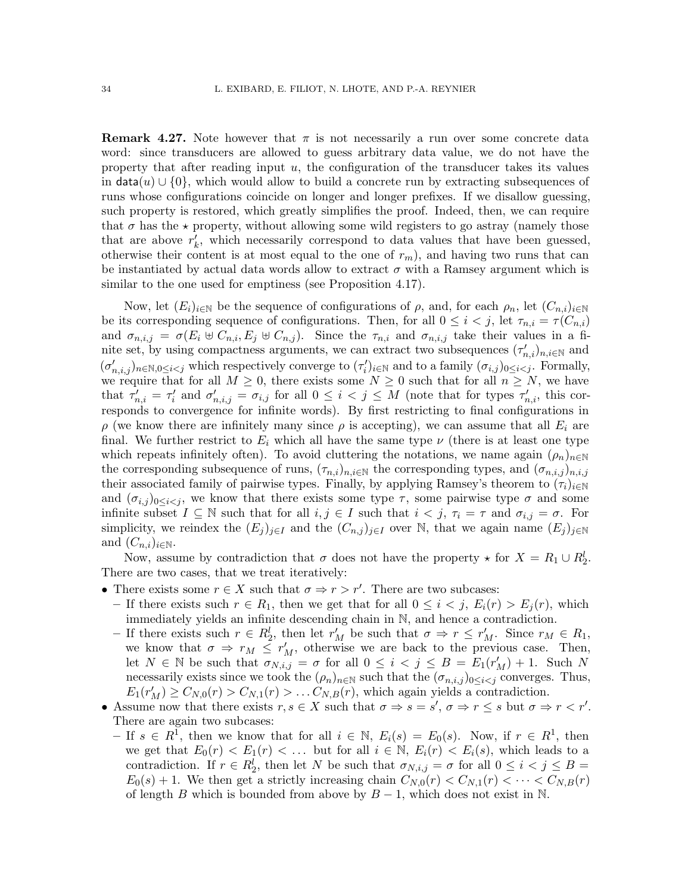**Remark 4.27.** Note however that  $\pi$  is not necessarily a run over some concrete data word: since transducers are allowed to guess arbitrary data value, we do not have the property that after reading input  $u$ , the configuration of the transducer takes its values in  $data(u) \cup \{0\}$ , which would allow to build a concrete run by extracting subsequences of runs whose configurations coincide on longer and longer prefixes. If we disallow guessing, such property is restored, which greatly simplifies the proof. Indeed, then, we can require that  $\sigma$  has the  $\star$  property, without allowing some wild registers to go astray (namely those that are above  $r'_{k}$ , which necessarily correspond to data values that have been guessed, otherwise their content is at most equal to the one of  $r_m$ ), and having two runs that can be instantiated by actual data words allow to extract  $\sigma$  with a Ramsey argument which is similar to the one used for emptiness (see Proposition [4.17\)](#page-28-3).

Now, let  $(E_i)_{i\in\mathbb{N}}$  be the sequence of configurations of  $\rho$ , and, for each  $\rho_n$ , let  $(C_{n,i})_{i\in\mathbb{N}}$ be its corresponding sequence of configurations. Then, for all  $0 \leq i \leq j$ , let  $\tau_{n,i} = \tau(C_{n,i})$ and  $\sigma_{n,i,j} = \sigma(E_i \oplus C_{n,i}, E_j \oplus C_{n,j})$ . Since the  $\tau_{n,i}$  and  $\sigma_{n,i,j}$  take their values in a finite set, by using compactness arguments, we can extract two subsequences  $(\tau'_{n,i})_{n,i\in\mathbb{N}}$  and  $(\sigma'_{n,i,j})_{n \in \mathbb{N}, 0 \leq i < j}$  which respectively converge to  $(\tau'_i)_{i \in \mathbb{N}}$  and to a family  $(\sigma_{i,j})_{0 \leq i < j}$ . Formally, we require that for all  $M \geq 0$ , there exists some  $N \geq 0$  such that for all  $n \geq N$ , we have that  $\tau'_{n,i} = \tau'_{i}$  and  $\sigma'_{n,i,j} = \sigma_{i,j}$  for all  $0 \leq i < j \leq M$  (note that for types  $\tau'_{n,i}$ , this corresponds to convergence for infinite words). By first restricting to final configurations in  $\rho$  (we know there are infinitely many since  $\rho$  is accepting), we can assume that all  $E_i$  are final. We further restrict to  $E_i$  which all have the same type  $\nu$  (there is at least one type which repeats infinitely often). To avoid cluttering the notations, we name again  $(\rho_n)_{n\in\mathbb{N}}$ the corresponding subsequence of runs,  $(\tau_{n,i})_{n,i\in\mathbb{N}}$  the corresponding types, and  $(\sigma_{n,i,j})_{n,i,j}$ their associated family of pairwise types. Finally, by applying Ramsey's theorem to  $(\tau_i)_{i\in\mathbb{N}}$ and  $(\sigma_{i,j})_{0\leq i\leq j}$ , we know that there exists some type  $\tau$ , some pairwise type  $\sigma$  and some infinite subset  $I \subseteq \mathbb{N}$  such that for all  $i, j \in I$  such that  $i < j$ ,  $\tau_i = \tau$  and  $\sigma_{i,j} = \sigma$ . For simplicity, we reindex the  $(E_i)_{i\in I}$  and the  $(C_{n,j})_{i\in I}$  over N, that we again name  $(E_i)_{i\in I}$ and  $(C_{n,i})_{i\in\mathbb{N}}$ .

Now, assume by contradiction that  $\sigma$  does not have the property  $\star$  for  $X = R_1 \cup R_2^l$ . There are two cases, that we treat iteratively:

- There exists some  $r \in X$  such that  $\sigma \Rightarrow r > r'$ . There are two subcases:
- If there exists such  $r \in R_1$ , then we get that for all  $0 \leq i \leq j$ ,  $E_i(r) > E_j(r)$ , which immediately yields an infinite descending chain in N, and hence a contradiction.
- $-$  If there exists such  $r \in R_2^l$ , then let  $r'_M$  be such that  $σ ⇒ r ≤ r'_M$ . Since  $r_M ∈ R_1$ , we know that  $\sigma \Rightarrow r_M \leq r'_M$ , otherwise we are back to the previous case. Then, let  $N \in \mathbb{N}$  be such that  $\sigma_{N,i,j} = \sigma$  for all  $0 \leq i < j \leq B = E_1(r'_M) + 1$ . Such N necessarily exists since we took the  $(\rho_n)_{n\in\mathbb{N}}$  such that the  $(\sigma_{n,i,j})_{0\leq i\leq j}$  converges. Thus,  $E_1(r'_M) \geq C_{N,0}(r) > C_{N,1}(r) > \dots C_{N,B}(r)$ , which again yields a contradiction.
- Assume now that there exists  $r, s \in X$  such that  $\sigma \Rightarrow s = s'$ ,  $\sigma \Rightarrow r \leq s$  but  $\sigma \Rightarrow r < r'$ . There are again two subcases:
- $-$  If  $s \in R^1$ , then we know that for all  $i \in \mathbb{N}$ ,  $E_i(s) = E_0(s)$ . Now, if  $r \in R^1$ , then we get that  $E_0(r) < E_1(r) < \ldots$  but for all  $i \in \mathbb{N}$ ,  $E_i(r) < E_i(s)$ , which leads to a contradiction. If  $r \in R_2^l$ , then let N be such that  $\sigma_{N,i,j} = \sigma$  for all  $0 \le i \le j \le B$  $E_0(s) + 1$ . We then get a strictly increasing chain  $C_{N,0}(r) < C_{N,1}(r) < \cdots < C_{N,B}(r)$ of length B which is bounded from above by  $B-1$ , which does not exist in N.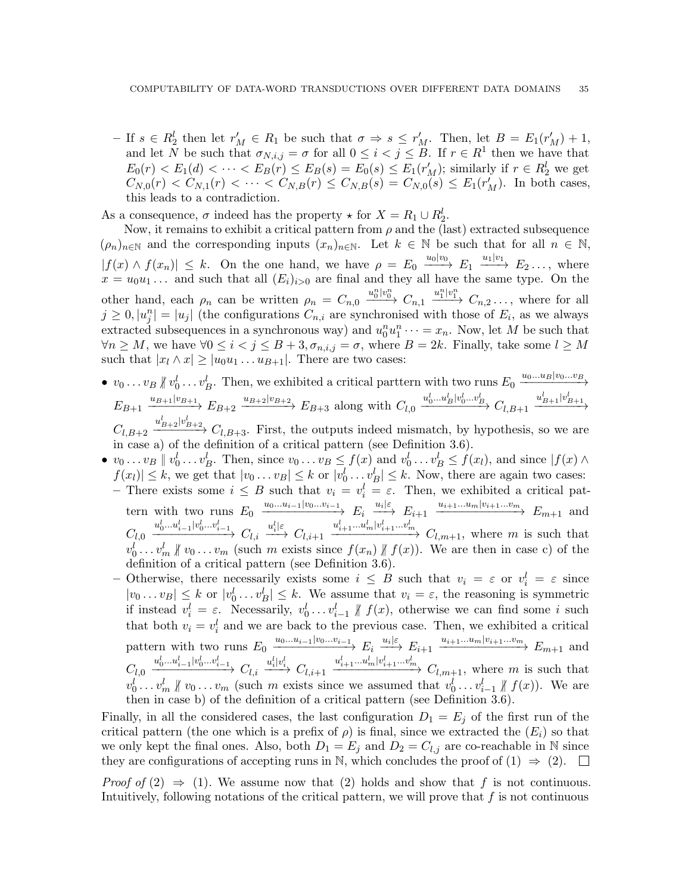$-$  If  $s \in R_2^l$  then let  $r'_M$  ∈  $R_1$  be such that  $σ ⇒ s ≤ r'_M$ . Then, let  $B = E_1(r'_M) + 1$ , and let N be such that  $\sigma_{N,i,j} = \sigma$  for all  $0 \leq i < j \leq B$ . If  $r \in R^1$  then we have that  $E_0(r) < E_1(d) < \cdots < E_B(r) \le E_B(s) = E_0(s) \le E_1(r'_M)$ ; similarly if  $r \in R_2^l$  we get  $C_{N,0}(r) < C_{N,1}(r) < \cdots < C_{N,B}(r) \le C_{N,B}(s) = C_{N,0}(s) \le E_1(r'_M)$ . In both cases, this leads to a contradiction.

As a consequence,  $\sigma$  indeed has the property  $\star$  for  $X = R_1 \cup R_2^l$ .

Now, it remains to exhibit a critical pattern from  $\rho$  and the (last) extracted subsequence  $(\rho_n)_{n\in\mathbb{N}}$  and the corresponding inputs  $(x_n)_{n\in\mathbb{N}}$ . Let  $k\in\mathbb{N}$  be such that for all  $n\in\mathbb{N}$ ,  $|f(x) \wedge f(x_n)| \leq k$ . On the one hand, we have  $\rho = E_0 \xrightarrow{u_0|v_0} E_1 \xrightarrow{u_1|v_1} E_2 \dots$ , where  $x = u_0 u_1 \dots$  and such that all  $(E_i)_{i>0}$  are final and they all have the same type. On the other hand, each  $\rho_n$  can be written  $\rho_n = C_{n,0} \xrightarrow{u_0^n|v_0^n} C_{n,1} \xrightarrow{u_1^n|v_1^n} C_{n,2} \ldots$ , where for all  $j \geq 0, |u_j^n| = |u_j|$  (the configurations  $C_{n,i}$  are synchronised with those of  $E_i$ , as we always extracted subsequences in a synchronous way) and  $u_0^n u_1^n \cdots = x_n$ . Now, let M be such that  $\forall n \geq M$ , we have  $\forall 0 \leq i < j \leq B+3$ ,  $\sigma_{n,i,j} = \sigma$ , where  $B = 2k$ . Finally, take some  $l \geq M$ such that  $|x_l \wedge x| \geq |u_0u_1 \dots u_{B+1}|$ . There are two cases:

- $v_0 \ldots v_B \nparallel v_0^l \ldots v_B^l$ . Then, we exhibited a critical parttern with two runs  $E_0 \xrightarrow{u_0 \ldots u_B \mid v_0 \ldots v_B}$  $E_{B+1} \xrightarrow{u_{B+1}|v_{B+1}} E_{B+2} \xrightarrow{u_{B+2}|v_{B+2}} E_{B+3}$  along with  $C_{l,0} \xrightarrow{u_0^l...u_B^l|v_0^l...v_B^l} C_{l,B+1} \xrightarrow{u_{B+1}|v_{B+1}^l}$  $C_{l,B+2} \xrightarrow{u'_{B+2}|v'_{B+2}} C_{l,B+3}$ . First, the outputs indeed mismatch, by hypothesis, so we are in case [a\)](#page-19-3) of the definition of a critical pattern (see Definition [3.6\)](#page-19-2).
- $v_0 \ldots v_B \parallel v_0^l \ldots v_B^l$ . Then, since  $v_0 \ldots v_B \le f(x)$  and  $v_0^l \ldots v_B^l \le f(x_l)$ , and since  $|f(x) \wedge$  $f(x_l) \leq k$ , we get that  $|v_0 \dots v_B| \leq k$  or  $|v_0^l \dots v_B^l| \leq k$ . Now, there are again two cases: – There exists some  $i \leq B$  such that  $v_i = v_i^l = \varepsilon$ . Then, we exhibited a critical pattern with two runs  $E_0 \xrightarrow{u_0...u_{i-1}|v_0...v_{i-1}} E_i \xrightarrow{u_i|\varepsilon} E_{i+1} \xrightarrow{u_{i+1}...u_m|v_{i+1}...v_m} E_{m+1}$  and  $C_{l,0} \xrightarrow{u_0^l...u_{i-1}^l|v_0^l...v_{i-1}^l} C_{l,i} \xrightarrow{u_i^l|\varepsilon} C_{l,i+1} \xrightarrow{u_{i+1}^l...u_m^l|v_{i+1}^l...v_m^l} C_{l,m+1}$ , where m is such that  $v_0^l \ldots v_m^l \nparallel v_0 \ldots v_m$  (such m exists since  $f(x_n) \nparallel f(x)$ ). We are then in case [c\)](#page-19-4) of the definition of a critical pattern (see Definition [3.6\)](#page-19-2).
	- Otherwise, there necessarily exists some  $i \leq B$  such that  $v_i = \varepsilon$  or  $v_i^l = \varepsilon$  since  $|v_0 \dots v_B| \leq k$  or  $|v_0^l \dots v_B^l| \leq k$ . We assume that  $v_i = \varepsilon$ , the reasoning is symmetric if instead  $v_i^l = \varepsilon$ . Necessarily,  $v_0^l \dots v_{i-1}^l \nparallel f(x)$ , otherwise we can find some i such that both  $v_i = v_i^l$  and we are back to the previous case. Then, we exhibited a critical pattern with two runs  $E_0 \xrightarrow{u_0...u_{i-1}|v_0...v_{i-1}} E_i \xrightarrow{u_i|\varepsilon} E_{i+1} \xrightarrow{u_{i+1}...u_m|v_{i+1}...v_m} E_{m+1}$  and  $C_{l,0} \xrightarrow{u_0^l...u_{i-1}^l|v_0^l...v_{i-1}^l} C_{l,i} \xrightarrow{u_i^l|v_i^l} C_{l,i+1} \xrightarrow{u_{i+1}^l...u_m^l|v_{i+1}^l...v_m^l} C_{l,m+1}$ , where m is such that  $v_0^l \ldots v_m^l \nparallel v_0 \ldots v_m$  (such m exists since we assumed that  $v_0^l \ldots v_{i-1}^l \nparallel f(x)$ ). We are then in case [b\)](#page-19-5) of the definition of a critical pattern (see Definition [3.6\)](#page-19-2).

Finally, in all the considered cases, the last configuration  $D_1 = E_j$  of the first run of the critical pattern (the one which is a prefix of  $\rho$ ) is final, since we extracted the  $(E_i)$  so that we only kept the final ones. Also, both  $D_1 = E_i$  and  $D_2 = C_{l,i}$  are co-reachable in N since they are configurations of accepting runs in N, which concludes the proof of [\(1\)](#page-32-2)  $\Rightarrow$  [\(2\)](#page-32-3).  $\square$ 

*Proof of* [\(2\)](#page-32-3)  $\Rightarrow$  [\(1\)](#page-32-2). We assume now that [\(2\)](#page-32-3) holds and show that f is not continuous. Intuitively, following notations of the critical pattern, we will prove that  $f$  is not continuous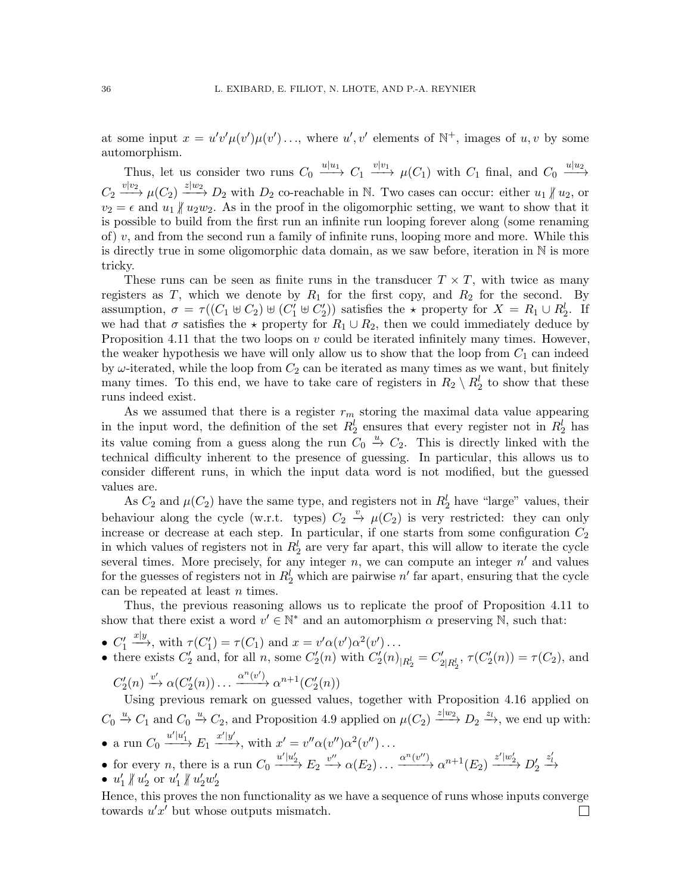at some input  $x = u'v'\mu(v')\mu(v')\ldots$ , where  $u', v'$  elements of  $\mathbb{N}^+$ , images of  $u, v$  by some automorphism.

Thus, let us consider two runs  $C_0 \xrightarrow{u|u_1} C_1 \xrightarrow{v|v_1} \mu(C_1)$  with  $C_1$  final, and  $C_0 \xrightarrow{u|u_2} C_1$  $C_2 \xrightarrow{v|v_2} \mu(C_2) \xrightarrow{z|w_2} D_2$  with  $D_2$  co-reachable in N. Two cases can occur: either  $u_1 \nparallel u_2$ , or  $v_2 = \epsilon$  and  $u_1 \nparallel u_2w_2$ . As in the proof in the oligomorphic setting, we want to show that it is possible to build from the first run an infinite run looping forever along (some renaming of) v, and from the second run a family of infinite runs, looping more and more. While this is directly true in some oligomorphic data domain, as we saw before, iteration in N is more tricky.

These runs can be seen as finite runs in the transducer  $T \times T$ , with twice as many registers as T, which we denote by  $R_1$  for the first copy, and  $R_2$  for the second. By assumption,  $\sigma = \tau((C_1 \oplus C_2) \oplus (C'_1 \oplus C'_2))$  satisfies the  $\star$  property for  $X = R_1 \cup R_2^l$ . If we had that  $\sigma$  satisfies the  $\star$  property for  $R_1 \cup R_2$ , then we could immediately deduce by Proposition [4.11](#page-26-0) that the two loops on  $v$  could be iterated infinitely many times. However, the weaker hypothesis we have will only allow us to show that the loop from  $C_1$  can indeed by  $\omega$ -iterated, while the loop from  $C_2$  can be iterated as many times as we want, but finitely many times. To this end, we have to take care of registers in  $R_2 \setminus R_2^l$  to show that these runs indeed exist.

As we assumed that there is a register  $r_m$  storing the maximal data value appearing in the input word, the definition of the set  $R_2^l$  ensures that every register not in  $R_2^l$  has its value coming from a guess along the run  $C_0 \stackrel{u}{\rightarrow} C_2$ . This is directly linked with the technical difficulty inherent to the presence of guessing. In particular, this allows us to consider different runs, in which the input data word is not modified, but the guessed values are.

As  $C_2$  and  $\mu(C_2)$  have the same type, and registers not in  $R_2^l$  have "large" values, their behaviour along the cycle (w.r.t. types)  $C_2 \stackrel{v}{\rightarrow} \mu(C_2)$  is very restricted: they can only increase or decrease at each step. In particular, if one starts from some configuration  $C_2$ in which values of registers not in  $R_2^l$  are very far apart, this will allow to iterate the cycle several times. More precisely, for any integer  $n$ , we can compute an integer  $n'$  and values for the guesses of registers not in  $R_2^l$  which are pairwise  $n'$  far apart, ensuring that the cycle can be repeated at least n times.

Thus, the previous reasoning allows us to replicate the proof of Proposition [4.11](#page-26-0) to show that there exist a word  $v' \in \mathbb{N}^*$  and an automorphism  $\alpha$  preserving  $\mathbb{N}$ , such that:

- $\bullet$   $C'_1$  $x|y,$  with  $\tau(C'_1) = \tau(C_1)$  and  $x = v'\alpha(v')\alpha^2(v') \dots$
- there exists  $C'_2$  and, for all n, some  $C'_2(n)$  with  $C'_2(n)_{R_2^l} = C'_{2|R_2^l}$ ,  $\tau(C'_2(n)) = \tau(C_2)$ , and  $\alpha^n(x)$

$$
C'_2(n) \xrightarrow{v'} \alpha(C'_2(n)) \dots \xrightarrow{\alpha^n(v')} \alpha^{n+1}(C'_2(n))
$$

Using previous remark on guessed values, together with Proposition [4.16](#page-28-1) applied on  $C_0 \stackrel{u}{\rightarrow} C_1$  and  $C_0 \stackrel{u}{\rightarrow} C_2$ , and Proposition [4.9](#page-25-2) applied on  $\mu(C_2) \stackrel{z|w_2}{\longrightarrow} D_2 \stackrel{z_1}{\rightarrow}$ , we end up with: • a run  $C_0 \xrightarrow{u'|u'_1} E_1 \xrightarrow{x'|y'}$ , with  $x' = v'' \alpha(v'') \alpha^2(v'') \dots$ 

- for every *n*, there is a run  $C_0 \xrightarrow{u'|u'_2} E_2 \xrightarrow{v''} \alpha(E_2) \dots \xrightarrow{\alpha^n(v'')} \alpha^{n+1}(E_2) \xrightarrow{z'|w'_2} D'_2$  $\stackrel{z'_l}{\longrightarrow}$
- $u'_1 \nparallel u'_2$  or  $u'_1 \nparallel u'_2w'_2$

Hence, this proves the non functionality as we have a sequence of runs whose inputs converge towards  $u'x'$  but whose outputs mismatch.  $\Box$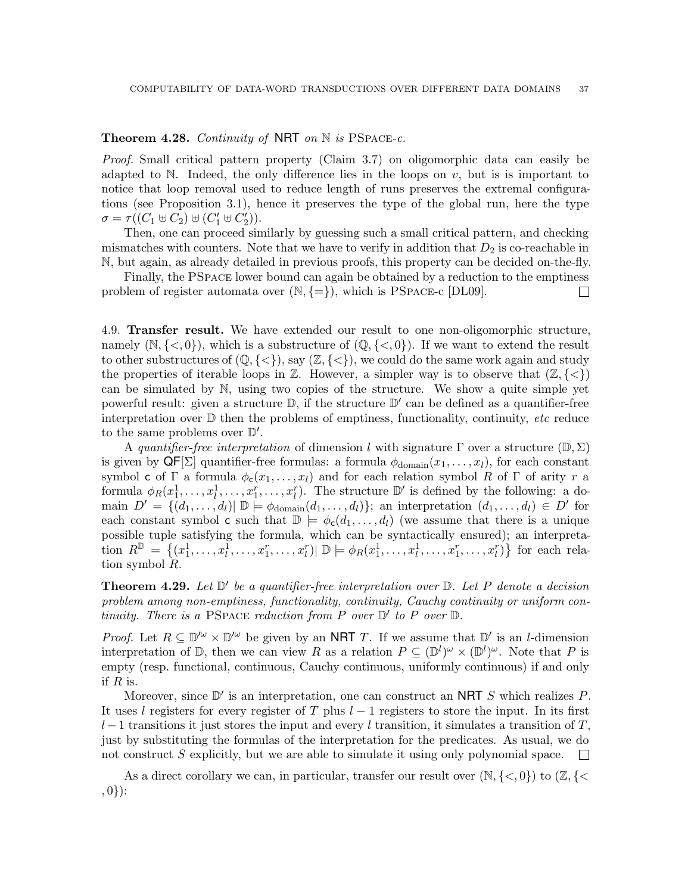## <span id="page-36-1"></span>**Theorem 4.28.** Continuity of NRT on  $\mathbb N$  is PSPACE-c.

Proof. Small critical pattern property (Claim [3.7\)](#page-19-0) on oligomorphic data can easily be adapted to  $\mathbb N$ . Indeed, the only difference lies in the loops on  $v$ , but is is important to notice that loop removal used to reduce length of runs preserves the extremal configurations (see Proposition [3.1\)](#page-15-5), hence it preserves the type of the global run, here the type  $\sigma = \tau((C_1 \uplus C_2) \uplus (C'_1 \uplus C'_2)).$ 

Then, one can proceed similarly by guessing such a small critical pattern, and checking mismatches with counters. Note that we have to verify in addition that  $D_2$  is co-reachable in N, but again, as already detailed in previous proofs, this property can be decided on-the-fly.

Finally, the PSpace lower bound can again be obtained by a reduction to the emptiness problem of register automata over  $(N, \{=\})$ , which is PSPACE-c [DL09].  $\Box$ 

<span id="page-36-0"></span>4.9. Transfer result. We have extended our result to one non-oligomorphic structure, namely  $(\mathbb{N}, \{<,0\})$ , which is a substructure of  $(\mathbb{Q}, \{<,0\})$ . If we want to extend the result to other substructures of  $(\mathbb{Q}, \{<\})$ , say  $(\mathbb{Z}, \{<\})$ , we could do the same work again and study the properties of iterable loops in  $\mathbb{Z}$ . However, a simpler way is to observe that  $(\mathbb{Z}, \{<\})$ can be simulated by N, using two copies of the structure. We show a quite simple yet powerful result: given a structure  $\mathbb{D}$ , if the structure  $\mathbb{D}'$  can be defined as a quantifier-free interpretation over  $\mathbb D$  then the problems of emptiness, functionality, continuity, etc reduce to the same problems over  $\mathbb{D}'$ .

A quantifier-free interpretation of dimension l with signature  $\Gamma$  over a structure  $(\mathbb{D}, \Sigma)$ is given by  $\mathsf{QF}[\Sigma]$  quantifier-free formulas: a formula  $\phi_{\text{domain}}(x_1, \ldots, x_l)$ , for each constant symbol c of Γ a formula  $\phi_c(x_1, \ldots, x_l)$  and for each relation symbol R of Γ of arity r a formula  $\phi_R(x_1^1, \ldots, x_l^1, \ldots, x_l^r, \ldots, x_l^r)$ . The structure  $\mathbb{D}'$  is defined by the following: a domain  $D' = \{ (d_1, \ldots, d_l) | D \models \phi_{\text{domain}}(d_1, \ldots, d_l) \};$  an interpretation  $(d_1, \ldots, d_l) \in D'$  for each constant symbol c such that  $\mathbb{D} \models \phi_c(d_1, \ldots, d_l)$  (we assume that there is a unique possible tuple satisfying the formula, which can be syntactically ensured); an interpretation  $R^{\mathbb{D}} = \{(x_1^1, \ldots, x_l^1, \ldots, x_1^r, \ldots, x_l^r) | \mathbb{D} \models \phi_R(x_1^1, \ldots, x_l^1, \ldots, x_1^r, \ldots, x_l^r)\}$  for each relation symbol R.

<span id="page-36-2"></span>**Theorem 4.29.** Let  $\mathbb{D}'$  be a quantifier-free interpretation over  $\mathbb{D}$ . Let P denote a decision problem among non-emptiness, functionality, continuity, Cauchy continuity or uniform continuity. There is a PSPACE reduction from P over  $\mathbb{D}'$  to P over  $\mathbb{D}$ .

*Proof.* Let  $R \subseteq \mathbb{D}^{\prime\omega} \times \mathbb{D}^{\prime\omega}$  be given by an NRT T. If we assume that  $\mathbb{D}^{\prime}$  is an *l*-dimension interpretation of  $\mathbb{D}$ , then we can view R as a relation  $P \subseteq (\mathbb{D}^l)^{\omega} \times (\mathbb{D}^l)^{\omega}$ . Note that P is empty (resp. functional, continuous, Cauchy continuous, uniformly continuous) if and only if  $R$  is.

Moreover, since  $\mathbb{D}'$  is an interpretation, one can construct an NRT S which realizes P. It uses l registers for every register of T plus  $l-1$  registers to store the input. In its first  $l-1$  transitions it just stores the input and every l transition, it simulates a transition of T, just by substituting the formulas of the interpretation for the predicates. As usual, we do not construct S explicitly, but we are able to simulate it using only polynomial space.  $\mathcal{L}^{\text{max}}$ 

As a direct corollary we can, in particular, transfer our result over  $(\mathbb{N}, \{<, 0\})$  to  $(\mathbb{Z}, \{<$  $, 0$ } $):$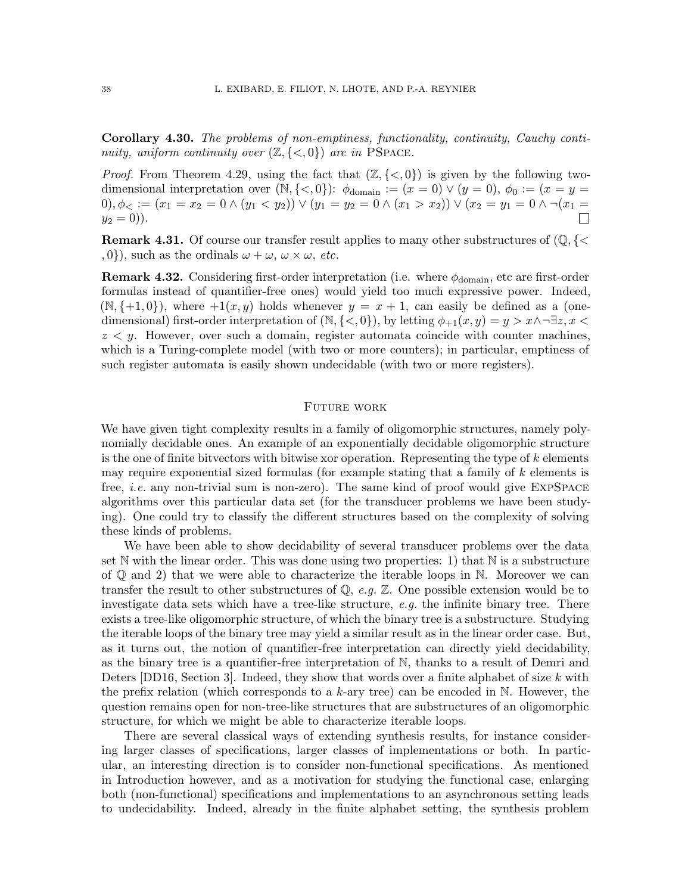Corollary 4.30. The problems of non-emptiness, functionality, continuity, Cauchy continuity, uniform continuity over  $(\mathbb{Z}, \{<, 0\})$  are in PSPACE.

*Proof.* From Theorem [4.29,](#page-36-2) using the fact that  $(\mathbb{Z}, \{<, 0\})$  is given by the following twodimensional interpretation over  $(N, \{<, 0\})$ :  $\phi_{domain} := (x = 0) \vee (y = 0), \phi_0 := (x = y = 0)$  $0), \phi_<:=(x_1=x_2=0 \land (y_1 < y_2)) \lor (y_1=y_2=0 \land (x_1 > x_2)) \lor (x_2=y_1=0 \land \lnot (x_1=y_2))$  $y_2 = 0$ ).  $\Box$ 

**Remark 4.31.** Of course our transfer result applies to many other substructures of  $(\mathbb{Q}, \{<\})$  $, 0$ , such as the ordinals  $\omega + \omega$ ,  $\omega \times \omega$ , *etc.* 

**Remark 4.32.** Considering first-order interpretation (i.e. where  $\phi_{\text{domain}}$ , etc are first-order formulas instead of quantifier-free ones) would yield too much expressive power. Indeed,  $(N, \{+1, 0\})$ , where  $+1(x, y)$  holds whenever  $y = x + 1$ , can easily be defined as a (onedimensional) first-order interpretation of  $(\mathbb{N}, \{<, 0\})$ , by letting  $\phi_{+1}(x, y) = y > x \land \neg \exists z, x <$  $z < y$ . However, over such a domain, register automata coincide with counter machines. which is a Turing-complete model (with two or more counters); in particular, emptiness of such register automata is easily shown undecidable (with two or more registers).

#### <span id="page-37-0"></span>Future work

We have given tight complexity results in a family of oligomorphic structures, namely polynomially decidable ones. An example of an exponentially decidable oligomorphic structure is the one of finite bitvectors with bitwise xor operation. Representing the type of  $k$  elements may require exponential sized formulas (for example stating that a family of  $k$  elements is free, *i.e.* any non-trivial sum is non-zero). The same kind of proof would give EXPSPACE algorithms over this particular data set (for the transducer problems we have been studying). One could try to classify the different structures based on the complexity of solving these kinds of problems.

We have been able to show decidability of several transducer problems over the data set N with the linear order. This was done using two properties: 1) that N is a substructure of  $\mathbb Q$  and 2) that we were able to characterize the iterable loops in N. Moreover we can transfer the result to other substructures of  $\mathbb{Q}$ , e.g.  $\mathbb{Z}$ . One possible extension would be to investigate data sets which have a tree-like structure, e.g. the infinite binary tree. There exists a tree-like oligomorphic structure, of which the binary tree is a substructure. Studying the iterable loops of the binary tree may yield a similar result as in the linear order case. But, as it turns out, the notion of quantifier-free interpretation can directly yield decidability, as the binary tree is a quantifier-free interpretation of N, thanks to a result of Demri and Deters [DD16, Section 3]. Indeed, they show that words over a finite alphabet of size k with the prefix relation (which corresponds to a k-ary tree) can be encoded in  $\mathbb N$ . However, the question remains open for non-tree-like structures that are substructures of an oligomorphic structure, for which we might be able to characterize iterable loops.

There are several classical ways of extending synthesis results, for instance considering larger classes of specifications, larger classes of implementations or both. In particular, an interesting direction is to consider non-functional specifications. As mentioned in Introduction however, and as a motivation for studying the functional case, enlarging both (non-functional) specifications and implementations to an asynchronous setting leads to undecidability. Indeed, already in the finite alphabet setting, the synthesis problem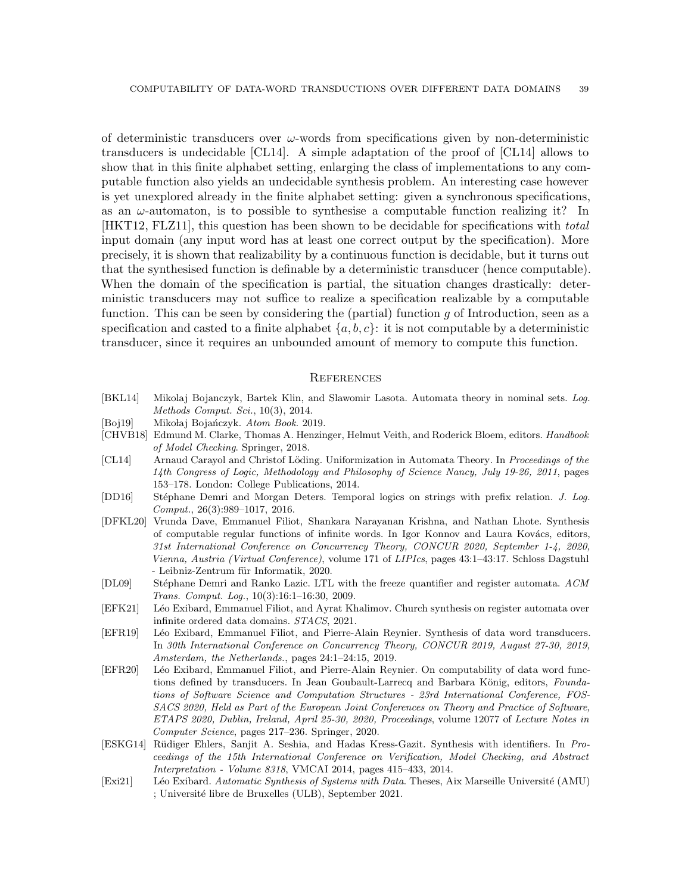of deterministic transducers over  $\omega$ -words from specifications given by non-deterministic transducers is undecidable [\[CL14\]](#page-38-1). A simple adaptation of the proof of [\[CL14\]](#page-38-1) allows to show that in this finite alphabet setting, enlarging the class of implementations to any computable function also yields an undecidable synthesis problem. An interesting case however is yet unexplored already in the finite alphabet setting: given a synchronous specifications, as an  $\omega$ -automaton, is to possible to synthesise a computable function realizing it? In [HKT12, FLZ11], this question has been shown to be decidable for specifications with total input domain (any input word has at least one correct output by the specification). More precisely, it is shown that realizability by a continuous function is decidable, but it turns out that the synthesised function is definable by a deterministic transducer (hence computable). When the domain of the specification is partial, the situation changes drastically: deterministic transducers may not suffice to realize a specification realizable by a computable function. This can be seen by considering the (partial) function  $g$  of Introduction, seen as a specification and casted to a finite alphabet  $\{a, b, c\}$ : it is not computable by a deterministic transducer, since it requires an unbounded amount of memory to compute this function.

### <span id="page-38-0"></span>**REFERENCES**

- [BKL14] Mikolaj Bojanczyk, Bartek Klin, and Slawomir Lasota. Automata theory in nominal sets. *Log. Methods Comput. Sci.*, 10(3), 2014.
- <span id="page-38-4"></span>[Boj19] Mikołaj Bojańczyk. *Atom Book.* 2019.
- [CHVB18] Edmund M. Clarke, Thomas A. Henzinger, Helmut Veith, and Roderick Bloem, editors. *Handbook of Model Checking*. Springer, 2018.
- <span id="page-38-1"></span>[CL14] Arnaud Carayol and Christof Löding. Uniformization in Automata Theory. In *Proceedings of the 14th Congress of Logic, Methodology and Philosophy of Science Nancy, July 19-26, 2011*, pages 153–178. London: College Publications, 2014.
- [DD16] St´ephane Demri and Morgan Deters. Temporal logics on strings with prefix relation. *J. Log. Comput.*, 26(3):989–1017, 2016.
- [DFKL20] Vrunda Dave, Emmanuel Filiot, Shankara Narayanan Krishna, and Nathan Lhote. Synthesis of computable regular functions of infinite words. In Igor Konnov and Laura Kovács, editors, *31st International Conference on Concurrency Theory, CONCUR 2020, September 1-4, 2020, Vienna, Austria (Virtual Conference)*, volume 171 of *LIPIcs*, pages 43:1–43:17. Schloss Dagstuhl - Leibniz-Zentrum für Informatik, 2020.
- [DL09] St´ephane Demri and Ranko Lazic. LTL with the freeze quantifier and register automata. *ACM Trans. Comput. Log.*, 10(3):16:1–16:30, 2009.
- <span id="page-38-3"></span>[EFK21] Léo Exibard, Emmanuel Filiot, and Ayrat Khalimov. Church synthesis on register automata over infinite ordered data domains. *STACS*, 2021.
- [EFR19] Léo Exibard, Emmanuel Filiot, and Pierre-Alain Reynier. Synthesis of data word transducers. In *30th International Conference on Concurrency Theory, CONCUR 2019, August 27-30, 2019, Amsterdam, the Netherlands.*, pages 24:1–24:15, 2019.
- [EFR20] Léo Exibard, Emmanuel Filiot, and Pierre-Alain Reynier. On computability of data word functions defined by transducers. In Jean Goubault-Larrecq and Barbara König, editors, *Foundations of Software Science and Computation Structures - 23rd International Conference, FOS-SACS 2020, Held as Part of the European Joint Conferences on Theory and Practice of Software, ETAPS 2020, Dublin, Ireland, April 25-30, 2020, Proceedings*, volume 12077 of *Lecture Notes in Computer Science*, pages 217–236. Springer, 2020.
- <span id="page-38-2"></span>[ESKG14] R¨udiger Ehlers, Sanjit A. Seshia, and Hadas Kress-Gazit. Synthesis with identifiers. In *Proceedings of the 15th International Conference on Verification, Model Checking, and Abstract Interpretation - Volume 8318*, VMCAI 2014, pages 415–433, 2014.
- <span id="page-38-5"></span>[Exi21] Léo Exibard. *Automatic Synthesis of Systems with Data*. Theses, Aix Marseille Université (AMU) ; Université libre de Bruxelles (ULB), September 2021.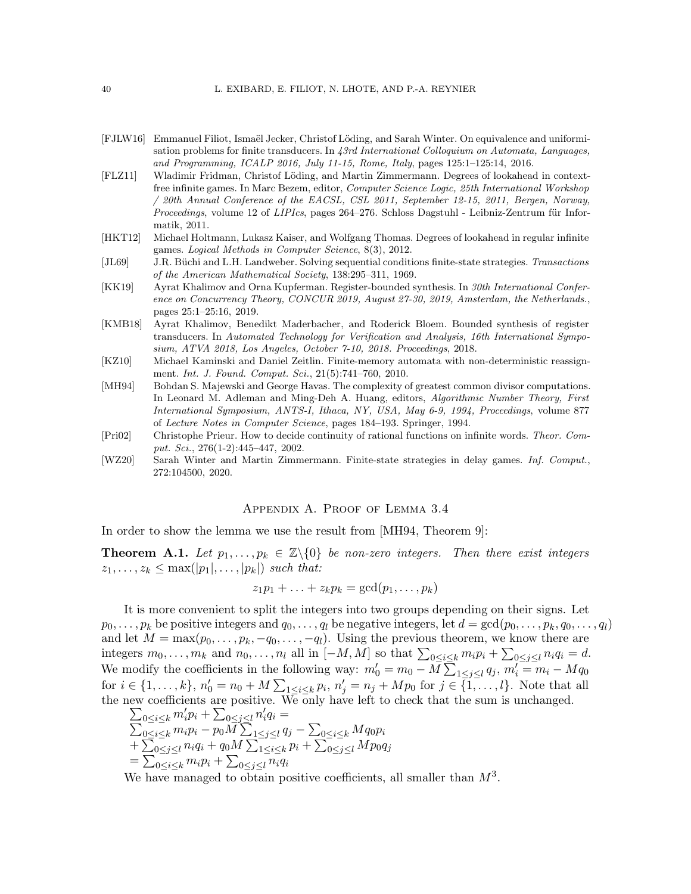#### 40 L. EXIBARD, E. FILIOT, N. LHOTE, AND P.-A. REYNIER

- [FJLW16] Emmanuel Filiot, Ismaël Jecker, Christof Löding, and Sarah Winter. On equivalence and uniformisation problems for finite transducers. In *43rd International Colloquium on Automata, Languages, and Programming, ICALP 2016, July 11-15, Rome, Italy*, pages 125:1–125:14, 2016.
- [FLZ11] Wladimir Fridman, Christof Löding, and Martin Zimmermann. Degrees of lookahead in contextfree infinite games. In Marc Bezem, editor, *Computer Science Logic, 25th International Workshop / 20th Annual Conference of the EACSL, CSL 2011, September 12-15, 2011, Bergen, Norway, Proceedings*, volume 12 of *LIPIcs*, pages 264–276. Schloss Dagstuhl - Leibniz-Zentrum für Informatik, 2011.
- [HKT12] Michael Holtmann, Lukasz Kaiser, and Wolfgang Thomas. Degrees of lookahead in regular infinite games. *Logical Methods in Computer Science*, 8(3), 2012.
- <span id="page-39-1"></span>[JL69] J.R. Büchi and L.H. Landweber. Solving sequential conditions finite-state strategies. *Transactions of the American Mathematical Society*, 138:295–311, 1969.
- [KK19] Ayrat Khalimov and Orna Kupferman. Register-bounded synthesis. In *30th International Conference on Concurrency Theory, CONCUR 2019, August 27-30, 2019, Amsterdam, the Netherlands.*, pages 25:1–25:16, 2019.
- [KMB18] Ayrat Khalimov, Benedikt Maderbacher, and Roderick Bloem. Bounded synthesis of register transducers. In *Automated Technology for Verification and Analysis, 16th International Symposium, ATVA 2018, Los Angeles, October 7-10, 2018. Proceedings*, 2018.
- [KZ10] Michael Kaminski and Daniel Zeitlin. Finite-memory automata with non-deterministic reassignment. *Int. J. Found. Comput. Sci.*, 21(5):741–760, 2010.
- <span id="page-39-2"></span>[MH94] Bohdan S. Majewski and George Havas. The complexity of greatest common divisor computations. In Leonard M. Adleman and Ming-Deh A. Huang, editors, *Algorithmic Number Theory, First International Symposium, ANTS-I, Ithaca, NY, USA, May 6-9, 1994, Proceedings*, volume 877 of *Lecture Notes in Computer Science*, pages 184–193. Springer, 1994.
- [Pri02] Christophe Prieur. How to decide continuity of rational functions on infinite words. *Theor. Comput. Sci.*, 276(1-2):445–447, 2002.
- <span id="page-39-0"></span>[WZ20] Sarah Winter and Martin Zimmermann. Finite-state strategies in delay games. *Inf. Comput.*, 272:104500, 2020.

#### Appendix A. Proof of Lemma [3.4](#page-18-0)

In order to show the lemma we use the result from [\[MH94,](#page-39-2) Theorem 9]:

**Theorem A.1.** Let  $p_1, \ldots, p_k \in \mathbb{Z}\backslash\{0\}$  be non-zero integers. Then there exist integers  $z_1, \ldots, z_k \leq \max(|p_1|, \ldots, |p_k|)$  such that:

$$
z_1p_1 + \ldots + z_kp_k = \gcd(p_1, \ldots, p_k)
$$

It is more convenient to split the integers into two groups depending on their signs. Let  $p_0, \ldots, p_k$  be positive integers and  $q_0, \ldots, q_l$  be negative integers, let  $d = \gcd(p_0, \ldots, p_k, q_0, \ldots, q_l)$ and let  $M = \max(p_0, \ldots, p_k, -q_0, \ldots, -q_l)$ . Using the previous theorem, we know there are integers  $m_0, \ldots, m_k$  and  $n_0, \ldots, n_l$  all in  $[-M, M]$  so that  $\sum_{0 \le i \le k} m_i p_i + \sum_{0 \le j \le l} n_i q_i = d$ . We modify the coefficients in the following way:  $m'_0 = m_0 - M \sum_{1 \leq j \leq l} q_j, m'_i = m_i - M q_0$ for  $i \in \{1, ..., k\}$ ,  $n'_0 = n_0 + M \sum_{1 \le i \le k} p_i$ ,  $n'_j = n_j + M p_0$  for  $j \in \{1, ..., l\}$ . Note that all the new coefficients are positive. We only have left to check th at the sum is unchanged.

$$
\begin{array}{l} \sum_{0 \leq i \leq k} m'_i p_i + \sum_{0 \leq j \leq l} n'_i q_i = \\ \sum_{0 \leq i \leq k} m_i p_i - p_0 M \sum_{1 \leq j \leq l} q_j - \sum_{0 \leq i \leq k} M q_0 p_i \\ + \sum_{0 \leq j \leq l} n_i q_i + q_0 M \sum_{1 \leq i \leq k} p_i + \sum_{0 \leq j \leq l} M p_0 q_j \\ = \sum_{0 \leq i \leq k} m_i p_i + \sum_{0 \leq j \leq l} n_i q_i \end{array}
$$

We have managed to obtain positive coefficients, all smaller than  $M^3$ .